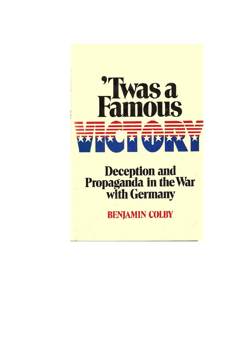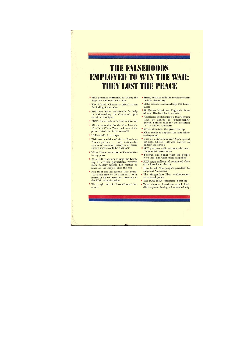### **THE FALSEHOODS EMPLOYED TO WIN THE WAR: THEY LOST THE PEACE**

- . FDR preaches neutrality, but Harry the Hop tells Churchill we'll fight
- . The Atlantic Charter as official screen for hiding Soviet aims
- · FDR asks Soviet ambassador for help in whitewashing the Communist persecution of religion
- · FDR's friends admit he lied us into war . All the news that fits the tint: how the
- New York Times, Time, and most of the<br>press treated the Katyn massacre
	- · Hollywood's Red clique

Ç

- . FDR scores critics of aid to Russia as "bonus patriots . . . noisy traitors-be-<br>trayers of America, betrayers of Chris-<br>tianity itself-would-be dictators"
- · White House protection of Communists in key posts
- Churchill continues to urge the bombing of civilian populations removed<br>from military targets. His relative si-<br>lence on the subject after the war
- Rex Stout and his Writers War Board:<br>"We Shall Hate or We Shall Fail." Why hatred of all Germans was necessary to the FDR administration
- . The tragic toll of Unconditional Surrender
- · Henry Wallace hails the Soviets for their "ethnic democracy"
- · Stalin refuses to acknowledge U.S. Lend-Lease
- · Sir Robert Vansittart: England's fount of hate. His disciples in America
- · American scientist suggests that German stock be diluted by "outbreeding."<br>Joseph Pulitzer calls for the execution of 1.5 million Germans
- · Soviet atrocities: the great coverup
- · Allies refuse to support the anti-Hitler underground
- · Luce an anti-Communist? Life's special  $116$ -page edition - devoted entirely to gilding the Soviets
- · FCC pressures radio stations with anti-**Communist broadcasters**
- Teheran and Yalta: what the people<br>were told—and what really happened
- · FDR signs millions of conquered Germans into Soviet slavery
- · How to sell "the people's paradise" to skeptical Americans
- · The Morgenthau Plan: vindictiveness as national policy
- . The truth about "precision" bombing · Total victory: Americans attack hud-<br>dled orphans fleeing a firebombed city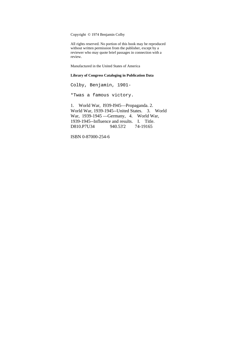Copyright © 1974 Benjamin Colby

All rights reserved. No portion of this book may be reproduced without written permission from the publisher, except by a reviewer who may quote brief passages in connection with a review.

Manufactured in the United States of America

#### **Library of Congress Cataloging in Publication Data**

Colby, Benjamin, 1901-

\*Twas a famous victory.

1. World War, I939-I945—Propaganda. 2. World War, 1939-1945--United States. 3. World War, 1939-1945 —Germany, 4.World War, 1939-1945--Influence and results. I. Title. D810.P7U34 940.53'2 74-19165

ISBN 0-87000-254-6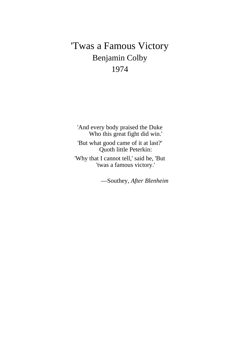# 'Twas a Famous Victory Benjamin Colby 1974

'And every body praised the Duke Who this great fight did win.' 'But what good came of it at last?' Quoth little Peterkin: 'Why that I cannot tell,' said he, 'But 'twas a famous victory.'

—Southey, *After Blenheim*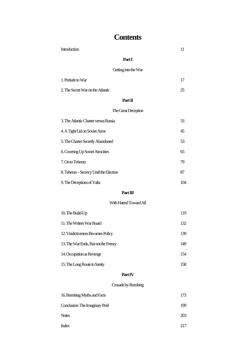### **Contents**

| Introduction                            | 11  |
|-----------------------------------------|-----|
| PartI                                   |     |
| Getting into the War                    |     |
| 1. Prelude to War                       | 17  |
| 2. The Secret War on the Atlantic       | 25  |
| Part II                                 |     |
| The Great Deception                     |     |
| 3. The Atlantic Charter versus Russia   | 33  |
| 4. A Tight Lid on Soviet Aims           | 45  |
| 5. The Charter Secretly Abandoned       | 53  |
| 6. Covering Up Soviet Atrocities        | 65  |
| 7. On to Teheran                        | 79  |
| 8. Teheran - Secrecy Until the Election | 87  |
| 9. The Deceptions of Yalta              | 104 |
| Part III                                |     |
| With Hatred Toward All                  |     |
| 10. The Build-Up                        | 119 |
| 11. The Writers War Board               | 132 |
| 12. Vindictiveness Becomes Policy       | 139 |
| 13. The War Ends, But not the Frenzy    | 149 |
| 14. Occupation as Revenge               | 154 |
| 15. The Long Route to Sanity            | 158 |

#### **Part IV**

#### Crusade by Bombing

| 16. Bombing Myths and Facts     | 173 |
|---------------------------------|-----|
| Conclusion: The Imaginary Peril | 199 |
| Notes                           | 203 |
| Index                           | 217 |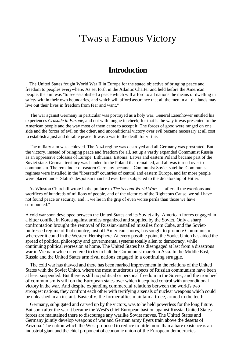## 'Twas a Famous Victory

#### **Introduction**

The United States fought World War II in Europe for the stated objective of bringing peace and freedom to peoples everywhere. As set forth in the Atlantic Charter and held before the American people, the aim was "to see established a peace which will afford to all nations the means of dwelling in safety within their own boundaries, and which will afford assurance that all the men in all the lands may live out their lives in freedom from fear and want."

The war against Germany in particular was portrayed as a holy war. General Eisenhower entitled his experiences *Crusade in Europe,* and not with tongue in cheek, for that is the way it was presented to the American people and the way most of them came to accept it. The forces of good were ranged on one side and the forces of evil on the other, and unconditional victory over evil became necessary at all cost to establish a just and durable peace. It was a war to the death for virtue.

The miliary aim was achieved. The Nazi regime was destroyed and all Germany was prostrated. But the victory, instead of bringing peace and freedom for all, set up a vastly expanded Communist Russia as an oppressive colossus of Europe. Lithuania, Estonia, Latvia and eastern Poland became part of the Soviet state. German territory was handed to the Poland that remained, and all was turned over to communism. The remainder of eastern Germany became a Communist Soviet satellite. Communist regimes were installed in the "liberated" countries of central and eastern Europe, and far more people were placed under Stalin's despotism than had ever been subjected to the dictatorship of Hitler.

As Winston Churchill wrote in the preface to *The Second World War:* "... after all the exertions and sacrifices of hundreds of millions of people, and of the victories of the Righteous Cause, we still have not found peace or security, and ... we lie in the grip of even worse perils than those we have surmounted."

A cold war soon developed between the United States and its Soviet ally. American forces engaged in a bitter conflict in Korea against armies organized and supplied by the Soviet. Only a sharp confrontation brought the removal of Russian-installed missiles from Cuba, and the Sovietbuttressed regime of that country, just off American shores, has sought to promote Communism wherever it could in the Western Hemisphere. At every possible point, the Soviet Union has aided the spread of political philosophy and governmental systems totally alien to democracy, while continuing political repression at home. The United States has disengaged at last from a disastrous war in Vietnam which it entered to try to halt the Communist march in Asia. In the Middle East, Russia and the United States arm rival nations engaged in a continuing struggle.

The cold war has thawed and there has been marked improvement in the relations of the United States with the Soviet Union, where the most murderous aspects of Russian communism have been at least suspended. But there is still no political or personal freedom in the Soviet, and the iron heel of communism is still on the European states over which it acquired control with unconditional victory in the war. And despite expanding commercial relations between the world's two strongest nations, they confront each other with terrifying arsenals of nuclear weapons which could be unleashed in an instant. Basically, the former allies maintain a truce, armed to the teeth.

Germany, subjugated and carved up by the victors, was to be held powerless for the long future. But soon after the war it became the West's chief European bastion against Russia. United States forces are maintained there to discourage any warlike Soviet moves. The United States and Germany jointly develop weapons of war and German army flyers train above the deserts of Arizona. The nation which the West proposed to reduce to little more than a bare existence is an industrial giant and the chief proponent of economic union of the European democracies.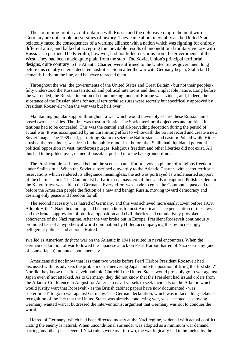The continuing military confrontation with Russia and the defensive rapprochement with Germany are not simple perversities of history. They came about inevitably as the United States belatedly faced the consequences of a wartime alliance with a nation which was fighting for entirely different aims, and balked at accepting the inevitable results of unconditional military victory with Russia as a partner. The Kremlin, however, had not hidden its aims from the governments of the West. They had been made quite plain from the start. The Soviet Union's principal territorial designs, quite contrary to the Atlantic Charter, were affirmed to the United States government long before this country entered declared hostilities. Soon after the war with Germany began, Stalin laid his demands flatly on the line, and he never retracted them.

Throughout the war, the governments of the United States and Great Britain - but not their peoples fully understood the Russian territorial and political intentions and their implacable nature. Long before the war ended, the Russian intention of communizing much of Europe was evident, and, indeed, the substance of the Russian plans for actual territorial seizures were secretly but specifically approved by President Roosevelt when the war was but half over.

Maintaining popular support throughout a war which would inevitably secure these Russian aims posed two necessities. The first was trust in Russia. The Soviet territorial objectives and political intentions had to be concealed. This was the central and all-pervading deception during the period of actual war. It was accompanied by an unremitting effort to whitewash the Soviet record and create a new Soviet image. The 1939 deal, permitting Stalin to seize the Baltic states and eastern Poland while Hitler crushed the remainder, was fresh in the public mind. Just before that Stalin had liquidated potential political opposition in vast, murderous purges. Religious freedom and other liberties did not exist. All this had to be gilded over, denied if possible, pushed into the background if not.

The President himself moved behind the scenes in an effort to evoke a picture of religious freedom under Stalin's rule. When the Soviet subscribed outwardly to the Atlantic Charter, with secret territorial reservations which rendered its allegiance meaningless, the act was portrayed as wholehearted support of the charter's aims. The Communist barbaric mass massacre of thousands of captured Polish leaders in the Katyn forest was laid to the Germans. Every effort was made to erase the Communist past and to set before the American people the fiction of a new and benign Russia, moving toward democracy and desiring only peace and freedom for all.

The second necessity was hatred of Germany, and this was achieved more easily. Even before 1939, Adolph Hitler's Nazi dictatorship had become odious to most Americans. The persecution of the Jews and the brutal suppression of political opposition and civil liberties had cumulatively provoked abhorrence of the Nazi regime. After the war broke out in Europe, President Roosevelt continuously promoted fear of a hypothetical world domination by Hitler, accompanying this by increasingly belligerent policies and actions. Hatred

swelled as American *de facto* war on the Atlantic in 1941 resulted in naval encounters. When the German declaration of war followed the Japanese attack on Pearl Harbor, hatred of Nazi Germany (and of course Japan) mounted spontaneously.

Americans did not know that less than two weeks before Pearl Harbor President Roosevelt had discussed with his advisers the problem of maneuvering Japan "into the position of firing the first shot." Nor did they know that Roosevelt had told Churchill the United States would probably go to war against Japan even if not attacked. As to Germany, they did not know that the President had issued orders from the Atlantic Conference in August for American naval vessels to seek incidents on the Atlantic which would justify war; that Roosevelt - as the British cabinet papers have now documented - was "determined" to go to war against Germany. The German declaration, which was in fact a long-delayed recognition of the fact that the United States was already conducting war, was accepted as showing Germany wanted war; it buttressed the interventionist argument that Germany was out to conquer the world.

Hatred of Germany, which had been directed mostly at the Nazi regime, widened with actual conflict. Hating the enemy is natural. When unconditional surrender was adopted as a minimum war demand, barring any other peace even if Nazi rulers were overthrown, the war logically had to be fueled by the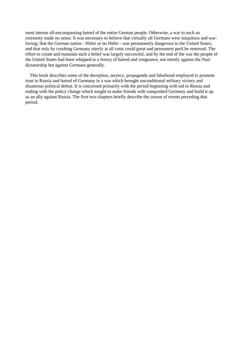most intense all-encompassing hatred of the entire German people. Otherwise, a war to such an extremity made no sense. It was necessary to believe that virtually all Germans were iniquitous and warloving; that the German nation - Hitler or no Hitler - was permanently dangerous to the United States; and that only by crushing Germany utterly at all costs could great and permanent peril be removed. The effort to create and maintain such a belief was largely successful, and by the end of the war the people of the United States had been whipped to a frenzy of hatred and vengeance, not merely against the Nazi dictatorship but against Germans generally.

This book describes some of the deception, secrecy, propaganda and falsehood employed to promote trust in Russia and hatred of Germany in a war which brought unconditional military victory and disastrous political defeat. It is concerned primarily with the period beginning with aid to Russia and ending with the policy change which sought to make friends with vanquished Germany and build it up as an ally against Russia. The first two chapters briefly describe the course of events preceding that period.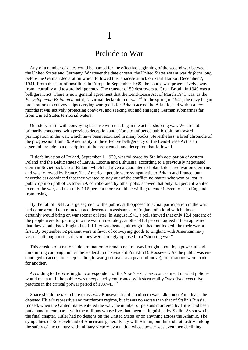# **1**

### Prelude to War

Any of a number of dates could be named for the effective beginning of the second war between the United States and Germany. Whatever the date chosen, the United States was at war *de facto* long before the German declaration which followed the Japanese attack on Pearl Harbor, December 7, 1941. From the start of hostilities in Europe in September 1939, the course was progressively away from neutrality and toward belligerency. The transfer of 50 destroyers to Great Britain in 1940 was a belligerent act. There is now general agreement that the Lend-Lease Act of March 1941 was, as the *Encyclopaedia Britannica* put it, "a virtual declaration of war."1 In the spring of 1941, the navy began preparations to convoy ships carrying war goods for Britain across the Atlantic, and within a few months it was actively protecting convoys, and seeking out and engaging German submarines far from United States territorial waters.

Our story starts with convoying because with that began the actual shooting war. We are not primarily concerned with previous deception and efforts to influence public opinion toward participation in the war, which have been recounted in many books. Nevertheless, a brief chronicle of the progression from 1939 neutrality to the effective belligerency of the Lend-Lease Act is an essential prelude to a description of the propaganda and deception that followed.

Hitler's invasion of Poland, September 1, 1939, was followed by Stalin's occupation of eastern Poland and the Baltic states of Latvia, Estonia and Lithuania, according to a previously negotiated German-Soviet pact. Great Britain, which had given a guarantee to Poland, declared war on Germany and was followed by France. The American people were sympathetic to Britain and France, but nevertheless convinced that they wanted to stay out of the conflict, no matter who won or lost. A public opinion poll of October 29, corroborated by other polls, showed that only 3.3 percent wanted to enter the war, and that only 13.5 percent more would be willing to enter it even to keep England from losing.

By the fall of 1941, a large segment of the public, still opposed to actual participation in the war, had come around to a reluctant acquiescence in assistance to England of a kind which almost certainly would bring on war sooner or later. In August 1941, a poll showed that only 12.4 percent of the people were for getting into the war immediately; another 41.3 percent agreed it then appeared that they should back England until Hitler was beaten, although it had not looked like their war at first. By September 52 percent were in favor of convoying goods to England with American navy vessels, although most still said they were strongly opposed to a "shooting war."

This erosion of a national determination to remain neutral was brought about by a powerful and unremitting campaign under the leadership of President Franklin D. Roosevelt. As the public was encouraged to accept one step leading to war (portrayed as a peaceful move), preparations were made for another.

According to the Washington correspondent of the *New York Times,* concealment of what policies would mean until the public was unexpectedly confronted with stern reality "was fixed executive practice in the critical prewar period of 1937-41."2

Space should be taken here to ask *why* Roosevelt led the nation to war. Like most Americans, he detested Hitler's repressive and murderous regime, but it was no worse than that of Stalin's Russia. Indeed, when the United States entered the war, the number of persons murdered by Hitler had been but a handful compared with the millions whose lives had been extinguished by Stalin. As shown in the final chapter, Hitler had no designs on the United States or on anything across the Atlantic. The sympathies of Roosevelt and of Americans generally lay with Britain, but this did not justify linking the safety of the country with military victory by a nation whose power was even then declining.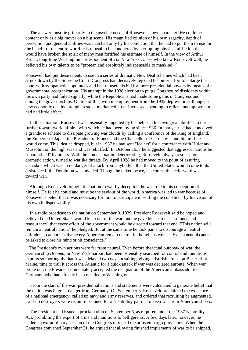The answer must lie primarily in the psychic needs of Roosevelt's own character. He could be content only as a big mover on a big scene. His magnified opinion of his own sagacity, depth of perception and general abilities was matched only by his conviction that he had to put them to use for the benefit of the entire world. His refusal to be conquered by a crippling physical affliction that would have broken the spirit of many men fortified his estimate of himself. In the view of Arthur Krock, long-time Washington correspondent of *The New York Times,* who knew Roosevelt well, he believed his own talents to be "protean and absolutely indispensable to mankind."<sup>3</sup>

Roosevelt had put these talents to use in a series of dramatic New Deal schemes which had been struck down by the Supreme Court. Congress had decisively rejected his bitter effort to enlarge the court with sympathetic appointees and had refused his bid for more presidential powers by means of a governmental reorganization. His attempt in the 1938 election to purge Congress of dissidents within his own party had failed signally, while the Republicans had made some gains in Congress and among the governorships. On top of this, with unemployment from the 1932 depression still huge, a new economic decline brought a stock market collapse. Increased spending to relieve unemployment had had little effect.

In this situation, Roosevelt was insensibly impelled by his belief in his own great abilities to turn further toward world affairs, with which he had been toying since 1936. In that year he had conceived a grandiose scheme to dissipate growing war clouds by calling a conference of the King of England, the Emperor of Japan, the President of France and the Chancellor of Germany—and Stalin if he would come. This idea he dropped, but in 1937 he had sent "feelers" for a conference with Hitler and Mussolini on the high seas and was rebuffed. $4$  In October 1937 he suggested that aggressor nations be "quarantined" by others. With the home situation deteriorating, Roosevelt, always restless for dramatic action, turned to warlike threats. By April 1938 he had moved to the point of assuring Canada—which was in no danger of attack from anybody—that the United States would come to its assistance if the Dominion was invaded. Though he talked peace, his course thenceforward was toward war.

Although Roosevelt brought the nation to war by deception, he was true to his conception of himself. He felt he could and must be the saviour of the world. America was led to war because of Roosevelt's belief that it was necessary for him to participate in settling the con-flict—by his vision of his own indispensability.

In a radio broadcast to the nation on September 3, 1939, President Roosevelt said he hoped and believed the United States would keep out of the war, and he gave his hearers "assurance and reassurance" that every effort of the government would be directed toward that end. "This nation will remain a neutral nation," he pledged. But at the same time he took pains to discourage a neutral attitude: "I cannot ask that every American remain neutral in thought as well .... Even a neutral cannot be asked to close his mind or his conscience."

 The President's own actions were far from neutral. Even before theactual outbreak of war, the German ship *Bremen,* in New York harbor, had been ostensibly searched for contraband munitions exports so thoroughly that it was delayed two days in sailing, giving a British cruiser at Bar Harbor, Maine, time to trail it across the Atlantic for a quick attack if war was declared enroute. When war broke out, the President immediately accepted the resignation of the American ambassador to Germany, who had already been recalled to Washington,

From the start of the war, presidential actions and statements were calculated to generate belief that the nation was in great danger from Germany. On September 8, Roosevelt proclaimed the existence of a national emergency, called up navy and army reserves, and ordered that recruiting be augmented. Laid-up destroyers were recom-missioned for a "neutrality patrol" to keep war from American shores.

The President had issued a proclamation on September 5, as required under the 1937 Neutrality Act, prohibiting the export of arms and munitions to belligerents. A few days later, however, he called an extraordinary session of the Congress to repeal the arms embargo provisions. When the Congress convened September 21, he argued that allowing finished implements of war to be shipped,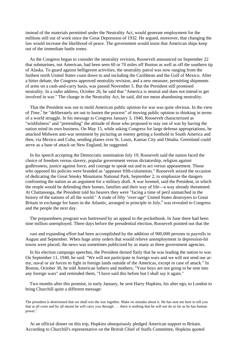instead of the materials permitted under the Neutrality Act, would generate employment for the millions still out of work since the Great Depression of 1932. He argued, moreover, that changing the law would increase the likelihood of peace. The government would insist that American ships keep out of the immediate battle zones.

As the Congress began to consider the neutrality revision, Roosevelt announced on September 22 that submarines, not American, had been seen 60 or 70 miles off Boston as well as off the southern tip of Alaska. To guard against belligerent activities, the neutrality patrol was now ranging from the farthest north United States coast down to and including the Caribbean and the Gulf of Mexico. After a bitter debate, the Congress approved neutrality revision, and a new measure, permitting shipments of arms on a cash-and-carry basis, was passed November 5. But the President still promised neutrality. In a radio address, October 26, he said that "America is neutral and does not intend to get involved in war." The change in the Neutrality Act, he said, did not mean abandoning neutrality.

That the President was out to mold American public opinion for war was quite obvious. In the view of *Time,<sup>5</sup>* he "deliberately set out to hasten the process" of moving public opinion to thinking in terms of a world struggle. In his message to Congress January 3, 1940, Roosevelt characterized as "wishfulness" and "pretending" the attitude of those who proposed to stay out of war by having the nation mind its own business. On May 15, while asking Congress for large defense appropriations, he attacked Midwest anti-war sentiment by picturing an enemy getting a foothold in South America and then, via Mexico and Cuba, sending planes over St. Louis, Kansas City and Omaha. Greenland could serve as a base of attack on New England, he suggested.

In his speech accepting the Democratic nomination July 19, Roosevelt said the nation faced the choice of freedom versus slavery, popular government versus dictatorship, religion against godlessness, justice against force, and courage to speak out and to act versus appeasement. Those who opposed his policies were branded as "appeaser fifth-columnists." Roosevelt seized the occasion of dedicating the Great Smoky Mountains National Park, September 2, to emphasize the dangers confronting the nation as an argument for a military draft. A war loomed, said the President, in which the reople would be defending their homes, families and their way of life—a way already threatened. At Chattanooga, the President told his hearers they were "facing a time of peril unmatched in the history of the nations of all the world." A trade of fifty "over-age" United States destroyers to Great Britain in exchange for bases in the Atlantic, arranged in principle in July,<sup>6</sup> was revealed to Congress and the people the next day.

The preparedness program was buttressed by an appeal to the pocketbook. In June there had been nine million unemployed. Three days before the presidential election, Roosevelt pointed out that the

vast and expanding effort had been accomplished by the addition of 900,000 persons to payrolls in August and September. When huge army orders that would relieve unemployment in depression-hit towns were placed, the news was sometimes publicized by as many as three government agencies.

In his election campaign speeches, the President denied flatly that he was leading the nation to war. On September 11, 1940, he said: "We will not participate in foreign wars and we will not send our army, naval or air forces to fight in foreign lands outside of the Americas, except in case of attack." In Boston, October 30, he told American fathers and mothers, "Your boys are not going to be sent into any foreign wars" and reminded them, "I have said this before but I shall say it again."

Two months after this promise, in early January, he sent Harry Hopkins, his alter ego, to London to bring Churchill quite a different message:

The president is determined that we shall win the war together. Make no mistake about it. He has sent me here to tell you that at all costs and by all means he will carry you through . . . there is nothing that he will not do so far as he has human power.<sup>7</sup>

At an official dinner on this trip, Hopkins obsequiously pledged American support to Britain. According to Churchill's representative on the British Chief of Staffs Committee, Hopkins quoted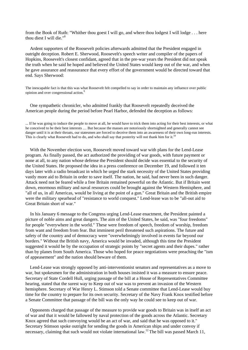from the Book of Ruth: "Whither thou goest I will go, and where thou lodgest I will lodge . . . here thou diest I will die."8

Ardent supporters of the Roosevelt policies afterwards admitted that the President engaged in outright deception. Robert E. Sherwood, Roosevelt's speech writer and compiler of the papers of Hopkins, Roosevelt's closest confidant, agreed that in the pre-war years the President did not speak the truth when he said he hoped and believed the United States would keep out of the war, and when he gave assurance and reassurance that every effort of the government would be directed toward that end. Says Sherwood:

The inescapable fact is that this was what Roosevelt felt compelled to say in order to maintain any influence over public opinion and over congressional action.<sup>9</sup>

One sympathetic chronicler, who admitted frankly that Roosevelt repeatedly deceived the American people during the period before Pearl Harbor, defended the deception as follows:

... If he was going to induce the people to move at all, he would have to trick them into acting for their best interests, or what he conceived to be their best interests .... But because the masses are notoriously shortsighted and generally cannot see danger until it is at their throats, our statesmen are forced to deceive them into an awareness of their own long-run interests. This is clearly what Roosevelt had to do, and who shall say that posterity will not thank him for it.<sup>10</sup>

With the November election won, Roosevelt moved toward war with plans for the Lend-Lease program. As finally passed, the act authorized the providing of war goods, with future payment or none at all, to any nation whose defense the President should decide was essential to the security of the United States. He proposed the idea in a press conference on December 19, and followed it ten days later with a radio broadcast in which he urged the stark necessity of the United States providing vastly more aid to Britain in order to save itself. The nation, he said, had never been in such danger. Attack need not be feared while a free Britain remained powerful on the Atlantic. But if Britain went down, enormous military and naval resources could be brought against the Western Hemisphere, and "all of us, in all Americas, would be living at the point of a gun." Great Britain and the British empire were the military spearhead of "resistance to world conquest." Lend-lease was to be "all-out aid to Great Britain short of war."

In his January 6 message to the Congress urging Lend-Lease enactment, the President painted a picture of noble aims and great dangers. The aim of the United States, he said, was "four freedoms" for people "everywhere in the world." These were freedom of speech, freedom of worship, freedom from want and freedom from fear. But imminent peril threatened such aspirations. The future and safety of the country and of democracy were "overwhelmingly involved in events far beyond our borders." Without the British navy, America would be invaded, although this time the President suggested it would be by the occupation of strategic points by "secret agents and their dupes." rather than by planes from South America. Those who hoped for peace negotiations were preaching the "ism of appeasement" and the nation should beware of them.

Lend-Lease was strongly opposed by anti-interventionist senators and representatives as a move to war, but spokesmen for the administration in both houses insisted it was a measure to ensure peace. Secretary of State Cordell Hull, urging passage of the bill at a House of Representatives Committee hearing, stated that the surest way to Keep out of war was to prevent an invasion of the Western hemisphere. Secretary of War Henry L. Stimson told a Senate committee that Lend-Lease would buy time for the country to prepare for its own security. Secretary of the Navy Frank Knox testified before a Senate Committee that passage of the bill was the only way he could see to keep out of war.

Opponents charged that passage of the measure to provide war goods to Britain was in itself an act of war and that it would be fallowed by naval protection of the goods across the Atlantic. Secretary Knox agreed that such convoying would be an act of war, and said that he was opposed to it." Secretary Stimson spoke outright for sending the goods in American ships and under convoy if necessary, claiming that such would not violate international law.<sup>12</sup> The bill was passed March 11,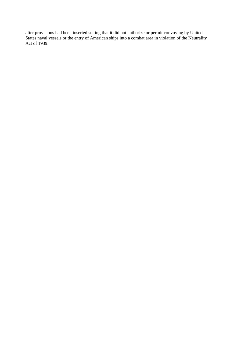after provisions had been inserted stating that it did not authorize or permit convoying by United States naval vessels or the entry of American ships into a combat area in violation of the Neutrality Act of 1939.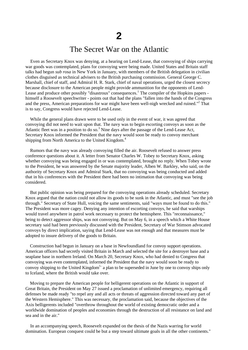#### The Secret War on the Atlantic

Even as Secretary Knox was denying, at a hearing on Lend-Lease, that convoying of ships carrying war goods was contemplated, plans for convoying were being made. United States and Britain staff talks had begun *sub rosa* in New York in January, with members of the British delegation in civilian clothes disguised as technical advisers to the British purchasing commission. General George C. Marshall, chief of staff, and Admiral H. R. Stark, chief of naval operations, urged the closest secrecy because disclosure to the American people might provide ammunition for the opponents of Lend-Lease and produce other possibly "disastrous" consequences.<sup>1</sup> The compiler of the Hopkins papers himself a Roosevelt speechwriter - points out that had the plans "fallen into the hands of the Congress and the press, American preparations for war might have been well-nigh wrecked and ruined."<sup>2</sup> That is to say, Congress would have rejected Lend-Lease.

While the general plans drawn were to be used only in the event of war, it was agreed that convoying did not need to wait upon that. The navy was to begin escorting convoys as soon as the Atlantic fleet was in a position to do so.<sup>3</sup> Nine days after the passage of the Lend-Lease Act, Secretary Knox informed the President that the navy would soon be ready to convoy merchant shipping from North America to the United Kingdom.<sup>4</sup>

Rumors that the navy was already convoying filled the air. Roosevelt refused to answer press conference questions about it. A letter from Senator Charles W. Tobey to Secretary Knox, asking whether convoying was being engaged in or was contemplated, brought no reply. When Tobey wrote to the President, he was answered by the Senate majority leader, Alben W. Barkley, who said, on the authority of Secretary Knox and Admiral Stark, that no convoying was being conducted and added that in his conferences with the President there had been no intimation that convoying was being considered.

But public opinion was being prepared for the convoying operations already scheduled. Secretary Knox argued that the nation could not allow its goods to be sunk in the Atlantic, and must "see the job through." Secretary of State Hull, voicing the same sentiments, said "ways must be found to do this." The President was more cagey. Denying any intention of escorting convoys, he said that warships would travel anywhere in patrol work necessary to protect the hemisphere. This "reconnaissance," being to detect aggressor ships, was not convoying. But on May 6, in a speech which a White House secretary said had been previously discussed with the President, Secretary of War Stimson advocated convoys by direct implication, saying that Lend-Lease was not enough and that measures must be adopted to insure delivery of the goods to Britain.

Construction had begun in January on a base in Newfoundland for convoy support operations. American officers had secretly visited Britain in March and selected the site for a destroyer base and a seaplane base in northern Ireland. On March 20, Secretary Knox, who had denied to Congress that convoying was even contemplated, informed the President that the navy would soon be ready to convoy shipping to the United Kingdom<sup>5-</sup> a plan to be superseded in June by one to convoy ships only to Iceland, where the British would take over.

Moving to prepare the American people for belligerent operations on the Atlantic in support of Great Britain, the President on May 27 issued a proclamation of unlimited emergency, requiring all defenses be made ready "to repel any and all acts or threats of aggression directed toward any part of the Western Hemisphere." This was necessary, the proclamation said, because the objectives of the Axis belligerents included "overthrow throughout the world of existing democratic order and a worldwide domination of peoples and economies through the destruction of all resistance on land and sea and in the air."

In an accompanying speech, Roosevelt expanded on the thesis of the Nazis warring for world domination. European conquest could be but a step toward ultimate goals in all the other continents."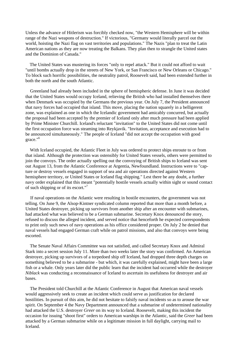Unless the advance of Hitlerism was forcibly checked now, "the Western Hemisphere will be within range of the Nazi weapons of destruction." If victorious, "Germany would literally parcel out the world, hoisting the Nazi flag on vast territories and populations." The Nazis "plan to treat the Latin American nations as they are now treating the Balkans. They plan then to strangle the United states and the Dominion of Canada."

The United States was mustering its forces "only to repel attack." But it could not afford to wait "until bombs actually drop in the streets of New York, or San Francisco or New Orleans or Chicago." To block such horrific possibilities, the neutrality patrol, Roosevelt said, had been extended further in both the north and the south Atlantic.

Greenland had already been included in the sphere of hemispheric defense. In June it was decided that the United States would occupy Iceland, relieving the British who had installed themselves there when Denmark was occupied by the Germans the previous year. On July 7, the President announced that navy forces had occupied that island. This move, placing the nation squarely in a belligerent zone, was explained as one in which the Icelandic government had amicably concurred, but actually the proposal had been accepted by the premier of Iceland only after much pressure had been applied by Prime Minister Churchill. Iceland's reluctant "invitation" to the United States did not come until the first occupation force was steaming into Reykjavik. "Invitation, acceptance and execution had to be announced simultaneously." The people of Iceland "did not accept the occupation with good grace."<sup>6</sup>

With Iceland occupied, the Atlantic Fleet in July was ordered to protect ships enroute to or from that island. Although the protection was ostensibly for United States vessels, others were permitted to join the convoys. The order actually spelling out the convoying of British ships to Iceland was sent out August 13, from the Atlantic Conference at Argentia, Newfoundland. Instructions were to "capture or destroy vessels engaged in support of sea and air operations directed against Western hemisphere territory, or United States or Iceland flag shipping." Lest there be any doubt, a further navy order explained that this meant "potentially hostile vessels actually within sight or sound contact of such shipping or of its escort."7

If naval operations on the Atlantic were resulting in hostile encounters, the government was not telling. On June 9, the Alsop-Kintner syndicated column reported that more than a month before, a United States destroyer, picking up survivors from another ship after an encounter with submarines, had attacked what was believed to be a German submarine. Secretary Knox denounced the story, refused to discuss the alleged incident, and served notice that henceforth he expected correspondents to print only such news of navy operations as his office considered proper. On July 2 he denied that naval vessels had engaged German craft while on patrol missions, and also that convoys were being escorted.

The Senate Naval Affairs Committee was not satisfied, and called Secretary Knox and Admiral Stark into a secret session July 11. More than two weeks later the story was confirmed. An American destroyer, picking up survivors of a torpedoed ship off Iceland, had dropped three depth charges on something believed to be a submarine - but which, it was carefully explained, might have been a large fish or a whale. Only years later did the public learn that the incident had occurred while the destroyer *Niblack* was conducting a reconnaissance of Iceland to ascertain its usefulness for destroyer and air bases.

The President told Churchill at the Atlantic Conference in August that American naval vessels would aggressively seek to create an incident which could serve as justification for declared hostilities. In pursuit of this aim, he did not hesitate to falsify naval incidents so as to arouse the war spirit. On September 4 the Navy Department announced that a submarine of undetermined nationality had attacked the U.S. destroyer *Greer* on its way to Iceland. Roosevelt, making this incident the occasion for issuing "shoot first" orders to American warships in the Atlantic, said the *Greer* had been attacked by a German submarine while on a legitimate mission in full daylight, carrying mail to Iceland.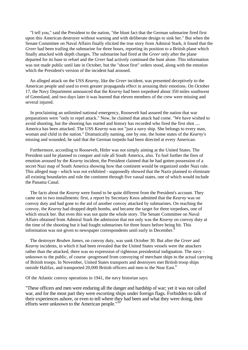"I tell you," said the President to the nation, "the blunt fact that the German submarine fired first upon this American destroyer without warning and with deliberate design to sink her." But when the Senate Committee on Naval Affairs finally elicited the true story from Admiral Stark, it found that the *Greer* had been trailing the submarine for three hours, reporting its position to a British plane which finally attacked with depth charges. The submarine had fired at the *Greer* only after the plane departed for its base to refuel and the *Greer* had actively continued the hunt alone. This information was not made public until late in October, but the "shoot first" orders stood, along with the emotion which the President's version of the incident had aroused.

An alleged attack on the USS *Kearny,* like the *Greer* incident, was presented deceptively to the American people and used to even greater propaganda effect in arousing their emotions. On October 17, the Navy Department announced that the *Kearny* had been torpedoed about 350 miles southwest of Greenland, and two days later it was learned that eleven members of the crew were missing and several injured.

In proclaiming an unlimited national emergency, Roosevelt had assured the nation that war preparations were "only to repel attack." Now, he claimed that attack had come. "We have wished to avoid shooting, but the shooting has started and history has recorded who fired the first shot .... America has been attacked. The USS *Kearny* was not "just a navy ship. She belongs to every man, woman and child in the nation." Dramatically naming, one by one, the home states of the *Kearny's*  missing and wounded, he said that the German torpedo had been directed at every American.

Furthermore, according to Roosevelt, Hitler was not simply aiming at the United States. The President said he planned to conquer and rule all South America, also. To fuel further the fires of emotion aroused by the *Kearny* incident, the President claimed that he had gotten possession of a secret Nazi map of South America showing how that continent would be organized under Nazi rule. This alleged map - which was not exhibited - supposedly showed that the Nazis planned to eliminate all existing boundaries and rule the continent through five vassal states, one of which would include the Panama Canal.

The facts about the *Kearny* were found to be quite different from the President's account. They came out in two installments: first, a report by Secretary Knox admitted that the *Kearny* was on convoy duty and had gone to the aid of another convoy attacked by submarines. On reaching the convoy, the *Kearny* had dropped depth bombs, and became the target for three torpedoes, one of which struck her. But even this was not quite the whole story. The Senate Committee on Naval Affairs obtained from Admiral Stark the admission that not only was the *Kearny* on convoy duty at the time of the shooting but it had fought submarines for three hours before being hit. This information was not given to newspaper correspondents until early in December.<sup>8</sup>

The destroyer *Reuben James,* on convoy duty, was sunk October 30. But after the *Greer* and *Kearny* incidents, in which it had been revealed that the United States vessels were the attackers rather than the attacked, there was no expression of righteous presidential indignation. The navy unknown to the public, of course -progressed from convoying of merchant ships to the actual carrying of British troops. In November, United States transports and destroyers met British troop ships outside Halifax, and transported 20,000 British officers and men to the Near East.<sup>9</sup>

Of the Atlantic convoy operations in 1941, the navy historian says:

"These officers and men were enduring all the danger and hardship of war; yet it was not called war, and for the most part they were escorting ships under foreign flags. Forbidden to talk of their experiences ashore, or even to tell where they had been and what they were doing, their efforts were unknown to the American people."10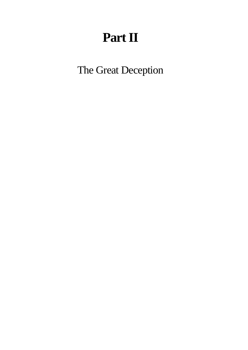# **Part II**

The Great Deception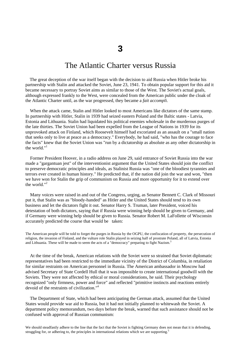### The Atlantic Charter versus Russia

The great deception of the war itself began with the decision to aid Russia when Hitler broke his partnership with Stalin and attacked the Soviet, June 23, 1941. To obtain popular support for this aid it became necessary to portray Soviet aims as similar to those of the West. The Soviet's actual goals, although expressed frankly to the West, were concealed from the American public under the cloak of the Atlantic Charter until, as the war progressed, they became a *fait accompli.*

When the attack came, Stalin and Hitler looked to most Americans like dictators of the same stamp. In partnership with Hitler, Stalin in 1939 had seized eastern Poland and the Baltic states - Latvia, Estonia and Lithuania. Stalin had liquidated his political enemies wholesale in the murderous purges of the late thirties. The Soviet Union had been expelled from the League of Nations in 1939 for its unprovoked attack on Finland, which Roosevelt himself had excoriated as an assault on a "small nation that seeks only to live at peace as a democracy." Everybody, he had said, "who has the courage to face the facts" knew that the Soviet Union was "run by a dictatorship as absolute as any other dictatorship in the world." $1$ 

Former President Hoover, in a radio address on June 29, said entrance of Soviet Russia into the war made a "gargantuan jest" of the interventionist argument that the United States should join the conflict to preserve democratic principles and ideals, as Stalinist Russia was "one of the bloodiest tyrannies and terrors ever created in human history." He predicted that, if the nation did join the war and won, "then we have won for Stalin the grip of communism on Russia and more opportunity for it to extend over the world."<sup>2</sup>

Many voices were raised in and out of the Congress, urging, as Senator Bennett C. Clark of Missouri put it, that Stalin was as "bloody-handed" as Hitler and the United States should tend to its own business and let the dictators fight it out. Senator Harry S. Truman, later President, voiced his detestation of both dictators, saying that if Russia were winning help should be given to Germany, and if Germany were winning help should be given to Russia. Senator Robert M. LaFollette of Wisconsin accurately predicted the course that would be taken:

The American people will be told to forget the purges in Russia by the OGPU, the confiscation of property, the persecution of religion, the invasion of Finland, and the vulture role Stalin played in seizing half of prostrate Poland, all of Latvia, Estonia and Lithuania. These will be made to seem the acts of a "democracy" preparing to fight Nazism.<sup>3</sup>

At the time of the break, American relations with the Soviet were so strained that Soviet diplomatic representatives had been restricted to the immediate vicinity of the District of Columbia, in retaliation for similar restraints on American personnel in Russia. The American ambassador in Moscow had advised Secretary of State Cordell Hull that it was impossible to create international goodwill with the Soviets. They were not affected by ethical or moral considerations, he said. Their psychology recognized "only firmness, power and force" and reflected "primitive instincts and reactions entirely devoid of the restraints of civilization."4

The Department of State, which had been anticipating the German attack, assumed that the United States would provide war aid to Russia, but it had not initially planned to whitewash the Soviet. A department policy memorandum, two days before the break, warned that such assistance should not be confused with approval of Russian communism: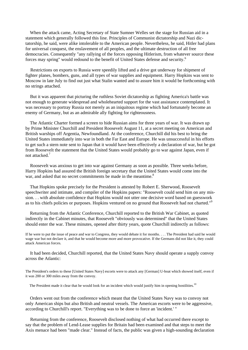When the attack came, Acting Secretary of State Sumner Welles set the stage for Russian aid in a statement which generally followed this line. Principles of Communist dictatorship and Nazi dictatorship, he said, were alike intolerable to the American people. Nevertheless, he said, Hitler had plans for universal conquest, the enslavement of all peoples, and the ultimate destruction of all free democracies. Consequently "any rallying of the forces opposing Hitlerism, from whatever source these forces may spring" would redound to the benefit of United States defense and security.6

Restrictions on exports to Russia were speedily lifted and a drive got underway for shipment of fighter planes, bombers, guns, and all types of war supplies and equipment. Harry Hopkins was sent to Moscow in late July to find out just what Stalin wanted and to assure him it would be forthcoming with no strings attached.

But it was apparent that picturing the ruthless Soviet dictatorship as fighting America's battle was not enough to generate widespread and wholehearted support for the vast assistance contemplated. It was necessary to portray Russia not merely as an iniquitous regime which had fortunately become an enemy of Germany, but as an admirable ally fighting for righteousness.

The Atlantic Charter formed a screen to hide Russian aims for three years of war. It was drawn up by Prime Minister Churchill and President Roosevelt August 11, at a secret meeting on American and British warships off Argentia, Newfoundland. At the conference, Churchill did his best to bring the United States immediately into war in both the Far East and Europe. He was unsuccessful in his efforts to get such a stern note sent to Japan that it would have been effectively a declaration of war, but he got from Roosevelt the statement that the United States would probably go to war against Japan, even if not attacked.<sup>7</sup>

Roosevelt was anxious to get into war against Germany as soon as possible. Three weeks before, Harry Hopkins had assured the British foreign secretary that the United States would come into the war, and asked that no secret commitments be made in the meantime.<sup>8</sup>

That Hopkins spoke precisely for the President is attested by Robert E. Sherwood, Roosevelt speechwriter and intimate, and compiler of the Hopkins papers: "Roosevelt could send him on any mission. . . with absolute confidence that Hopkins would not utter one decisive word based on guesswork as to his chiefs policies or purposes. Hopkins ventured on no ground that Roosevelt had not charted."9

Returning from the Atlantic Conference, Churchill reported to the British War Cabinet, as quoted indirectly in the Cabinet minutes, that Roosevelt "obviously was determined" that the United States should enter the war. These minutes, opened after thirty years, quote Churchill indirectly as follows:

If he were to put the issue of peace and war to Congress, they would debate it for months. . . . The President had said he would wage war but not declare it, and that he would become more and more provocative. If the Germans did not like it, they could attack American forces.

It had been decided, Churchill reported, that the United States Navy should operate a supply convoy across the Atlantic:

The President's orders to these [United States Navy] escorts were to attack any [German] U-boat which showed itself, even if it was 200 or 300 miles away from the convoy.

The President made it clear that he would look for an incident which would justify him in opening hostilities.<sup>10</sup>

Orders went out from the conference which meant that the United States Navy was to convoy not only American ships but also British and neutral vessels. The American escorts were to be aggressive, according to Churchill's report. "Everything was to be done to force an 'incident.' "

Returning from the conference, Roosevelt disclosed nothing of what had occurred there except to say that the problem of Lend-Lease supplies for Britain had been examined and that steps to meet the Axis menace had been "made clear." Instead of facts, the public was given a high-sounding declaration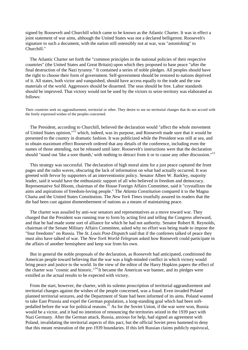signed by Roosevelt and Churchill which came to be known as the Atlantic Charter. It was in effect a joint statement of war aims, although the United States was not a declared belligerent. Roosevelt's signature to such a document, with the nation still ostensibly not at war, was "astonishing" to Churchill."

The Atlantic Charter set forth the "common principles in the national policies of their respective countries" (the United States and Great Britain) upon which they proposed to base peace "after the final destruction of the Nazi tyranny." It contained a series of noble pledges. All peoples should have the right to choose their form of government. Self-government should be restored to nations deprived of it. All states, both victor and vanquished, should have access equally to the trade and the raw materials of the world. Aggressors should be disarmed. The seas should be free. Labor standards should be improved. That victory would not be used by the victors to seize territory was elaborated as follows:

Their countries seek no aggrandizement, territorial or other. They desire to see no territorial changes that do not accord with the freely expressed wishes of the peoples concerned.

The President, according to Churchill, believed the declaration would "affect the whole movement of United States opinion,"<sup>12</sup> which, indeed, was its purpose, and Roosevelt made sure that it would be presented to the country in dramatic fashion. It was publicized while the President was still at sea, and to obtain maximum effect Roosevelt ordered that any details of the conference, including even the names of those attending, not be released until later. Roosevelt's instructions were that the declaration should "stand out 'like a sore thumb,' with nothing to detract from it or to cause any other discussion."<sup>13</sup>

This strategy was successful. The declaration of high moral aims for a just peace captured the front pages and the radio waves, obscuring the lack of information on what had actually occurred. It was greeted with fervor by supporters of an interventionist policy. Senator Alben W. Barkley, majority leader, said it would have the enthusiastic support of all who believed in freedom and democracy. Representative Sol Bloom, chairman of the House Foreign Affairs Committee, said it "crystallizes the aims and aspirations of freedom-loving people." The *Atlanta Constitution* compared it to the Magna Charta and the United States Constitution. The *New York Times* trustfully assured its readers that the die had been cast against dismemberment of nations as a means of maintaining peace.

The charter was assailed by anti-war senators and representatives as a move toward war. They charged that the President was running true to form by acting first and telling the Congress afterward, and that he had made some sort of alliance for which he had not authority. Senator Robert R. Reynolds, chairman of the Senate Military Affairs Committee, asked why no effort was being made to impose the "four freedoms" on Russia. The *St. Louis Post-Dispatch* said that if the conferees talked of peace they must also have talked of war. The *New York World-Telegram* asked how Roosevelt could participate in the affairs of another hemisphere and keep war from his own.

But in general the noble proposals of the declaration, as Roosevelt had anticipated, conditioned the American people toward believing that the war was a high-minded conflict in which victory would bring peace and justice to the world. In the view of the editor of the Harry Hopkins papers the effect of the charter was "cosmic and historic."14 It became the American war banner, and its pledges were extolled as the actual results to be expected with victory.

From the start, however, the charter, with its solemn proscription of territorial aggrandizement and territorial changes against the wishes of the people concerned, was a fraud. Even invaded Poland planned territorial seizures, and the Department of State had been informed of its aims. Poland wanted to take East Prussia and expel the German population, a long-standing goal which had been softpedalled before the war for political reasons.15 As for the Soviet Union, if the war were won, Russia would be a victor, and it had no intention of renouncing the territories seized in the 1939 pact with Nazi Germany. After the German attack, Russia, anxious for help, had signed an agreement with Poland, invalidating the territorial aspects of this pact, but the official Soviet press hastened to deny that this meant restoration of the pre-1939 boundaries. If this left Russian claims publicly equivocal,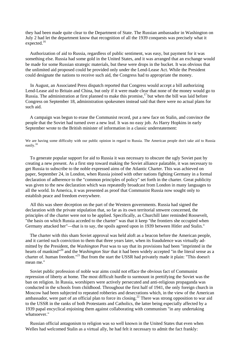they had been made quite clear to the Department of State. The Russian ambassador in Washington on July 2 had let the department know that recognition of all the 1939 conquests was precisely what it expected.<sup>16</sup>

Authorization of aid to Russia, regardless of public sentiment, was easy, but payment for it was something else. Russia had some gold in the United States, and it was arranged that an exchange would be made for some Russian strategic materials, but these were drops in the bucket. It was obvious that the unlimited aid proposed could be provided only under the Lend-Lease Act. While the President could designate the nations to receive such aid, the Congress had to appropriate the money.

In August, an Associated Press dispatch reported that Congress would accept a bill authorizing Lend-Lease aid to Britain and China, but only if it were made clear that none of the money would go to Russia. The administration at first planned to make this promise, $17$  but when the bill was laid before Congress on September 18, administration spokesmen instead said that there were no actual plans for such aid.

A campaign was begun to erase the Communist record, put a new face on Stalin, and convince the people that the Soviet had turned over a new leaf. It was no easy job. As Harry Hopkins in early September wrote to the British minister of information in a classic understatement:

We are having some difficulty with our public opinion in regard to Russia. The American people don't take aid to Russia easily.<sup>18</sup>

To generate popular support for aid to Russia it was necessary to obscure the ugly Soviet past by creating a new present. As a first step toward making the Soviet alliance palatable, it was necessary to get Russia to subscribe to the noble expressed aims of the Atlantic Charter. This was achieved on paper, September 24, in London, when Russia joined with other nations fighting Germany in a formal declaration of adherence to the "common principles of policy" set forth in the charter. Great publicity was given to the new declaration which was repeatedly broadcast from London in many languages to all the world. In America, it was presented as proof that Communist Russia now sought only to establish peace and freedom everywhere.

All this was sheer deception on the part of the Western governments. Russia had signed the declaration with the private stipulation that, so far as its own territorial smwere concerned, the principles of the charter were not to be applied. Specifically, as Churchill later reminded Roosevelt, "the basis on which Russia acceded to the charter" was that it keep "the frontiers she occupied when Germany attacked her"—that is to say, the spoils agreed upon in 1939 between Hitler and Stalin."

The charter with this sham Soviet approval was held aloft as a beacon before the American people, and it carried such conviction to them that three years later, when its fraudulence was virtually admitted by the President, the *Washington Post* was to say that its provisions had been "imprinted in the hearts of mankind"20 and the *Washington Star* that it had been widely accepted "in the literal sense as a charter of. human freedom."21 But from the start the USSR had privately made it plain: "This doesn't mean me."

Soviet public profession of noble war aims could not efface the obvious fact of Communist repression of liberty at home. The most difficult hurdle to surmount in prettifying the Soviet was the ban on religion. In Russia, worshipers were actively persecuted and anti-religious propaganda was conducted in the schools from childhood. Throughout the first half of 1941, the only foreign church in Moscow had been subjected to repeated robberies and desecrations which, in the view of the American ambassador, were part of an official plan to force its closing.<sup>22</sup> There was strong opposition to war aid to the USSR in the ranks of both Protestants and Catholics, the latter being especially affected by a 1939 papal encyclical enjoining them against collaborating with communism "in any undertaking whatsoever."

Russian official antagonism to religion was so well known in the United States that even when Welles had welcomed Stalin as a virtual ally, he had felt it necessary to admit the fact frankly: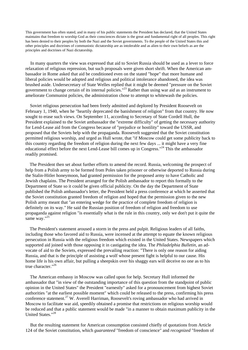This government has often stated, and in many of his public statements the President has declared, that the United States maintains that freedom to worship God as their consciences dictate is the great and fundamental right of all peoples. This right has been denied to their peoples by both the Nazi and the Soviet governments. To the people of the United States this and other principles and doctrines of communistic dictatorship are as intolerable and as alien to their own beliefs as are the principles and doctrines of Nazi dictatorship.

In many quarters the view was expressed that aid to Soviet Russia should be used as a lever to force relaxation of religious repression, but such proposals were given short shrift. When the American ambassador in Rome asked that aid be conditioned even on the stated "hope" that more humane and liberal policies would be adopted and religious and political intolerance abandoned, the idea was brushed aside. Undersecretary of State Welles replied that it might be deemed "pressure on the Soviet government to change certain of its internal policies."<sup>23</sup> Rather than using war aid as an instrument to change certain of its internal policies."<sup>23</sup> ameliorate Communist policies, the administration chose to attempt to whitewash the policies.

Soviet religious persecution had been freely admitted and deplored by President Roosevelt on February 1, 1940, when he "heartily deprecated the banishment of religion" from that country. He now sought to erase such views. On September 11, according to Secretary of State Cordell Hull, the President explained to the Soviet ambassador the "extreme difficulty" of getting the necessary authority for Lend-Lease aid from the Congress because of "prejudice or hostility" toward the USSR, and proposed that the Soviets help with the propaganda. Roosevelt suggested that the Soviet constitution permitted religious worship, and urged as Hull wrote, that "if Moscow could get some publicity back to this country regarding the freedom of religion during the next few days ... it might have a very fine educational effect before the next Lend-Lease bill comes up in Congress."24 This the ambassador readily promised.

The President then set about further efforts to amend the record. Russia, welcoming the prospect of help from a Polish army to be formed from Poles taken prisoner or otherwise deported to Russia during the Stalin-Hitler honeymoon, had granted permission for the proposed army to have Catholic and Jewish chaplains. The President arranged for the Polish ambassador to report this formally to the Department of State so it could be given official publicity. On the day the Department of State published the Polish ambassador's letter, the President held a press conference at which he asserted that the Soviet constitution granted freedom of religion and hoped that the permission given to the new Polish army meant that "an entering wedge for the practice of complete freedom of religion is definitely on its way." He said the Russian position of freedom of religion and freedom to use propaganda against religion "is essentially what is the rule in this country, only we don't put it quite the same way."<sup>25</sup>

The President's statement aroused a storm in the press and pulpit. Religious leaders of all faiths, including those who favored aid to Russia, were incensed at the attempt to equate the known religious persecution in Russia with the religious freedom which existed in the United States. Newspapers which supported aid joined with those opposing it in castigating the idea. The *Philadelphia Bulletin,* an advocate of aid to the Soviets, expressed the prevailing reaction: "There is only one reason for aiding Russia, and that is the principle of assisting a wolf whose present fight is helpful to our cause. His home life is his own affair, but pulling a sheepskin over his shaggy ears will deceive no one as to his true character."26

The American embassy in Moscow was called upon for help. Secretary Hull informed the ambassador that "in view of the outstanding importance of this question from the standpoint of public opinion in the United States" the President "earnestly" asked for a pronouncement from highest Soviet authorities "at the earliest possible moment" which could be released to the press, confirming his press conference statement.<sup>27</sup> W. Averell Harriman, Roosevelt's roving ambassador who had arrived in Moscow to facilitate war aid, speedily obtained a promise that restrictions on religious worship would be reduced and that a public statement would be made "in a manner to obtain maximum publicity in the United States."28

But the resulting statement for American consumption consisted chiefly of quotations from Article 124 of the Soviet constitution, which *guaranteed* "freedom of conscience" and *recognized* "freedom of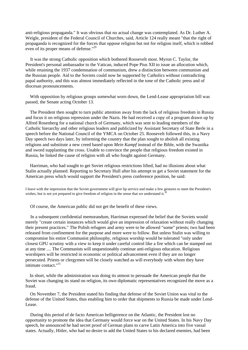anti-religious propaganda." It was obvious that no actual change was contemplated. As Dr. Luther A. Weigle, president of the Federal Council of Churches, said, Article 124 really meant "that the right of propaganda is recognized for the forces that oppose religion but not for religion itself, which is robbed even of its proper means of defense."29

It was the strong Catholic opposition which bothered Roosevelt most. Myron C. Taylor, the President's personal ambassador to the Vatican, induced Pope Pius XII to issue an allocution which, while retaining the 1937 condemnation of communism, drew a distinction between communism and the Russian people. Aid to the Soviets could now be supported by Catholics without contradicting papal authority, and this was almost immediately reflected in the tone of the Catholic press and of diocesan pronouncements.

With opposition by religious groups somewhat worn down, the Lend-Lease appropriation bill was passed, the Senate acting October 13.

The President then sought to turn public attention away from the lack of religious freedom in Russia and focus it on religious repression under the Nazis. He had received a copy of a program drawn up by Alfred Rosenberg for a national church of Germany, which was sent to leading members of the Catholic hierarchy and other religious leaders and publicized by Assistant Secretary of State Berle in a speech before the National Council of the YMCA on October 25. Roosevelt followed this, in a Navy Day speech two days later, by informing the country that the plan sought to abolish all existing religions and substitute a new creed based upon *Mein Kampf* instead of the Bible, with the Swastika and sword supplanting the cross. Unable to convince the people that religious freedom existed in Russia, he linked the cause of religion with all who fought against Germany.

Harriman, who had sought to get Soviet religious restrictions lifted, had no illusions about what Stalin actually planned. Reporting to Secretary Hull after his attempt to get a Soviet statement for the American press which would support the President's press conference position, he said:

I leave with the impression that the Soviet government will give lip service and make a few gestures to meet the President's wishes, but is not yet prepared to give freedom of religion in the sense that we understand it.<sup>3</sup>

Of course, the American public did not get the benefit of these views.

In a subsequent confidential memorandum, Harriman expressed the belief that the Soviets would merely "create certain instances which would give an impression of relaxation without really changing their present practices." The Polish refugees and army were to be allowed "some" priests; two had been released from confinement for the purpose and more were to follow. But unless Stalin was willing to compromise his entire Communist philosophy, religious worship would be tolerated "only under closest GPU scrutiny with a view to keep it under careful control like a fire which can be stamped out at any time .... The Communists will unquestionably continue anti-religious education. Religious worshipers will be restricted in economic or political advancement even if they are no longer persecuted. Priests or clergymen will be closely watched as will everybody with whom they have intimate contact."31

In short, while the administration was doing its utmost to persuade the American people that the Soviet was changing its stand on religion, its own diplomatic representatives recognized the move as a fraud.

On November 7, the President stated his finding that defense of the Soviet Union was vital to the defense of the United States, thus enabling him to order that shipments to Russia be made under Lend-Lease.

During this period of de facto American belligerence on the Atlantic, the President lost no opportunity to promote the idea that Germany would force war on the United States. In his Navy Day speech, he announced he had secret proof of German plans to carve Latin America into five vassal states. Actually, Hitler, who had no desire to add the United States to his declared enemies, had been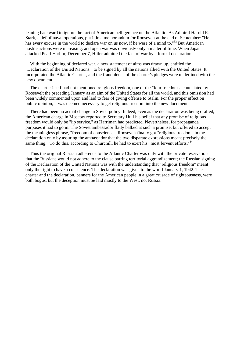leaning backward to ignore the fact of American belligerence on the Atlantic. As Admiral Harold R. Stark, chief of naval operations, put it in a memorandum for Roosevelt at the end of September: "He has every excuse in the world to declare war on us now, if he were of a mind to."<sup>32</sup> But American hostile actions were increasing, and open war was obviously only a matter of time. When Japan attacked Pearl Harbor, December 7, Hitler admitted the fact of war by a formal declaration.

With the beginning of declared war, a new statement of aims was drawn up, entitled the "Declaration of the United Nations," to be signed by all the nations allied with the United States. It incorporated the Atlantic Charter, and the fraudulence of the charter's pledges were underlined with the new document.

The charter itself had not mentioned religious freedom, one of the "four freedoms" enunciated by Roosevelt the preceding January as an aim of the United States for all the world, and this omission had been widely commented upon and laid to fear of giving offense to Stalin. For the proper effect on public opinion, it was deemed necessary to get religious freedom into the new document.

 There had been no actual change in Soviet policy. Indeed, even as the declaration was being drafted, the American charge in Moscow reported to Secretary Hull his belief that any promise of religious freedom would only be "lip service," as Harriman had predicted. Nevertheless, for propaganda purposes it had to go in. The Soviet ambassador flatly balked at such a promise, but offered to accept the meaningless phrase, "freedom of conscience." Roosevelt finally got "religious freedom" in the declaration only by assuring the ambassador that the two disparate expressions meant precisely the same thing." To do this, according to Churchill, he had to exert his "most fervent efforts."<sup>34</sup>

Thus the original Russian adherence to the Atlantic Charter was only with the private reservation that the Russians would not adhere to the clause barring territorial aggrandizement; the Russian signing of the Declaration of the United Nations was with the understanding that "religious freedom" meant only the right to have a conscience. The declaration was given to the world January 1, 1942. The charter and the declaration, banners for the American people in a great crusade of righteousness, were both bogus, but the deception must be laid mostly to the West, not Russia.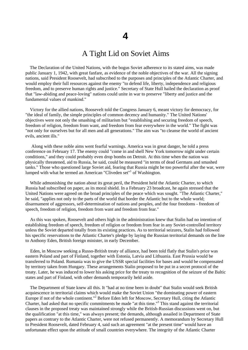### A Tight Lid on Soviet Aims

The Declaration of the United Nations, with the bogus Soviet adherence to its stated aims, was made public January 1, 1942, with great fanfare, as evidence of the noble objectives of the war. All the signing nations, said President Roosevelt, had subscribed to the purposes and principles of the Atlantic Charter, and would employ their full resources against the enemy "to defend life, liberty, independence and religious freedom, and to preserve human rights and justice." Secretary of State Hull hailed the declaration as proof that "law-abiding and peace-loving" nations could unite in war to preserve "liberty and justice and the fundamental values of mankind."

Victory for the allied nations, Roosevelt told the Congress January 6, meant victory for democracy, for "the ideal of family, the simple principles of common decency and humanity." The United Nations' objectives were not only the smashing of militarism but "establishing and securing freedom of speech, freedom of religion, freedom from want, and freedom from fear everywhere in the world." The fight was "not only for ourselves but for all men and all generations." The aim was "to cleanse the world of ancient evils, ancient ills."

Along with these noble aims went fearful warnings. America was in great danger, he told a press conference on February 17. The enemy could "come in and shell New York tomorrow night under certain conditions," and they could probably even drop bombs on Detroit. At this time when the nation was physically threatened, aid to Russia, he said, could be measured "in terms of dead Germans and smashed tanks." Those who questioned large Soviet aid, fearing that Russia might be too powerful after the war, were lumped with what he termed an American "Cliveden set"<sup>1</sup> of Washington.

While admonishing the nation about its great peril, the President held the Atlantic Charter, to which Russia had subscribed on paper, as its moral shield. In a February 23 broadcast, he again stressed that the United Nations were agreed on the broad principles of the peace which was sought. "The Atlantic Charter," he said, "applies not only to the parts of the world that border the Atlantic but to the whole world; disarmament of aggressors, self-determination of nations and peoples, and the four freedoms - freedom of speech, freedom of religion, freedom from want and freedom from fear."

As this was spoken, Roosevelt and others high in the administration knew that Stalin had no intention of establishing freedom of speech, freedom of religion or freedom from fear in any Soviet-controlled territory unless the Soviet departed totally from its existing practices. As to territorial seizures, Stalin had followed his specific reservations to the Atlantic Charter's pledge by laying the Russian territorial demands on the line to Anthony Eden, British foreign minister, in early December.

Eden, in Moscow seeking a Russo-British treaty of alliance, had been told flatly that Stalin's price was eastern Poland and part of Finland, together with Estonia, Latvia and Lithuania. East Prussia would be transferred to Poland. Rumania was to give the USSR special facilities for bases and would be compensated by territory taken from Hungary. These arrangements Stalin proposed to be put in a secret protocol of the treaty. Later, he was induced to lower his asking price for the treaty to recognition of the seizure of the Baltic states and part of Finland, with other demands temporarily held aside.

The Department of State knew all this. It "had at no time been in doubt" that Stalin would seek British acquiescence in territorial claims which would make the Soviet Union "the dominating power of eastern Europe if not of the whole continent."<sup>2</sup> Before Eden left for Moscow, Secretary Hull, citing the Atlantic Charter, had asked that no specific commitments be made "at this time."3 This stand against the territorial clauses in the proposed treaty was maintained strongly while the British-Russian discussions went on, but the qualification "at this time," was always present; the demands, although assailed in Department of State papers as contrary to the Atlantic Charter, were not refused permanently. A memorandum by Secretary Hull to President Roosevelt, dated February 4, said such an agreement "at the present time" would have an unfortunate effect upon the attitude of small countries everywhere. The integrity of the Atlantic Charter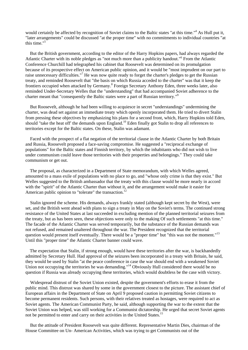would certainly be affected by recognition of Soviet claims to the Baltic states "at this time."<sup>4</sup> As Hull put it, "later arrangements" could be discussed "at the proper time" with no commitments to individual countries "at this time."5

But the British government, according to the editor of the Harry Hopkins papers, had always regarded the Atlantic Charter with its noble pledges as "not much more than a publicity handout."<sup>6</sup> From the Atlantic Conference Churchill had telegraphed his cabinet that Roosevelt was determined on its promulgation because of its prospective effect on American public opinion, and it would be "most imprudent on our part to raise unnecessary difficulties."<sup>7</sup> He was now quite ready to forget the charter's pledges to get the Russian treaty, and reminded Roosevelt that "the basis on which Russia acceded to the charter" was that it keep the frontiers occupied when attacked by Germany.<sup>8</sup> Foreign Secretary Anthony Eden, three weeks later, also reminded Under-Secretary Welles that the "understanding" that had accompanied Soviet adherence to the charter meant that "consequently the Baltic states were a part of Russian territory."<sup>9</sup>

But Roosevelt, although he had been willing to acquiesce in secret "understandings" undermining the charter, was dead set against an immediate treaty which openly incorporated them. He tried to divert Stalin from pressing these objectives by emphasizing his plans for a second front, which, Harry Hopkins told Eden, should "take the heat off' the demands upon England.<sup>10</sup> Eden finally got Stalin to drop all references to territories except for the Baltic states. On these, Stalin was adamant.

Faced with the prospect of a flat negation of the territorial clause in the Atlantic Charter by both Britain and Russia, Roosevelt proposed a face-saving compromise. He suggested a "reciprocal exchange of populations" for the Baltic states and Finnish territory, by which the inhabitants who did not wish to live under communism could leave those territories with their properties and belongings." They could take communism or get out.

The proposal, as characterized in a Department of State memorandum, with which Welles agreed, amounted to a mass exile of populations with no place to go, and "whose only crime is that they exist." But Welles suggested to the British ambassador that the treaty with this clause would be more nearly in accord with the "spirit" of the Atlantic Charter than without it, and the arrangement would make it easier for American public opinion to "tolerate" the transaction.<sup>1</sup>

Stalin ignored the scheme. His demands, always frankly stated (although kept secret by the West), were set, and the British went ahead with plans to sign a treaty in May on the Soviet's terms. The continued strong resistance of the United States at last succeeded in excluding mention of the planned territorial seizures from the treaty, but as has been seen, these objections were only to the making Of such settlements "at this time." The facade of the Atlantic Charter was served temporarily, but the substance of the Russian demands was not refused, and remained unaltered throughout the war. The President recognized that the territorial question would present itself eventually. There would be a "proper time" but "this was not the moment."<sup>13</sup> Until this "proper time" the Atlantic Charter banner could wave.

The expectation that Stalin, if strong enough, would have these territories after the war, is backhandedly admitted by Secretary Hull. Had approval of the seizures been incorporated in a treaty with Britain, he said, they would be used by Stalin "at the peace conference in case the war should end with a weakened Soviet Union not occupying the territories he was demanding."<sup>14</sup> Obviously Hull considered there would be no question if Russia was already occupying these territories, which would doubtless be the case with victory.

Widespread distrust of the Soviet Union existed, despite the government's efforts to erase it from the public mind. This distrust was shared by some in the government closest to the picture. The assistant chief of European affairs in the Department of State on April 9 proposed caution in permitting Soviet citizens to become permanent residents. Such persons, with their relatives treated as hostages, were required to act as Soviet agents. The American Communist Party, he said, although supporting the war to the extent that the Soviet Union was helped, was still working for a Communist dictatorship. He urged that secret Soviet agents not be permitted to enter and carry on their activities in the United States.<sup>15</sup>

But the attitude of President Roosevelt was quite different. Representative Martin Dies, chairman of the House Committee on Un- American Activities, which was trying to get Communists out of the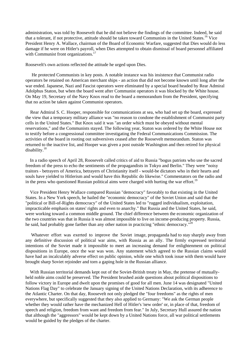administration, was told by Roosevelt that he did not believe the findings of the committee. Indeed, he said that a tolerant, if not protective, attitude should be taken toward Communists in the United States.<sup>16</sup> Vice President Henry A. Wallace, chairman of the Board of Economic Warfare, suggested that Dies would do less damage if he were on Hitler's payroll, when Dies attempted to obtain dismissal of board personnel affiliated with Communist front organizations.<sup>17</sup>

Roosevelt's own actions reflected the attitude he urged upon Dies.

 He protected Communists in key posts. A notable instance was his insistence that Communist radio operators be retained on American merchant ships - an action that did not become known until long after the war ended. Japanese, Nazi and Fascist operators were eliminated by a special board headed by Rear Admiral Adolphus Staton, but when the board went after Communist operators it was blocked by the White house. On May 19, Secretary of the Navy Knox read to the board a memorandum from the President, specifying that no action be taken against Communist operators.

Rear Admiral S. C. Hooper, responsible for communications at sea, who had set up the board, expressed the view that a temporary military alliance was "no reason to condone the establishment of Communist party cells in the United States." But Knox said it was "an order which must be obeyed without mental reservations," and the Communists stayed. The following year, Staton was ordered by the White House not to testify before a congressional committee investigating the Federal Communications Commission. The activities of the board in rooting out subversives ceased after the Roosevelt memorandum. Staton was returned to the inactive list, and Hooper was given a post outside Washington and then retired for physical disability.<sup>18</sup>

In a radio speech of April 28, Roosevelt called critics of aid to Russia "bogus patriots who use the sacred freedom of the press to echo the sentiments of the propagandists in Tokyo and Berlin." They were "noisy traitors - betrayers of America, betrayers of Christianity itself - would-be dictators who in their hearts and souls have yielded to Hitlerism and would have this Republic do likewise." Commentators on the radio and in the press who questioned Russian political aims were charged with hurting the war effort.<sup>19</sup>

Vice President Henry Wallace compared Russian "democracy" favorably to that existing in the United States. In a New York speech, he hailed the "economic democracy" of the Soviet Union and said that the "political or Bill-of-Rights democracy" of the United States led to "rugged individualism, exploitation, impracticable emphasis on states' rights and even to anarchy." But Russia and the United States, he said, were working toward a common middle ground. The chief difference between the economic organization of the two countries was that in Russia it was almost impossible to live on income-producing property. Russia, he said, had probably gone farther than any other nation in practicing "ethnic democracy."<sup>20</sup>

 Whatever effort was exerted to improve the Soviet image, propaganda had to stay sharply away from any definitive discussion of political war aims, with Russia as an ally. The firmly expressed territorial intentions of the Soviet made it impossible to meet an increasing demand for enlightenment on political dispositions in Europe, once the war was won. Any statement which agreed to the Russian claims would have had an incalculably adverse effect on public opinion, while one which took issue with them would have brought sharp Soviet rejoinder and torn a gaping hole in the Russian alliance.

With Russian territorial demands kept out of the Soviet-British treaty in May, the pretense of mutuallyheld noble aims could be preserved. The President brushed aside questions about political dispositions to follow victory in Europe and dwelt upon the promises of good for all men. June 14 was designated "United Nations Flag Day" to celebrate the January signing of the United Nations Declaration, with its adherence to the Atlantic Charter. On that day, Roosevelt not only pledged the "four freedoms" as the rights of men everywhere, but specifically suggested that they also applied to Germany: "We ask the German people whether they would rather have the mechanized Hell of Hitler's 'new order' or, in place of that, freedom of speech and religion, freedom from want and freedom from fear." In July, Secretary Hull assured the nation that although the "aggressors" would be kept down by a United Nations force, all war political settlements would be guided by the pledges of the charter.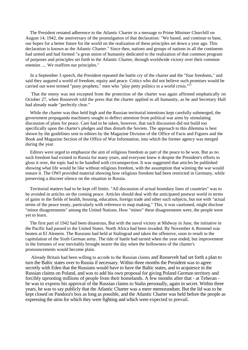The President restated adherence to the Atlantic Charter in a message to Prime Minister Churchill on August 14, 1942, the anniversary of the promulgation of that declaration: "We based, and continue to base, our hopes for a better future for the world on the realization of these principles set down a year ago. This declaration is known as the Atlantic Charter." Since then, nations and groups of nations in all the continents had united and had formed "a great union of humanity dedicated to the realization of that common program of purposes and principles set forth in the Atlantic Charter, through worldwide victory over their common enemies .... We reaffirm our principles."

In a September 3 speech, the President repeated the battle cry of the charter and the "four freedoms," and said they augured a world of freedom, equity and peace. Critics who did not believe such promises would be carried out were termed "puny prophets," men who "play petty politics in a world crisis."<sup>21</sup>

 That the eneny was not excepted from the protection of the charter was again affirmed emphatically on October 27, when Roosevelt told the press that the charter applied to all humanity, as he and Secretary Hull had already made "perfectly clear."

While the charter was thus held high and the Russian territorial intentions kept carefully submerged, the government propaganda machinery sought to deflect attention from political war aims by stimulating discussion of plans for peace. Care had to be taken, however, that such discussion did not build too specifically upon the charter's pledges and thus disturb the Soviets. The approach to this dilemma is best shown by the guidelines sent to editors by the Magazine Division of the Office of Facts and Figures and the Book and Magazine Section of the Office of War Information, into which the former agency was merged during the year.

Editors were urged to emphasize the aim of religious freedom as part of the peace to be won. But as no such freedom had existed in Russia for many years, and everyone knew it despite the President's efforts to gloss it over, the topic had to be handled with circumspection. It was suggested that articles be published showing what life would be like without religious freedom, with the assumption that winning the war would ensure it. The OWI provided material showing how religious freedom had been restricted in Germany, while preserving a discreet silence on the situation in Russia.

Territorial matters had to be kept off limits. "All discussion of actual boundary lines of countries" was to be avoided in articles on the coming peace. Articles should deal with the anticipated postwar world in terms of gains in the fields of health, housing, education, foreign trade and other such subjects, but not with "actual terms of the peace treaty, particularly with reference to map making." This, it was cautioned, might disclose "minor disagreements" among the United Nations. How "minor" these disagreements were, the people were yet to learn.

The first part of 1942 had been disastrous, But with the naval victory at Midway in June, the initiative in the Pacific had passed to the United States. North Africa had been invaded. By November 4, Rommel was beaten at El Alemein. The Russians had held at Stalingrad and taken the offensive, soon to result in the capitulation of the Sixth German army. The tide of battle had turned when the year ended, but improvement in the fortunes of war inevitably brought nearer the day when the hollowness of the charter's pronouncements would become plain.

 Already Britain had been willing to accede to the Russian claims and Roosevelt had set forth a plan to turn the Baltic states over to Russia if necessary. Within three months the President was to agree secretly with Eden that the Russians would have to have the Baltic states, and to acquiesce in the Russian claims on Poland, and was to add his own proposal for giving Poland German territory and forcibly uprooting millions of people from their homelands. A few months after that - at Teheran he was to express his approval of the Russian claims to Stalin personally, again in secret. Within three years, he was to say publicly that the Atlantic Charter was a mere memorandum. But the lid was to be kept closed on Pandora's box as long as possible, and the Atlantic Charter was held before the people as expressing the aims for which they were fighting and which were expected to prevail.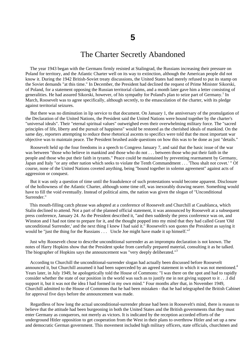### The Charter Secretly Abandoned

The year 1943 began with the Germans firmly resisted at Stalingrad, the Russians increasing their pressure on Poland for territory, and the Atlantic Charter well on its way to extinction, although the American people did not know it. During the 1942 British-Soviet treaty discussions, the United States had merely refused to put its stamp on the Soviet demands "at this time." In December, the President had declined the request of Prime Minister Sikorski, of Poland, for a statement opposing the Russian territorial claims, and a month later gave him a letter consisting of generalities. He had assured Sikorski, however, of his sympathy for Poland's plan to seize part of Germany.<sup>1</sup> In March, Roosevelt was to agree specifically, although secretly, to the emasculation of the charter, with its pledge against territorial seizures.

But there was no diminution in lip service to that document. On January 1, the anniversary of the promulgation of the Declaration of the United Nations, the President said the United Nations were bound together by the charter's "universal ideals". Their "eternal spiritual values" outweighed even their overwhelming military force. The "sacred principles of life, liberty and the pursuit of happiness" would be restored as the cherished ideals of mankind. On the same day, reporters attempting to reduce these rhetorical ascents to specifics were told that the most important war objective was to maintain peace. The President brushed aside questions on how this was to be done as just "details."

Roosevelt held up the four freedoms in a speech to Congress January 7, and said that the basic issue of the war was between "those who believe in mankind and those who do not . . . between those who put their faith in the people and those who put their faith in tyrants." Peace could be maintained by preventing rearmament by Germany, Japan and Italy "or any other nation which seeks to violate the Tenth Commandment . . . 'Thou shalt not covet.' " Of course, none of the United Nations coveted anything, being "bound together in solemn agreement" against acts of aggression or conquest.

But it was only a question of time until the fraudulence of such protestations would become apparent. Disclosure of the hollowness of the Atlantic Charter, although some time off, was inexorably drawing nearer. Something would have to fill the void eventually. Instead of political aims, the nation was given the slogan of "Unconditional Surrender."

This mouth-filling catch phrase was adopted at a conference of Roosevelt and Churchill at Casablanca, which Stalin declined to attend. Not a part of the planned official statement, it was announced by Roosevelt at a subsequent press conference, January 24. As the President described it, "and then suddenly the press conference was on, and Winston and I had not time to prepare for it, and the thought popped into my mind that they had called Grant 'Old unconditional Surrender,' and the next thing I knew I had said it." Roosevelt's son quotes the President as saying it would be "just the thing for the Russians  $\ldots$  Uncle Joe might have made it up himself."

Just why Roosevelt chose to describe unconditional surrender as an impromptu declaration is not known. The notes of Harry Hopkins show that the President spoke from carefully prepared material, consulting it as he talked. The biographer of Hopkins says the announcement was "very deeply deliberated."<sup>3</sup>

According to Churchill the unconditional-surrender slogan had actually been discussed before Roosevelt announced it, but Churchill assumed it had been superceded by an agreed statement in which it was not mentioned.<sup>4</sup> Years later, in July 1949, he apologetically told the House of Commons: "I was there on the spot and had to rapidly consider whether the state of our position in the world was such as to justify me in not giving support to it . . .I did support it, but it was not the idea I had formed in my own mind." Four months after that, in November 1949, Churchill admitted to the House of Commons that he had been mistaken - that he had telegraphed the British Cabinet for approval five days before the announcement was made.

Regardless of how long the actual unconditional-surrender phrase had been in Roosevelt's mind, there is reason to believe that the attitude had been burgeoning in both the United States and the British governments that they must enter Germany as conquerors, not merely as victors. It is indicated by the reception accorded efforts of the underground Hitler opposition to get cooperation from the West in their plans to overthrow Hitler and set up a new and democratic German government. This movement included high military officers, state officials, churchmen and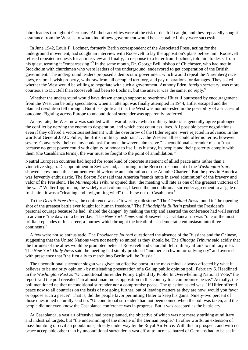labor leaders throughout Germany. All their activities were at the risk of death if caught, and they repeatedly sought assurance from the West as to what kind of new government would be acceptable if they were successful.

In June 1942, Louis P. Lochner, formerly Berlin correspondent of the Associated Press, acting for the underground movement, had sought an interview with Roosevelt to lay the opposition's plans before him. Roosevelt refused repeated requests for an interview and finally, in response to a letter from Lochner, told him to desist from his quest, terming it "embarrassing."<sup>5</sup> In the same month, Dr. George Bell, bishop of Chichester, who had met in Stockholm with churchmen who were leaders of the underground, endeavored to get cooperation of the British government. The underground leaders proposed a democratic government which would repeal the Nuremberg race laws, restore Jewish property, withdraw from all occupied territory, and pay reparations for damages. They asked whether the West would be willing to negotiate with such a government. Anthony Eden, foreign secretary, was more courteous to Dr. Bell than Roosevelt had been to Lochner, but the answer was the same: no reply.<sup>6</sup>

Whether the underground would have drawn enough support to overthrow Hitler if buttressed by encouragement from the West can be only speculation; when an attempt was finally attempted in 1944, Hitler escaped and the planned revolution fell through. But it is significant that the West was not interested in the possibility of a successful outcome. Fighting across Europe to unconditional surrender was apparently preferred.

At any rate, the West now was saddled with a war objective which military historians generally agree prolonged the conflict by nerving the enemy to desperation, and which cost countless lives. All possible peace negotiations, even if they offered a victorious settlement with the overthrow of the Hitler regime, were rejected in advance. In the words of General J.F.C. Fuller, the British military historian,". . . the Western allies could offer no terms, however severe. Conversely, their enemy could ask for none, however submissive." Unconditional surrender meant "that because no great power could with dignity or honor to itself, its history, its people and their posterity comply with them (the Casablanca terms), the war must be fought to the point of annihilation."7

Neutral European countries had hoped for some kind of concrete statement of allied peace aims rather than a vindictive slogan. Disappointment in Switzerland, according to the Bern correspondent of the *Washington Star,*  showed "how much this continent would welcome an elaboration of the Atlanitc Charter." But the press in America was fervently enthusiastic. The *Boston Post* said that America "stands mute in awed admiration" of the bravery and valor of the President. The *Minneapolis Tribune* opined that "the meeting will rate as one of the greatest victories of the war." Walter Lipp-mann, the widely read columnist, likened the unconditional surrender agreement to a "gale of fresh air"; it was a "cleaning and invigorating wind" that blew out of Casablanca.<sup>8</sup>

To the *Detroit Free Press,* the conference was a "towering milestone." The *Cleveland News* found it "the opening shot of the greatest battle ever fought for human freedom." The *Philadelphia Bulletin* praised the President's personal courage because he had "shared the danger" by making the trip and asserted the conference had well served to advance "the dawn of a better day." The *New York Times* said Roosevelt's Casablanca trip was "one of the most brilliant episodes of his career; a journey which brought the breath of . . . democratic enthusiasm into three continents."

A few were not so enthusiastic. The *Providence Journal* questioned the absence of the Russians and the Chinese, suggesting that the United Nations were not nearly so united as they should be. The *Chicago Tribune* said acidly that the fortunes of the allies would be promoted better if Roosevelt and Churchill left military affairs to military men. The *New York Daily News* said the meeting had simply produced "another catchword or rallying cry" and averred with prescience that "the first ally to march into Berlin will be Russia."

The unconditional surrender slogan was given an effective boost in the mass mind - always affected by what it believes to be majority opinion - by misleading presentation of a Gallup public opinion poll, February 6. Headlined in the *Washington Post* as "Unconditional Surrender Policy Upheld By Public In Overwhelming National Vote," the report said the poll revealed "an almost unanimous opposition in this country to a compromise peace." Actually, the poll mentioned neither unconditional surrender nor a compromise peace. The question asked was: "If Hitler offered peace now to all countries on the basis of not going further, but of leaving matters as they are now, would you favor or oppose such a peace?" That is, did the people favor permitting Hitler to keep his gains. Ninety-two percent of those questioned naturally said no. "Unconditional surrender" had not been coined when the poll was taken, and the people did not even know the Casablanca conference was in progress. But it was accepted as the battle cry.

At Casablanca, a vast air offensive had been planned, the objective of which was not merely striking at military and industrial targets, but "the undermining of the morale of the German people." In other words, an extension of mass bombing of civilian populations, already under way by the Royal Air Force. With this in prospect, and with no peace acceptable other than by unconditional surrender, a vast effort to increase hatred of Germans had to be set in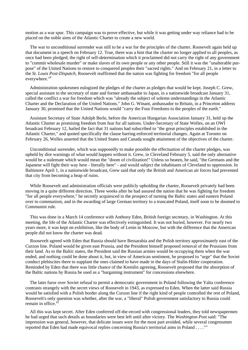motion as a war spur. This campaign was to prove effective, but while it was getting under way reliance had to be placed on the noble aims of the Atlantic Charter to create a new world.

The war to unconditional surrender was still to be a war for the principles of the charter. Roosevelt again held up that document in a speech on February 12. True, there was a hint that the charter no longer applied to all peoples, as once had been pledged; the right of self-determination which it proclaimed did not carry the right of any government to "commit wholesale murder" or make slaves of its own people or any other people. Still it was the "unalterable purpose" of the United Nations to restore to conquered peoples their "sacred rights." And on February 21, in a letter to the *St. Louis Post-Dispatch,* Roosevelt reaffirmed that the nation was fighting for freedom "for all people everywhere."<sup>9</sup>

Administration spokesmen eulogized the pledges of the charter as pledges that would be kept. Joseph C. Grew, special assistant to the secretary of state and former ambassador to Japan, in a nationwide broadcast January 31, called the conflict a war for freedom which was "already the subject of solemn understandings in the Atlantic Charter and the Declaration of the United Nations." John G. Winant, ambassador to Britain, in a Princeton address January 30, promised that the United Nations would "carry the Four Freedoms to the peoples of the earth."

Assistant Secretary of State Adolph Berle, before the American Hungarian Association January 31, held up the Atlantic Charter as promising freedom from fear for all nations. Under-Secretary of State Welles, on an OWI broadcast February 12, hailed the fact that 31 nations had subscribed to "the great principles established in the Atlantic Charter," and quoted specifically the clause barring enforced territorial changes. Again at Toronto on February 26, Welles asserted that the United States and Canada sought attainment of the objectives of the charter.

Unconditional surrender, which was supposedly to make possible the effectuation of the charter pledges, was upheld by dire warnings of what would happen without it. Grew, in Cleveland February 5, said the only alternative would be a stalemate which would mean the "doom of civilization!" Unless so beaten, he said, "the Germans and the Japanese will fight their way here - literally here" - and would subject the inhabitants of Cleveland to oppression. In Baltimore April 1, in a nationwide broadcast, Grew said that only the British and American air forces had prevented that city from becoming a heap of ruins.

While Roosevelt and administration officials were publicly upholding the charter, Roosevelt privately had been moving in a quite different direction. Three weeks after he had assured the nation that he was fighting for freedom "for all people everywhere," he secretly acquiesced in the prospect of turning the Baltic states and eastern Poland over to communism, and in the awarding of large German territory to a truncated Poland, itself soon to be doomed to Communist rule.

This was done in a March 14 conference with Anthony Eden, British foreign secretary, in Washington. At this meeting, the life of the Atlantic Charter was effectively extinguished. It was not buried, however. For nearly two years more, it was kept on exhibition, like the body of Lenin in Moscow, but with the difference that the American people did not know the charter was dead.

Roosevelt agreed with Eden that Russia should have Bessarabia and the Polish territory approximately east of the Curzon line. Poland would be given east Prussia, and the President himself proposed removal of the Prussians from their land. As to the Baltic states, the President said the Russian armies would be occupying them when the war ended, and nothing could be done about it, but, in view of American sentiment, he proposed to "urge" that the Soviet conduct plebiscites there to supplant the ones claimed to have made in the days of Stalin-Hitler cooperation. Reminded by Eden that there was little chance of the Kremlin agreeing, Roosevelt proposed that the absorption of the Baltic nations by Russia be used as a "bargaining instrument" for concessions elsewhere.

The later furor over Soviet refusal to permit a democratic government in Poland following the Yalta conference contrasts strangely with the secret views of Roosevelt in 1943, as expressed to Eden. When the latter said Russia would be satisfied with a Polish border along the Curzon line if the right kind of people controlled the rest of Poland, Roosevelt's only question was whether, after the war, a "liberal" Polish government satisfactory to Russia could remain in office. $10$ 

All this was kept secret. After Eden conferred off-the-record with congressional leaders, they told newspapermen he had urged that such details as boundaries were best left until after victory. The *Washington Post* said: "The impression was general, however, that delicate issues were for the most part avoided, while several congressmen reported that Eden had made equivocal replies concerning Russia's territorial aims in Poland . . . .""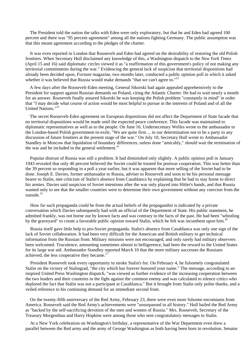The President told the nation the talks with Eden were only exploratory, but that he and Eden had agreed 100 percent and there was "95 percent agreement" among all the nations fighting Germany. The public assumption was that this meant agreement according to the pledges of the charter.

It was even reported in London that Roosevelt and Eden had agreed on the desirability of restoring the old Polish frontiers. When Secretary Hull disclaimed any knowledge of this, a Washington dispatch to the *New York Times*  (April 15 and 16) said diplomatic circles viewed it as "a reaffirmation of this government's policy of not making any territorial commitments during the war." Evidencing the general lack of suspicion that territorial dispositions had already been decided upon, *Fortune* magazine, two months later, conducted a public opinion poll in which it asked whether it was believed that Russia would make demands "that we can't agree to."<sup>12</sup>

A few days after the Roosevelt-Eden meeting, General Sikorski had again appealed apprehensively to the President for support against Russian demands on Poland, citing the Atlantic Charter. He had to wait nearly a month for an answer. Roosevelt finally assured Sikorski he was keeping the Polish problem "constantly in mind" in order that "I may decide what course of action would be most helpful to pursue in the interests of Poland and of all the United Nations."13

The secret Roosevelt-Eden agreement on European dispositions did not affect the Department of State facade that no territorial dispositions would be made until the expected peace conference. This facade was maintained to diplomatic representatives as well as to the people. On June 16, Undersecretary Welles wrote to the ambassador to the London-based Polish government-in-exile, "We are quite firm ... in our determination not to be a party to any discussion of future frontiers at the present stage of the war." On July 10, Secretary Hull wrote to Ambassador Standley in Moscow that liquidation of boundary differences, unless done "amicably," should wait the termination of the war and be included in the general settlement.<sup>4</sup>

Popular distrust of Russia was still a problem. It had diminished only slightly. A public opinion poll in January 1943 revealed that only 46 percent believed the Soviet could be trusted for postwar cooperation. This was better than the 39 percent so responding in a poll a year earlier, but it was apparent that more selling of the Soviet had to be done. Joseph E. Davies, former ambassador to Russia, adviser to Roosevelt and soon to be his personal message bearer to Stalin, met criticism of Stalin's absence from Casablanca by explaining that he had to stay home to direct his armies. Davies said suspicion of Soviet intentions after the war only played into Hitler's hands, and that Russia wanted only to see that the smaller countries were to determine their own government without any coercion from the outside.<sup>15</sup>

How far such propaganda could be from the actual beliefs of the propagandist is indicated by a private conversation which Davies subsequently had with an official of the Department of State. His public statement, he admitted frankly, was not borne out by known facts and was contrary to the facts of the past. He had been "whistling by the graveyard" to create a favorable public opinion toward Stalin, which he felt was incumbent upon him.<sup>16</sup>

Russia itself gave little help to pro-Soviet propaganda. Stalin's absence from Casablanca was only one sign of the lack of Soviet collaboration. It had been very difficult for the American and British military to get technical information from the Russian front. Military missions were not encouraged, and only rarely had military observers been welcomed. Truculence, amounting sometimes almost to belligerence, had been the reward to the United States for its large war aid. Ambassador Standley reported March 10 that the more military successes the Russians achieved, the less cooperative they became.<sup>1</sup>

President Roosevelt took every opportunity to stroke Stalin's fur. On February 4, he fulsomely congratulated Stalin on the victory of Stalingrad, "the city which has forever honored your name." The message, according to an inspired United Press Washington dispatch, "was viewed as further evidence of the increasing cooperation between the two leaders and their countries in the fight against the common enemy and was calculated to silence critics who deplored the fact that Stalin was not a participant at Casablanca." But it brought from Stalin only polite thanks, and a veiled reference to his continuing demand for an immediate second front.

On the twenty-fifth anniversary of the Red Army, February 23, there were even more fulsome encomiums from America. Roosevelt said the Red Army's achievements were "unsurpassed in all history." Hull hailed the Red Army as "backed by the self-sacrificing devotion of the men and women of Russia." Mrs. Roosevelt, Secretary of the Treasury Morgenthau and Harry Hopkins were among those who sent congratulatory messages to Stalin.

At a New York celebration on Washington's birthday, a representative of the War Department even drew a parallel between the Red army and the army of George Washington as both having been born in revolution. Senator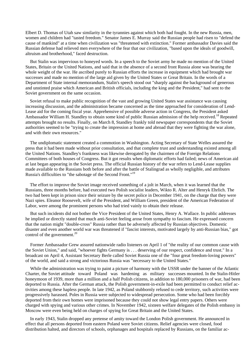Elbert D. Thomas of Utah saw similarity in the tyrannies against which both had fought. In the new Russia, men, women and children had "tasted freedom." Senator James E. Murray said the Russian people had risen to "defend the cause of mankind" at a time when civilization was "threatened with extinction." Former ambassador Davies said the Russian defense had relieved men everywhere of the fear that our civilization, "based upon the ideals of goodwill, altruism and brotherhood," faced destruction.

But Stalin was impervious to honeyed words. In a speech to the Soviet army he made no mention of the United States, Britain or the United Nations, and said that in the absence of a second front Russia alone was bearing the whole weight of the war. He ascribed purely to Russian efforts the increase in equipment which had brought war successes and made no mention of the large aid given by the United States or Great Britain. In the words of a Department of State internal memorandum, Stalin's speech stood out "sharply against the background of generous and unstinted praise which American and British officials, including the king and the President," had sent to the Soviet government on the same occasion.

Soviet refusal to make public recognition of the vast and growing United States war assistance was causing increasing discussion, and the administration became concerned as the time approached for consideration of Lend-Lease aid for the coming fiscal year. Apprehensive of possible adverse action in Congress, the President asked Ambassador William H. Standley to obtain some kind of public Russian admission of the help received.<sup>18</sup> Repeated attempts brought no results. Finally, on March 8, Standley frankly told newspaper correspondents that the Soviet authorities seemed to be "trying to create the impression at home and abroad that they were fighting the war alone, and with their own resources."

The undiplomatic statement created a commotion in Washington. Acting Secretary of State Welles assured the press that it had been made without prior consultation, and that complete trust and understanding existed among all the United Nations. Standley's frankness was likewise derogated by the chairmen of the Foreign Relations Committees of both houses of Congress. But it got results when diplomatic efforts had failed; news of American aid at last began appearing in the Soviet press. The official Russian history of the war refers to Lend-Lease supplies made available to the Russians both before and after the battle of Stalingrad as wholly negligible, and attributes Russia's difficulties to "the sabotage of the Second Front."<sup>19</sup>

The effort to improve the Soviet image received something of a jolt in March, when it was learned that the Russians, three months before, had executed two Polish socialist leaders, Wikto R. Alter and Henryk Ehrlich. The two had been kept in prison since their seizure by the secret police in December 1941, on the charge that they were Nazi spies. Eleanor Roosevelt, wife of the President, and William Green, president of the American Federation of Labor, were among the prominent persons who had tried vainly to obtain their release.

But such incidents did not bother the Vice President of the United States, Henry A. Wallace. In public addresses he implied or directly stated that much anti-Soviet feeling arose from sympathy to fascism. He expressed concern that the nation might "double-cross" Russia rather than be adversely affected by Russian objectives. Domestic disaster and even another world war was threatened if "fascist interests, motivated largely by anti-Russian bias," got control of the government. $^{20}$ 

Former Ambassador Grew assured nationwide radio listeners on April 1 of "the reality of our common cause with the Soviet Union," and said, "whoever fights Germany is . . . deserving of our respect, confidence and trust." In a broadcast on April 4, Assistant Secretary Berle called Soviet Russia one of the "four great freedom-loving powers" of the world, and said a strong and victorious Russia was "necessary to the United States."

While the administration was trying to paint a picture of harmony with the USSR under the banner of the Atlantic Charter, the Soviet attitude toward Poland was hardening as military successes mounted. In the Stalin-Hitler honeymoon of 1939, more than a million and a half Polish citizens, in addition to 180,000 prisoners of war, had been deported to Russia. After the German attack, the Polish government-in-exile had been permitted to conduct relief activities among these hapless people. In late 1942, as Poland stubbornly refused to cede territory, such activities were progressively harassed. Poles in Russia were subjected to widespread persecution. Some who had been forcibly deported from their own homes were imprisoned because they could not show legal entry papers. Others were charged with spying and various other crimes. In November 1942, sixteen welfare delegates of the Polish embassy in Moscow were even being held on charges of spying for Great Britain and the United States.

In early 1943, Stalin dropped any pretense of amity toward the London Polish government. He announced in effect that all persons deported from eastern Poland were Soviet citizens. Relief agencies were closed, food distribution halted, and directors of schools, orphanages and hospitals replaced by Russians, on the familiar ac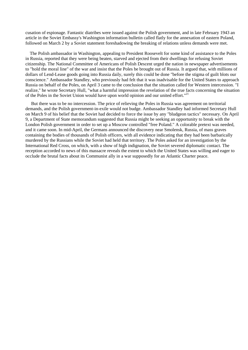cusation of espionage. Fantastic diatribes were issued against the Polish government, and in late February 1943 an article in the Soviet Embassy's Washington information bulletin called flatly for the annexation of eastern Poland, followed on March 2 by a Soviet statement foreshadowing the breaking of relations unless demands were met.

The Polish ambassador in Washington, appealing to President Roosevelt for some kind of assistance to the Poles in Russia, reported that they were being beaten, starved and ejected from their dwellings for refusing Soviet citizenship. The National Committee of Americans of Polish Descent urged the nation in newspaper advertisements to "hold the moral line" of the war and insist that the Poles be brought out of Russia. It argued that, with millions of dollars of Lend-Lease goods going into Russia daily, surely this could be done "before the stigma of guilt blots our conscience." Ambassador Standley, who previously had felt that it was inadvisable for the United States to approach Russia on behalf of the Poles, on April 3 came to the conclusion that the situation called for Western intercession. "I realize," he wrote Secretary Hull, "what a harmful impression the revelation of the true facts concerning the situation of the Poles in the Soviet Union would have upon world opinion and our united effort."21

 But there was to be no intercession. The price of relieving the Poles in Russia was agreement on territorial demands, and the Polish government-in-exile would not budge. Ambassador Standley had informed Secretary Hull on March 9 of his belief that the Soviet had decided to force the issue by any "bludgeon tactics" necessary. On April 9, a Department of State memorandum suggested that Russia might be seeking an opportunity to break with the London Polish government in order to set up a Moscow controlled "free Poland." A colorable pretext was needed, and it came soon. In mid-April, the Germans announced the discovery near Smolensk, Russia, of mass graves containing the bodies of thousands of Polish officers, with all evidence indicating that they had been barbarically murdered by the Russians while the Soviet had held that territory. The Poles asked for an investigation by the International Red Cross, on which, with a show of high indignation, the Soviet severed diplomatic contact. The reception accorded to news of this massacre reveals the extent to which the United States was willing and eager to occlude the brutal facts about its Communist ally in a war supposedly for an Atlantic Charter peace.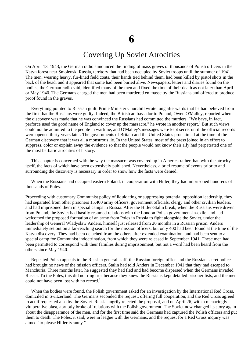### Covering Up Soviet Atrocities

On April 13, 1943, the German radio announced the finding of mass graves of thousands of Polish officers in the Katyn forest near Smolensk, Russia, territory that had been occupied by Soviet troops until the summer of 1941. The men, wearing heavy, fur-lined field coats, their hands tied behind them, had been killed by pistol shots in the back of the head, and it appeared that some had been buried alive. Newspapers, letters and diaries found on the bodies, the German radio said, identified many of the men and fixed the time of their death as not later than April or May 1940. The Germans charged the men had been murdered en masse by the Russians and offered to produce proof found in the graves.

 Everything pointed to Russian guilt. Prime Minister Churchill wrote long afterwards that he had believed from the first that the Russians were guilty. Indeed, the British ambassador to Poland, Owen O'Malley, reported when the discovery was made that he was convinced the Russians had committed the murders. "We have, in fact, perforce used the good name of England to cover up the massacre," he wrote in another report.<sup>1</sup> But such views could not be admitted to the people in wartime, and O'Malley's messages were kept secret until the official records were opened thirty years later. The governments of Britain and the United States proclaimed at the time of the German discovery that it was all a monstrous lie. In the United States, most of the press joined in an effort to suppress, color or explain away the evidence so that the people would not know their ally had perpetrated one of the most barbaric atrocities of history.

 This chapter is concerned with the way the massacre was covered up in America rather than with the atrocity itself, the facts of which have been extensively published. Nevertheless, a brief resume of events prior to and surrounding the discovery is necessary in order to show how the facts were denied.

 When the Russians had occupied eastern Poland, in cooperation with Hitler, they had imprisoned hundreds of thousands of Poles.

Proceeding with customary Communist policy of liquidating or suppressing potential opposition leadership, they had separated from other prisoners 15,400 army officers, government officials, clergy and other civilian leaders, and had imprisoned them in special camps in Russia. After the Hitler-Stalin break, when the Russians were driven from Poland, the Soviet had hastily resumed relations with the London Polish government-in-exile, and had welcomed the proposed formation of an army from Poles in Russia to fight alongside the Soviet, under the leadership of General Wladyslaw Anders, himself just released from 20 months in a Russian prison. Anders immediately set out on a far-reaching search for the mission officers, but only 400 had been found at the time of the Katyn discovery. They had been detached from the others after extended examination, and had been sent to a special camp for Communist indoctrination, from which they were released in September 1941. These men had been permitted to correspond with their families during imprisonment, but not a word had been heard from the others since May 1940.

 Repeated Polish appeals to the Russian general staff, the Russian foreign office and the Russian secret police had brought no news of the mission officers. Stalin had told Anders in December 1941 that they had escaped to Manchuria. Three months later, he suggested they had fled and had become dispersed when the Germans invaded Russia. To the Poles, this did not ring true because they knew the Russians kept detailed prisoner lists, and the men could not have been lost with no record.<sup>2</sup>

 When the bodies were found, the Polish government asked for an investigation by the International Red Cross, domiciled in Switzerland. The Germans seconded the request, offering full cooperation, and the Red Cross agreed to act if requested also by the Soviet. Russia angrily rejected the proposal, and on April 26, with a menacingly vituperative blast, abruptly broke off relations with the Polish government. The Soviet now changed its story again about the disappearance of the men, and for the first time said the Germans had captured the Polish officers and put them to death. The Poles, it said, were in league with the Germans, and the request for a Red Cross inquiry was aimed "to please Hitler tyranny."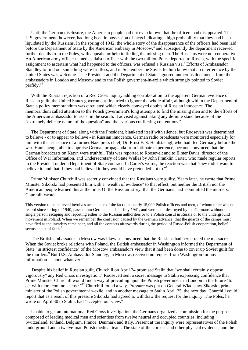Until the German disclosure, the American people had not even known that the officers had disappeared. The U.S. government, however, had long been in possession of facts indicating a high probability that they had been liquidated by the Russians. In the spring of 1942, the whole story of the disappearance of the officers had been laid before the Department of State by the American embassy in Moscow,<sup>3</sup> and subsequently the department received further details from the Poles, with appeals for help in finding the missing men. The Russians were not cooperative. An American army officer named as liaison officer with the two million Poles deported to Russia, with the specific assignment to ascertain what had happened to the officers, was refused a Russian visa.<sup>4</sup> Efforts of Ambassador Standley to find out something were fruitless, and in September the Soviet let him know that no interference by the United States was welcome.<sup>5</sup> The President and the Department of State "ignored numerous documents from the ambassadors in London and Moscow and to the Polish goverment-in-exile which strongly pointed to Soviet perfidy."<sup>6</sup>

 With the Russian rejection of a Red Cross inquiry adding corroboration to the apparent German evidence of Russian guilt, the United States government first tried to ignore the whole affair, although within the Department of State a policy memorandum was circulated which clearly conveyed doubts of Russian innocence. The memorandum called attention to the Polish government's long attempts to find the missing men and to the efforts of the American ambassador to assist in the search. It advised against taking any definite stand because of the "extremely delicate nature of the question" and the "various conflicting contentions."

 The Department of State, along with the President, blanketed itself with silence, but Roosevelt was determined to believe - or to appear to believe - in Russian innocence. German radio broadcasts were monitored especially for him with the assistance of a former Nazi press chief, Dr. Ernst F. S. Hanfstaengl, who had fled Germany before the war. Hanfstaengl, able to appraise German propaganda from intimate experience, became convinced that the German broadcasts on Katyn were truthful. This was reported to Roosevelt and to Elmer Davis, director of the Office of War Information, and Undersecretary of State Welles by John Franklin Carter, who made regular reports to the President under a Department of State contract. In Carter's words, the reaction was that "they didn't want to believe it, and that if they had believed it they would have pretended not to."<sup>7</sup>

 Prime Minister Churchill was secretly convinced that the Russians were guilty. Years later, he wrote that Prime Minister Sikorski had presented him with a "wealth of evidence" to that effect, but neither the British nor the American people learned this at the time. Of the Russian story that the Germans had committed the murders, Churchill wrote:

This version to be believed involves acceptance of the fact that nearly 15,000 Polish officers and men, of whom there was no record since spring of 1940, passed into German hands in July 1941, and were later destroyed by the Germans without one single person escaping and reporting either to the Russian authorities or to a Polish consul in Russia or to the underground movement in Poland. When we remember the confusion caused by the German advance, that the guards of the camps must have fled as the invaders came near, and all the contacts afterwards during the period of Russo-Polish cooperation, belief seems an act of faith.<sup>8</sup>

 The British ambassador in Moscow was likewise convinced that the Russians had perpetrated the massacre. When the Soviet broke relations with Poland, the British ambassador in Washington informed the Department of State "in strictest confidence" of the Moscow ambassador's view that it had been done to cover up Soviet guilt for the murders.<sup>9</sup> But U.S. Ambassador Standley, in Moscow, received no request from Washington for any information—"none whatever."10

 Despite his belief in Russian guilt, Churchill on April 24 promised Stalin that "we shall certainly oppose vigorously" any Red Cross investigation." Roosevelt sent a secret message to Stalin expressing confidence that Prime Minister Churchill would find a way of prevailing upon the Polish government in London in the future "to act with more common sense."12 Churchill found a way. Pressure was put on General Wladislaw Sikorski, prime minister of the Polish government-in-exile, and in another message to Stalin April 25, the next day, Churchill could report that as a result of this pressure Sikorski had agreed to withdraw the request for the inquiry. The Poles, he wrote on April 30 to Stalin, had "accepted our view."

 Unable to get an international Red Cross investigation, the Germans organized a commission for the purpose composed of leading medical men and scientists from twelve neutral and occupied countries, including Switzerland, Finland, Belgium, France, Denmark and Italy. Present at the inquiry were representatives of the Polish underground and a twelve-man Polish medical team. The state of the corpses and other physical evidence, and the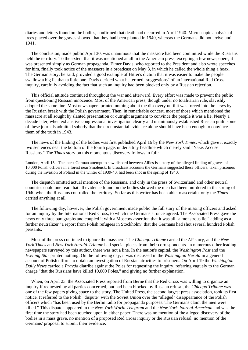diaries and letters found on the bodies, confirmed that death had occurred in April 1940. Microscopic analysis of trees placed over the graves showed that they had been planted in 1940, whereas the Germans did not arrive until 1941.

 The conclusion, made public April 30, was unanimous that the massacre had been committed while the Russians held the territory. To the extent that it was mentioned at all in the American press, excepting a few newspapers, it was presented simply as German propaganda. Elmer Davis, who reported to the President and also wrote speeches for him, finally took notice of the massacre in a broadcast on May 3, in which he called the whole thing a hoax. The German story, he said, provided a good example of Hitler's dictum that it was easier to make the people swallow a big lie than a little one. Davis derided what he termed "suggestions" of an international Red Cross inquiry, carefully avoiding the fact that such an inquiry had been blocked only by a Russian rejection.

 This official attitude continued throughout the war and afterward. Every effort was made to prevent the public from questioning Russian innocence. Most of the American press, though under no totalitarian rule, slavishly adopted the same line. Most newspapers printed nothing about the discovery until it was forced into the news by the Russian break with the Polish government. Then, in remarkable concert, most of those which mentioned the massacre at all sought by slanted presentation or outright argument to convince the people it was a lie. Nearly a decade later, when exhaustive congressional investigation clearly and unanimously established Russian guilt, some of these journals admitted soberly that the circumstantial evidence alone should have been enough to convince them of the truth in 1943.

 The news of the finding of the bodies was first published April 16 by the *New York Times,* which gave it exactly two sentences near the bottom of the fourth page, under a tiny headline which merely said "Nazis Accuse Russians." The *Times* story on this momentous discovery follows in full:

London, April 15 - The latest German attempt to sow discord between Allies is a story of the alleged finding of graves of 10,000 Polish officers in a forest near Smolensk. In broadcast accounts the Germans suggested these officers, taken prisoners during the invasion of Poland in the winter of 1939-40, had been shot in the spring of 1940.

 The dispatch omitted actual mention of the Russians, and only in the press of Switzerland and other neutral countries could one read that all evidence found on the bodies showed the men had been murdered in the spring of 1940 when the Russians controlled the territory. So far as this writer has been able to ascertain, only the *Times*  carried anything at all.

 The following day, however, the Polish government made public the full story of the missing officers and asked for an inquiry by the International Red Cross, to which the Germans at once agreed. The Associated Press gave the news only three paragraphs and coupled it with a Moscow assertion that it was all "a monstrous lie," adding as a further neutralizer "a report from Polish refugees in Stockholm" that the Germans had shot several hundred Polish peasants.

 Most of the press continued to ignore the massacre. The *Chicago Tribune* carried the AP story, and the *New York Times* and *New York Herald-Tribune* had special pieces from their correspondents. In numerous other leading newspapers surveyed by this author, there was not a line. In the nation's capital, the *Washington Post* and the *Evening Star* printed nothing. On the following day, it was discussed in the *Washington Herald* in a general account of Polish efforts to obtain an investigation of Russian atrocities to prisoners. On April 19 the *Washington Daily News* carried a *Pravda* diatribe against the Poles for requesting the inquiry, referring vaguely to the German charge "that the Russians have killed 10,000 Poles," and giving no further explanation.

 When, on April 23, the Associated Press reported from Berne that the Red Cross was willing to organize an inquiry if requested by all parties concerned, but had been blocked by Russian refusal, the *Chicago Tribune* was one of the few papers giving space to the story. The United Press, the second largest press association, took its first notice. It referred to the Polish "dispute" with the Soviet Union over the "alleged" disappearance of the Polish officers which "has been used by the Berlin radio for propaganda purposes. The Germans claim the men were killed." This dispatch appeared in the *New York World Telegram* and the *New York Journal-American* and was the first time the story had been touched upon in either paper. There was no mention of the alleged discovery of the bodies in a mass grave, no mention of a proposed Red Cross inquiry or the Russian refusal, no mention of the Germans' proposal to submit their evidence.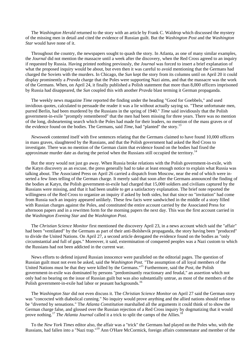The *Washington Herald* returned to the story with an article by Frank C. Waldrop which discussed the mystery of the missing men in detail and cited the evidence of Russian guilt. But the *Washington Post* and the *Washington Star* would have none of it.

 Throughout the country, the newspapers sought to quash the story. In Atlanta, as one of many similar examples, the *Journal* did not mention the massacre until a week after the discovery, when the Red Cross agreed to an inquiry if requested by Russia. Having printed nothing previously, the *Journal* was forced to insert a brief explanation of what the proposed inquiry would be about, but even then it was careful to avoid mentioning that the Germans had charged the Soviets with the murders. In Chicago, the *Sun* kept the story from its columns until on April 20 it could display prominently a *Pravda* charge that the Poles were supporting Nazi aims, and that the massacre was the work of the Germans. When, on April 24, it finally published a Polish statement that more than 8,000 officers imprisoned by Russia had disappeared, the *Sun* coupled this with another *Pravda* blast terming it German propaganda.

 The weekly news magazine *Time* reported the finding under the heading "Good for Goebbels," and used invidious quotes, calculated to persuade the reader it was a lie without actually saying so. "These unfortunate men, purred Berlin, had been murdered by the Russians in the spring of 1940." *Time* said invidiously that the Polish government-in-exile "promptly remembered" that the men had been missing for three years. There was no mention of the long, disheartening search which the Poles had made for their leaders, no mention of the mass graves or of the evidence found on the bodies. The Germans, said *Time*, had "planted" the story.<sup>13</sup>

 *Newsweek* contented itself with five sentences relating that the Germans claimed to have found 10,000 officers in mass graves, slaughtered by the Russians, and that the Polish government had asked the Red Cross to investigate. There was no mention of the German claim that evidence found on the bodies had fixed the approximate murder date as during the period when the Russians still occupied the territory.<sup>14</sup>

 But the story would not just go away. When Russia broke relations with the Polish government-in-exile, with the Katyn discovery as an excuse, the press generally had to take at least enough notice to explain what Russia was talking about. The Associated Press on April 26 carried a dispatch from Moscow, near the end of which were inserted a few lines telling of the German charge. It merely said that soon after the Germans announced the finding of the bodies at Katyn, the Polish government-in-exile had charged that 15,000 soldiers and civilians captured by the Russians were missing, and that it had been unable to get a satisfactory explanation. The brief note reported the willingness of the Red Cross to organize an inquiry if asked by both sides, but that since no "invitation" had come from Russia such an inquiry appeared unlikely. These few facts were sandwiched in the middle of a story filled with Russian charges against the Poles, and constituted the entire account carried by the Associated Press for afternoon papers and in a rewritten form for the morning papers the next day. This was the first account carried in the *Washington Evening Star* and the *Washington Post.*

 The *Christian Science Monitor* first mentioned the discovery April 23, in a news account which said the "affair" had been "ventilated" by the Germans as part of their anti-Bolshevik propaganda, the story having been "produced" to divide the United Nations. On April 27, a second article derogated the evidence found on the bodies as "only circumstantial and full of gaps." Moreover, it said, extermination of conquered peoples was a Nazi custom to which the Russians had not been addicted in the current war.

 News efforts to defend injured Russian innocence were paralleled on the editorial pages. The question of Russian guilt must not even be asked, said the *Washington Post.* "The assumption of all loyal members of the United Nations must be that they were killed by the Germans."15 Furthermore, said the *Post,* the Polish government-in-exile was dominated by persons "predominantly reactionary and feudal," an assertion which not only had no bearing on the issue of Russian guilt but was also substantially untrue, as most of the members of the Polish government-in-exile had labor or peasant backgrounds.<sup>16</sup>

 The *Washington Star* did not even discuss it. The *Christian Science Monitor* on April 27 said the German story was "concocted with diabolical cunning." No inquiry would prove anything and the allied nations should refuse to be "diverted by sensations." The *Atlanta Constitution* marshalled all the arguments it could think of to show the German charge false, and glossed over the Russian rejection of a Red Cross inquiry by dogmatizing that it would prove nothing.<sup>17</sup> *The Atlanta Journal* called it a trick to split the camps of the Allies.<sup>18</sup>

 To the *New York Times* editor also, the affair was a "trick" the Germans had played on the Poles who, with the Russians, had fallen into a "Nazi trap."19 Ann O'Hare McCormick, foreign affairs commentator and member of the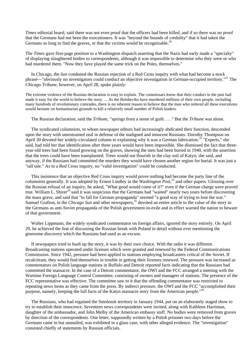*Times* editorial board, said there was not even proof that the officers had been killed, and if so there was no proof that the Germans had not been the executioners. It was "beyond the bounds of credulity" that it had taken the Germans so long to find the graves, or that the victims would be recognizable.<sup>20</sup>

The *Times* gave first-page position to a Washington dispatch asserting that the Nazis had early made a "specialty" of displaying slaughtered bodies to correspondents, although it was impossible to determine who they were or who had murdered them. "Now they have played the same trick on the Poles, themselves."

 In Chicago, the *Sun* condoned the Russian rejection of a Red Cross inquiry with what had become a stock phrase—"obviously no investigators could conduct an objective investigation in German-occupied territory."<sup>21</sup> The *Chicago Tribune,* however, on April 28, spoke plainly:

The extreme violence of the Russian declaration is easy to explain. The commissars know that their conduct in the past had made it easy for the world to believe the story. ... As the Bolsheviks have murdered millions of their own people, including many hundreds of revolutionary comrades, there is no inherent reason to believe that the man who ordered all these executions would hesitate on humanitarian grounds to kill a relatively small number of Polish leaders.

The Russian declaration, said the *Tribune,* "springs from a sense of guilt. . . ." But the *Tribune* was alone.

 The syndicated columnists, to whom newspaper editors had increasingly abdicated their function, descended upon the story with unrestrained zeal in defense of the maligned and innocent Russians. Dorothy Thompson on April 30 devoted her widely-circulated column to explaining why it was a German fabrication.<sup>22</sup> "Experts," she said, had told her that identification after three years would have been impossible. She dismissed the fact that threeyear-old trees had been found growing on the graves, showing the men had been buried in 1940, with the assertion that the trees could have been transplanted. Trees would not flourish in the clay soil of Katyn, she said, and anyway, if the Russians had committed the murders they would have chosen another region for burial. It was just a "tall tale." As to a Red Cross inquiry, no "valid investigation" could be conducted.

 This insistence that an objective Red Cross inquiry would prove nothing had become the party line of the columnists generally. It was adopted by Ernest Lindley in the *Washington Post,*<sup>23</sup> and other papers. Glossing over the Russian refusal of an inquiry, he asked, "What good would come of it?" even if the German charge were proved true. William L. Shirer<sup>24</sup> said it was suspicious that the Germans had "waited" nearly two years before discovering the mass grave, and said that "to fall for German propaganda" seemed "a good way of trying to lose the war." Samuel Grafton, in the *Chicago Sun* and other newspapers,<sup>25</sup> devoted an entire article to the value of the story to the Germans as anti-Soviet propaganda of the Polish government-in-exile and in effect warned the nation to beware of that government.

 Walter Lippmann, the widely syndicated commentator on foreign affairs, ignored the story entirely. On April 29, he achieved the feat of discussing the Russian break with Poland in detail without ever mentioning the gruesome discovery which the Russians had used as an excuse.

 If newspapers tried to hush up the story, it was by their own choice. With the radio it was different. Broadcasting stations operated under licenses which were granted and renewed by the Federal Communications Commission. Since 1942, pressure had been applied to stations employing broadcasters critical of the Soviet. If recalcitrant, they would find themselves in trouble in getting their licenses renewed. The pressure was increased as commentators on Polish language stations in Buffalo and Detroit reported facts indicating that the Russians had committed the massacre. In the case of a Detroit commentator, the OWI and the FCC arranged a meeting with the Wartime Foreign Language Control Committee, consisting of owners and managers of stations. The presence of the FCC representative was effective. The committee saw to it that the offending commentator was restricted to repeating news items as they came from the press. By indirect pressure, the OWI and the FCC "accomplished their purpose, namely, keeping the full facts of the Katyn massacre story from the American people."26

 The Russians, who had regained the Smolensk territory in January 1944, put on an elaborately staged show to try to establish their innocence. Seventeen news correspondents were invited, along with Kathleen Harriman, daughter of the ambassador, and John Melby of the American embassy staff. No bodies were removed from graves by direction of the correspondents. One letter, supposedly written by a Polish prisoner two days before the Germans came in but unmailed, was exhibited in a glass case, with other alleged evidence. The "investigation" consisted chiefly of statements by Russian officials.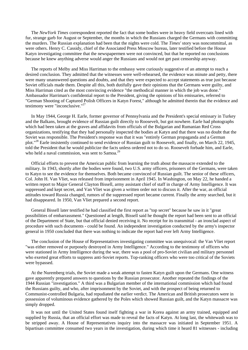The *NewYork Times* correspondent reported the fact that some bodies were in heavy field overcoats lined with fur, strange garb for August or September, the months in which the Russians charged the Germans with committing the murders. The Russian explanation had been that the nights were cold. The *Times'* story was noncommittal, as were others. Henry C. Cassidy, chief of the Associated Press Moscow bureau, later testified before the House Katyn investigating committee that the newspapermen were not convinced, but that he reported no conclusions because he knew anything adverse would anger the Russians and would not get past censorship anyway.

 The reports of Melby and Miss Harriman to the embassy were curiously suggestive of an attempt to reach a desired conclusion. They admitted that the witnesses were well-rehearsed, the evidence was minute and petty, there were many unanswered questions and doubts, and that they were expected to accept statements as true just because Soviet officials made them. Despite all this, both dutifully gave their opinions that the Germans were guilty, and Miss Harriman cited as the most convincing evidence "the methodical manner in which the job was done." Ambassador Harriman's confidential report to the President, giving the opinions of his emissaries, referred to "German Shooting of Captured Polish Officers in Katyn Forest," although he admitted therein that the evidence and testimony were "inconclusive."27

 In May 1944, George H. Earle, former governor of Pennsylvania and the President's special emissary in Turkey and the Balkans, brought evidence of Russian guilt directly to Roosevelt, but got nowhere. Earle had photographs which had been taken at the graves and affidavits from officials of the Bulgarian and Rumanian Red Cross organizations, testifying that they had personally inspected the bodies at Katyn and that there was no doubt that the Soviet was responsible. The President's response was that it was "entirely German propaganda and a German plot."<sup>28</sup> Earle insistently continued to send evidence of Russian guilt to Roosevelt, and finally, on March 22, 1945, told the President that he would publicize the facts unless ordered not to do so. Roosevelt forbade him, and Earle, who held a naval commission, was sent to Samoa. $^{29}$ 

 Official efforts to prevent the American public from learning the truth about the massacre extended to the military. In 1943, shortly after the bodies were found, two U.S. army officers, prisoners of the Germans, were taken to Katyn to see the evidence for themselves. Both became convinced of Russian guilt. The senior of these officers, Col. John H. Van Vliet, was released from imprisonment in April 1945. In Washington, on May 22, he handed a written report to Major General Clayton Bissell, army assistant chief of staff in charge of Army Intelligence. It was suppressed and kept secret, and Van Vliet was given a written order not to discuss it. After the war, as official attitudes toward Russia changed, rumors of the suppressed report became current. Finally the army searched, but it had disappeared. In 1950, Van Vliet prepared a second report.

 General Bissell later testified he had classified the first report as "top secret" because he saw in it "great possibilities of embarrassment." Questioned at length, Bissell said he thought the report had been sent to an official of the Department of State, but that official denied receiving it. No receipt for its transmittal - an ironclad aspect of procedure with such documents - could be found. An independent investigation conducted by the army's inspector general in 1950 concluded that there was nothing to indicate the report had ever left Army Intelligence.

 The conclusion of the House of Representatives investigating committee was unequivocal: the Van Vliet report "was either removed or purposely destroyed in Army Intelligence." According to the testimony of officers who were stationed in Army Intelligence during the war, there was a pool of pro-Soviet civilian and military personnel who exerted great efforts to suppress anti-Soviet reports. Top-ranking officers who were too critical of the Soviets were bypassed.

 At the Nuremberg trials, the Soviet made a weak attempt to fasten Katyn guilt upon the Germans. One witness gave apparently prepared answers to questions by the Russian prosecutor. Another repeated the findings of the 1944 Russian "investigation." A third was a Bulgarian member of the international commission which had found the Russians guilty, and who, after imprisonment by the Soviet, and with the prospect of being returned to Communist-controlled Bulgaria, had repudiated the earlier verdict. The American and British prosecutors were in possession of voluminous evidence gathered by the Poles which showed Russian guilt, and the Katyn massacre was simply dropped.

 It was not until the United States found itself fighting a war in Korea against an army trained, equipped and supplied by Russia, that an official effort was made to reveal the facts of Katyn. At long last, the whitewash was to be stripped away. A House of Representatives inquiry into the massacre was initiated in September 1951. A bipartisan committee consumed two years in the investigation, during which time it heard 81 witnesses - including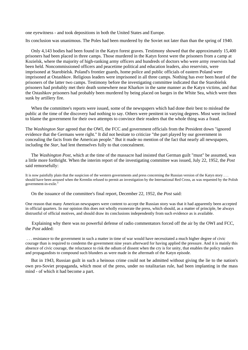one eyewitness - and took depositions in both the United States and Europe.

Its conclusion was unanimous. The Poles had been murdered by the Soviet not later than than the spring of 1940.

 Only 4,143 bodies had been found in the Katyn forest graves. Testimony showed that the approximately 15,400 prisoners had been placed in three camps. Those murdered in the Katyn forest were the prisoners from a camp at Kozielsk, where the majority of high-ranking army officers and hundreds of doctors who were army reservists had been held. Noncommissioned officers and peacetime political and education leaders, also reservists, were imprisoned at Starobielsk. Poland's frontier guards, home police and public officials of eastern Poland were imprisoned at Ostashkov. Religious leaders were imprisoned in all three camps. Nothing has ever been heard of the prisoners of the latter two camps. Testimony before the investigating committee indicated that the Starobielsk prisoners had probably met their death somewhere near Kharkov in the same manner as the Katyn victims, and that the Ostashkov prisoners had probably been murdered by being placed on barges in the White Sea, which were then sunk by artillery fire.

 When the committee's reports were issued, some of the newspapers which had done their best to mislead the public at the time of the discovery had nothing to say. Others were penitent in varying degrees. Most were inclined to blame the government for their own attempts to convince their readers that the whole thing was a fraud.

The *Washington Star* agreed that the OWI, the FCC and government officials from the President down "ignored evidence that the Germans were right." It did not hesitate to criticize "the part played by our government in concealing the facts from the American people." But it made no mention of the fact that nearly all newspapers, including the *Star,* had lent themselves fully to that concealment.

 The *Washington Post,* which at the time of the massacre had insisted that German guilt "must" be assumed, was a little more forthright. When the interim report of the investigating committee was issued, July 22, 1952, the *Post*  said remorsefully:

It is now painfully plain that the suspicion of the western governments and press concerning the Russian version of the Katyn story  $\dots$ should have been aroused when the Kremlin refused to permit an investigation by the International Red Cross, as was requested by the Polish government-in-exile.<sup>3</sup>

On the issuance of the committee's final report, December 22, 1952, the *Post* said:

One reason that many American newspapers were content to accept the Russian story was that it had apparently been accepted in official quarters. In our opinion this does not wholly exonerate the press, which should, as a matter of principle, be always distrustful of official motives, and should draw its conclusions independently from such evidence as is available.

 Explaining why there was no powerful defense of radio commentators forced off the air by the OWI and FCC, the *Post* added:

. . . resistance to the government in such a matter in time of war would have necessitated a much higher degree of civic courage than is required to condemn the government nine years afterward for having applied the pressure. And it is mainly this absence of civic courage, the reluctance to risk the odium of dissent when the cry is for unity, that enables the policy makers and propagandists to compound such blunders as were made in the aftermath of the Katyn episode.

 But in 1943, Russian guilt in such a heinous crime could not be admitted without giving the lie to the nation's own pro-Soviet propaganda, which most of the press, under no totalitarian rule, had been implanting in the mass mind - of which it had become a part.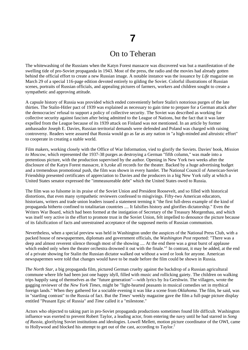### **7**

### On to Teheran

The whitewashing of the Russians when the Katyn Forest massacre was discovered was but a manifestation of the swelling tide of pro-Soviet propaganda in 1943. Most of the press, the radio and the movies had already gotten behind the official effort to create a new Russian image. A notable instance was the issuance by *Life* magazine on March 29 of a special 116-page edition devoted entirely to gilding the Soviet. Colorful illustrations of Russian scenes, portraits of Russian officials, and appealing pictures of farmers, workers and children sought to create a sympathetic and approving attitude.

A capsule history of Russia was provided which ended conveniently before Stalin's notorious purges of the late thirties. The Stalin-Hitler pact of 1939 was explained as necessary to gain time to prepare for a German attack after the democracies' refusal to support a policy of collective security. The Soviet was described as working for collective security against fascism after being admitted to the League of Nations, but the fact that it was later expelled from the League because of its 1939 attack on Finland was not mentioned. In an article by former ambassador Joseph E. Davies, Russian territorial demands were defended and Poland was charged with raising controversy. Readers were assured that Russia would go as far as any nation in "a high-minded and altruistic effort" to cooperate in creating a stable world.

Film makers, working closely with the Office of War Information, vied to glorify the Soviets. Davies' book, *Mission to Moscow,* which represented the 1937-38 purges as destroying a German "fifth column," was made into a pretentious picture, with the production supervised by the author. Opening in New York two weeks after the disclosure of the Katyn Forest massacre, it b,roke all records for the theater. Backed by a huge advertising budget and a tremendous promotional push, the film was shown in every hamlet. The National Council of American-Soviet Friendship presented certificates of appreciation to Davies and the producers in a big New York rally at which a United States senator expressed the "immeasureable debt" which the United States owed to Russia.

The film was so fulsome in its praise of the Soviet Union and President Roosevelt, and so filled with historical distortions, that even many sympathetic reviewers confessed to misgivings. Fifty-two American educators, historians, writers and trade union leaders issued a statement terming it "the first full-dress example of the kind of propaganda hitherto confined to totalitarian countries .... It falsifies history and glorifies dictatorship." Even the Writers War Board, which had been formed at the instigation of Secretary of the Treasury Morgenthau, and which was itself very active in the effort to promote trust in the Soviet Union, felt impelled to denounce the picture because of its falsification of facts and unrestrained acceptance of the supposed merits of Russian communism.

Nevertheless, when a special preview was held in Washington under the auspices of the National Press Club, with a packed house of newspapermen, diplomats and government officials, the *Washington Post* reported: "There was a deep and almost reverent silence through most of the showing .... At the end there was a great burst of applause which ended only when the theater orchestra drowned it out with the finale."<sup>1</sup> In contrast, it may be added, at the end of a private showing for Stalin the Russian dictator walked out without a word or look for anyone. American newspapermen were told that changes would have to be made before the film could be shown in Russia.

*The North Star,* a big propaganda film, pictured German cruelty against the backdrop of a Russian agricultural commune where life had been just one happy idyll, filled with music and rollicking gaiety. The children on walking trips happily sang of themselves as the "future generation"—with lyrics by Ira Gershwin. The villagers, wrote the gagging reviewer of the *New York Times,* might be "light-hearted peasants in musical comedies set in mythical foreign lands." When they gathered for a sociable evening it was like a scene from *Oklahoma.* The film, he said, was in "startling contrast" to the Russia of fact. But the *Times'* weekly magazine gave the film a full-page picture display entitled "Peasant Epic of Russia" and *Time* called it a "milestone."

Actors who objected to taking part in pro-Soviet propaganda productions sometimes found life difficult. Washington influence was exerted to prevent Robert Taylor, a leading actor, from entering the navy until he had starred in *Song of Russia,* glorifying Soviet institutions and ideologies. Lowell Mellett, motion picture coordinator of the OWI, came to Hollywood and blocked his attempt to get out of the cast, according to Taylor.<sup>2</sup>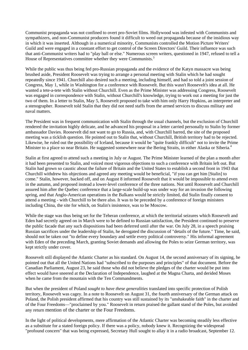Communist propaganda was not confined to overt pro-Soviet films. Hollywood was infested with Communists and sympathizers, and non-Communist producers found it difficult to weed out propaganda because of the insidious way in which it was inserted. Although in a numerical minority, Communists controlled the Motion Picture Writers' Guild and were engaged in a constant effort to get control of the Screen Directors' Guild. Their influence was such that anti-Communist writers had to "play ball or else." Numerous screen writers, questioned in 1947, refused to tell a House of Representatives committee whether they were Communists.<sup>3</sup>

While the public was thus being fed pro-Russian propaganda and the evidence of the Katyn massacre was being brushed aside, President Roosevelt was trying to arrange a personal meeting with Stalin which he had sought repeatedly since 1941. Churchill also desired such a meeting, including himself, and had so told a joint session of Congress, May 1, while in Washington for a conference with Roosevelt. But this wasn't Roosevelt's idea at all. He wanted a tete-a-tete with Stalin without Churchill. Even as the Prime Minister was addressing Congress, Roosevelt was engaged in correspondence with Stalin, without Churchill's knowledge, trying to work out a meeting for just the two of them. In a letter to Stalin, May 5, Roosevelt proposed to take with him only Harry Hopkins, an interpreter and a stenographer. Roosevelt told Stalin that they did not need staffs from the armed services to discuss military and naval matters.

The President was in frequent communication with Stalin through the usual channels, but the exclusion of Churchill rendered the invitation highly delicate, and he advanced his proposal in a letter carried personally to Stalin by former ambassador Davies. Roosevelt did not want to go to Russia, and, with Churchill barred, the site of the proposed meeting was a ticklish question. He pointed out to Stalin that, without Churchill, British territory had to be rejected. Likewise, he ruled out the possibility of Iceland, because it would be "quite frankly difficult" not to invite the Prime Minister to a place so near Britain. He suggested somewhere near the Bering Straits, in either Alaska or Siberia.<sup>4</sup>

Stalin at first agreed to attend such a meeting in July or August. The Prime Minister learned of the plan a month after it had been presented to Stalin, and voiced most vigorous objections to such a conference with Britain left out. But Stalin had grown so caustic about the failure of Britain and the United States to establish a second front in 1943 that Churchill withdrew his objections and agreed any meeting would be beneficial, "if you can get him [Stalin] to come." Stalin, however, backed off, and on August 8 informed Roosevelt that it would be impossible to attend even in the autumn, and proposed instead a lower-level conference of the three nations. Not until Roosevelt and Churchill assured him after the Quebec conference that a large-scale build-up was under way for an invasion the following spring, and that Anglo-American operations in the Balkans would be strictly limited, did Stalin finally consent to attend a meeting - with Churchill to be there also. It was to be preceded by a conference of foreign ministers including China, the site for which, on Stalin's insistence, was to be Moscow.

While the stage was thus being set for the Teheran conference, at which the territorial seizures which Roosevelt and Eden had secretly agreed on in March were to be defined to Russian satisfaction, the President continued to preserve the public facade that any such dispositions had been deferred until after the war. On July 28, in a speech praising Russian sacrifices under the leadership of Stalin, he derogated the discussion of "details of the future." Time, he said, should not be taken out "to define every boundary and settle every political controversy." His informal agreement with Eden of the preceding March, granting Soviet demands and allowing the Poles to seize German territory, was kept strictly under cover.

Roosevelt still displayed the Atlantic Charter as his standard. On August 14, the second anniversary of its signing, he pointed out that all the United Nations had "subscribed to the purposes and principles" of that document. Before the Canadian Parliament, August 23, he said those who did not believe the pledges of the charter would be put into effect would have sneered at the Declaration of Independence, laughed at the Magna Charta, and derided Moses when he came from the mountain with the Ten Commandments.

But when the president of Poland *sought to have these generalities* translated into specific protection of Polish territory, Roosevelt was cagey. In a note to Roosevelt on August 31, the fourth anniversary of the German attack on Poland, the Polish president affirmed that his country was still sustained by its "unshakeable faith" in the charter and of the Four Freedoms—"proclaimed by you." Roosevelt in return praised the gallant stand of the Poles, but avoided any return mention of the charter or the Four Freedoms.

In the light of political developments, mere affirmation of the Atlantic Charter was becoming steadily less effective as a substitute for a stated foreign policy. If there was a policy, nobody knew it. Recognizing the widespread "profound concern" that was being expressed, Secretary Hull sought to allay it in a radio broadcast, September 12.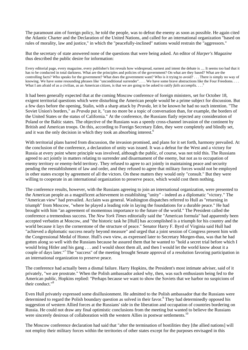The paramount aim of foreign policy, he told the people, was to defeat the enemy as soon as possible. He again cited the Atlantic Charter and the Declaration of the United Nations, and called for an international organization "based on rules of morality, law and justice," in which the "peacefully-inclined" nations would restrain the "aggressors."

But the secretary of state answered none of the questions that were being asked. An editor of *Harper's Magazine*  thus described the public desire for information:

Every editorial page, every magazine, every publisher's list reveals how widespread, earnest and intent the debate is .... It seems too bad that it has to be conducted in total darkness. What are the principles and policies of the government? On what are they based? What are the controlling facts? Who speaks for the government? What does the government want? Who is it trying to avoid? . . . There is simply no way of knowing. We have some resounding phrases like "unconditional surrender".... We have some brave abstractions like the Four Freedoms.... What I am afraid of as a civilian, as an American citizen, is that we are going to be asked to ratify *fails accomplis.* . . .<sup>5</sup>

It had been generally expected that at the coming Moscow conference of foreign ministers, set for October 18, exigent territorial questions which were disturbing the American people would be a prime subject for discussion. But a few days before the opening, Stalin, with a sharp attack by *Pravda,* let it be known he had no such intention. "The Soviet Union's borders," as *Pravda* put it, "can no more be a topic of conversation than, for example, the borders of the United States or the status of California." At the conference, the Russians flatly rejected any consideration of Poland or the Baltic states. The objective of the Russians was a speedy cross-channel invasion of the continent by British and American troops. On this, according to Foreign Secretary Eden, they were completely and blindly set, and it was the only decision in which they took an absorbing interest.<sup>6</sup>

With territorial plans barred from discussion, the invasion promised, and plans for it set forth, harmony prevailed. At the conclusion of the conference, a declaration of unity was issued. It was a defeat for the West and a victory for Russia at every point where principle was involved, although the public, of course, was not told this. The Russians agreed to act jointly in matters relating to surrender and disarmament of the enemy, but not as to occupation of enemy territory or enemy-held territory. They refused to agree to act jointly in maintaining peace and security pending the reestablishment of law and order, and they refused to agree that military forces would not be employed in other states except by agreement of all the victors. On these matters they would only "consult." But they were willing to cooperate in an international organization to preserve peace, which would cost them nothing.

The conference results, however, with the Russians agreeing to join an international organization, were presented to the American people as a magnificent achievement in establishing "unity" - indeed as a diplomatic "victory." The "American view" had prevailed. Acclaim was general. Washington dispatches referred to Hull as "returning in triumph" from Moscow, "where he played a leading role in laying the foundations for a durable peace." He had brought with him "an agreement of momentous importance to the future of the world." The President called the conference a tremendous success. The *New York Times* editorially said the "American formula" had apparently been accepted verbatim at Moscow, and "the historic task he [Hull] has accomplished is a triumph for his country and the world because it lays the cornerstone of the structure of peace." Senator Harry F. Byrd of Virginia said Hull had "achieved a diplomatic success nearly beyond measure" and urged that a joint session of Congress present him with the Congressional Medal of Honor. Hull's own view, as expressed later to Secretary Morgen-thau, was that he had gotten along so well with the Russians because he assured them that he wanted to "hold a secret trial before which I would bring Hitler and his gang . . . and I would shoot them all, and then I would let the world know about it a couple of days later."7 The "success" of the meeting brought Senate approval of a resolution favoring participation in an international organization to preserve peace.

The conference had actually been a dismal failure. Harry Hopkins, the President's most intimate adviser, said of it privately, "we are prostrate." When the Polish ambassador asked why, then, was such enthusiasm being fed to the American public, Hopkins replied: "Perhaps because we want to show the Soviets that we harbor no suspicions of their conduct."<sup>8</sup>

Even Hull privately expressed some disillusionment. He admitted to the Polish ambassador that the Russians were determined to regard the Polish boundary question as solved in their favor.<sup>9</sup> They had determinedly opposed his suggestion of western Allied forces at the Russians' side in the liberation and occupation of countries bordering on Russia. He could not draw any final optimistic conclusions from the meeting but wanted to believe the Russians were sincerely desirous of collaboration with the western Allies in postwar settlements.<sup>10</sup>

The Moscow conference declaration had said that "after the termination of hostilities they [the allied nations] will not employ their military forces within the territories of other states except for the purposes envisaged in this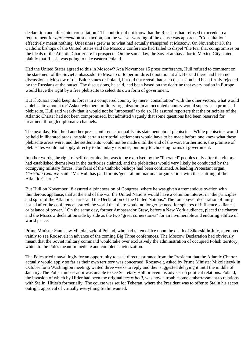declaration and after joint consultation." The public did not know that the Russians had refused to accede to a requirement for *agreement* on such action, but the weasel-wording of the clause was apparent. "Consultation" effectively meant nothing. Uneasiness grew as to what had actually transpired at Moscow. On November 13, the Catholic bishops of the United States said the Moscow conference had failed to dispel "the fear that compromises on the ideals of the Atlantic Charter are in prospect." On the same day, the Soviet ambassador in Mexico City stated plainly that Russia was going to take eastern Poland.

Had the United States agreed to this in Moscow? At a November 15 press conference, Hull refused to comment on the statement of the Soviet ambassador to Mexico or to permit direct quotation at all. He said there had been no discussion at Moscow of the Baltic states or Poland, but did not reveal that such discussion had been firmly rejected by the Russians at the outset. The discussions, he said, had been based on the doctrine that every nation in Europe would have the right by a free plebiscite to select its own form of government.

But if Russia could keep its forces in a conquered country by mere "consultation" with the other victors, what would a plebiscite amount to? Asked whether a military organization in an occupied country would supervise a promised plebiscite, Hull said weakly that it would not be "supposed" to do so. He assured reporters that the principles of the Atlantic Charter had not been compromised, but admitted vaguely that some questions had been reserved for treatment through diplomatic channels.

The next day, Hull held another press conference to qualify his statement about plebiscites. While plebiscites would be held in liberated areas, he said certain territorial settlements would have to be made before one knew what these plebiscite areas were, and the settlements would not be made until the end of the war. Furthermore, the promise of plebiscites would not apply directly to boundary disputes, but only to choosing forms of government.

In other words, the right of self-determination was to be exercised by the "liberated" peoples only after the victors had established themselves in the territories claimed, and the plebiscites would very likely be conducted by the occupying military forces. The fears of the Catholic bishops had been confirmed. A leading Protestant organ, *Christian Century,* said: "Mr. Hull has paid for his 'general international organization' with the scuttling of the Atlantic Charter."

But Hull on November 18 assured a joint session of Congress, where he was given a tremendous ovation with thunderous applause, that at the end of the war the United Nations would have a common interest in "the principles and spirit of the Atlantic Charter and the Declaration of the United Nations." The four-power declaration of unity issued after the conference assured the world that there would no longer be need for spheres of influence, alliances or balance of power.11 On the same day, former Ambassador Grew, before a New York audience, placed the charter and the Moscow declaration side by side as the two "great cornerstones" for an invulnerable and enduring edifice of world peace.

Prime Minister Stanislaw Mikolajezyk of Poland, who had taken office upon the death of Sikorski in July, attempted vainly to see Roosevelt in advance of the coming Big Three conferences. The Moscow Declaration had obviously meant that the Soviet military command would take over exclusively the administration of occupied Polish territory, which to the Poles meant immediate and complete sovietization.

The Poles tried unavailingly for an opportunity to seek direct assurance from the President that the Atlantic Charter actually would apply so far as their own territory was concerned. Roosevelt, asked by Prime Minister Mikolajezyk in October for a Washington meeting, waited three weeks to reply and then suggested delaying it until the middle of January. The Polish ambassador was unable to see Secretary Hull or even his adviser on political relations. Poland, the invasion of which by Hitler had been the original *casus belli,* was now a troublesome embarrassment to relations with Stalin, Hitler's former ally. The course was set for Teheran, where the President was to offer to Stalin his secret, outright approval of virtually everything Stalin wanted.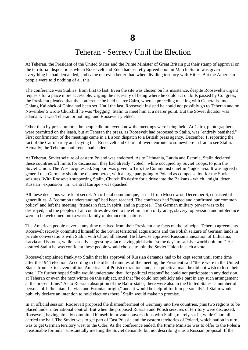### Teheran - Secrecy Until the Election

At Teheran, the President of the United States and the Prime Minister of Great Britain put their stamp of approval on the territorial dispositions which Roosevelt and Eden had secretly agreed upon in March. Stalin was given everything he had demanded, and came out even better than when dividing territory with Hitler. But the American people were told nothing of all this.

The conference was Stalin's, from first to last. Even the site was chosen on his insistence, despite Roosevelt's urgent requests for a place more accessible. Urging the necessity of being where he could act on bills passed by Congress, the President pleaded that the conference be held nearer Cairo, where a preceding meeting with Generalissimo Chiang Kai-shek of China had been set. Until the last, Roosevelt insisted he could not possibly go to Teheran and on November 5 wrote Churchill he was "begging" Stalin to meet him at a nearer point. But the Soviet dictator was adamant. It was Teheran or nothing, and Roosevelt yielded.

Other than by press rumors, the people did not even know the meetings were being held. At Cairo, photographers were permitted on the leash, but at Teheran the press, as Roosevelt had proposed to Stalin, was "entirely banished." First confirmation of the meetings came in a Lisbon dispatch to a British press agency, December 1, reporting the fact of the Cairo parley and saying that Roosevelt and Churchill were enroute to somewhere in Iran to see Stalin. Actually, the Teheran conference had ended.

At Teheran, Soviet seizure of eastern Poland was endorsed. As to Lithuania, Latvia and Estonia, Stalin declared these countries off limits for discussion; they had already "voted," while occupied by Soviet troops, to join the Soviet Union. The West acquiesced. Support was given to Tito, the Communist chief in Yugoslavia. It was agreed in general that Germany should be dismembered, with a large part going to Poland as compensation for the Soviet seizures. With Roosevelt supporting Stalin, Churchill's desire for a drive into the Balkans - which might deter Russian expansion in Central Europe - was quashed.

All these decisions were kept secret. An official communique, issued from Moscow on December 6, consisted of generalities. A "common understanding" had been reached. The conferees had "shaped and confirmed our common policy" and left the meeting "friends in fact, in spirit, and in purpose." The German military power was to be destroyed, and the peoples of all countries devoted to the elimination of tyranny, slavery, oppression and intolerance were to be welcomed into a world family of democratic nations.

The American people never at any time received from their President any facts on the principal Teheran agreements. Roosevelt secretly committed himself to the Soviet territorial acquisitions and the Polish seizure of German lands in private conversations with Stalin, with Churchill absent. He likewise approved Russian annexation of Lithuania, Latvia and Estonia, while casually suggesting a face-saving plebiscite "some day" to satisfy "world opinion.'" He assured Stalin he was confident these people would choose to join the Soviet Union in such a vote.

Roosevelt explained frankly to Stalin that his approval of Russian demands had to be kept secret until some time after the 1944 election. According to the official minutes of the meeting, the President said "there were in the United States from six to seven million Americans of Polish extraction, and, as a practical man, he did not wish to lose their vote." He further hoped Stalin would understand that "for political reasons" he could not participate in any decision at Teheran or even the next winter on this subject, and that "he could not publicly take part in any such arrangement at the present time." As to Russian absorption of the Baltic states, there were also in the United States "a number of persons of Lithuanian, Latvian and Estonian origin," and "it would be helpful for him personally" if Stalin would publicly declare an intention to hold elections there.<sup>2</sup> Stalin would make no promise.

In an official session, Roosevelt proposed the dismemberment of Germany into five countries, plus two regions to be placed under international control. But when the proposed Russian and Polish seizures of territory were discussed, Roosevelt, having already committed himself in private conversations with Stalin, merely sat in, while Churchill carried the ball. The Soviet was to get part of East Prussia and the eastern territories of Poland, which nation in turn was to get German territory west to the Oder. As the conference ended, the Prime Minister was to offer to the Poles a "reasonable formula" substantially meeting the Soviet demands, but not describing it as a Russian proposal. If the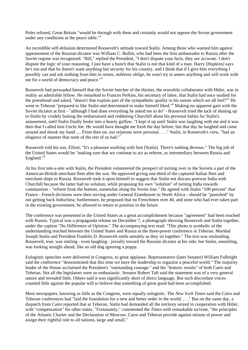Poles refused, Great Britain "would be through with them and certainly would not oppose the Soviet government under any conditions at the peace table."<sup>3</sup>

An incredible self-delusion determined Roosevelt's attitude toward Stalin. Among those who warned him against appeasement of the Russian dictator was William C. Bullitt, who had been the first ambassador to Russia after the Soviet regime was recognized. "Bill," replied the President, "I don't dispute your facts, they are accurate. I don't dispute the logic of your reasoning. I just have a hunch that Stalin is not that kind of a man. Harry [Hopkins] says he's not and that he doesn't want anything but security for his country, and I think that if I give him everything I possibly can and ask nothing from him in return, *noblesse oblige,* he won't try to annex anything and will work with me for a world of democracy and peace."4

Roosevelt had persuaded himself that the Soviet butcher of the thirties, the erstwhile collaborator with Hitler, was in reality an admirable fellow. He remarked to Frances Perkins, his secretary of labor, that Stalin had once studied for the priesthood and asked, "doesn't that explain part of the sympathetic quality in his nature which we all feel?"<sup>5</sup> He went to Teheran "prepared to like Stalin and determined to make himself liked."<sup>6</sup> Making no apparent gain with the Soviet dictator at first - "although I had done everything he asked me to do" - Roosevelt tried the tack of shining up to Stalin by crudely baiting the embarrassed and reddening Churchill about his personal habits for Stalin's amusement, until Stalin finally broke into a hearty guffaw. "I kept it up until Stalin was laughing with me and it was then that I called him Uncle Joe. He would have thought me fresh the day before, but that day he laughed and came around and shook my hand .... From then on, our relations were personal. . . ." Stalin, in Roosevelt's view, "had an elegance of manner that none of the rest of us had."<sup>7</sup>

Roosevelt told his son, Elliott, "It's a pleasure working with him [Stalin]. There's nothing devious." The big job of the United States would be "making sure that we continue to act as referee, as intermediary between Russia and England."<sup>8</sup>

At his first tete-a-tete with Stalin, the President volunteered the prospect of turning over to the Soviets a part of the American-British merchant fleet after the war. He approved giving one-third of the captured Italian fleet and merchant ships to Russia. Roosevelt took it upon himself to suggest that Stalin not discuss postwar India with Churchill because the latter had no solution, while proposing his own "solution" of turning India towards communism - "reform from the bottom, somewhat along the Soviet line." He agreed with Stalin "100 percent" that France - French divisions were then serving under General Eisenhower in North Africa - should be "punished" by not getting back Indochina; furthermore, he proposed that no Frenchmen over 40, and none who had ever taken part in the existing government, be allowed to return to position in the future.

The conference was presented in the United States as a great accomplishment because "agreement" had been reached with Russia. Typical was a propaganda release on December 7, a photograph showing Roosevelt and Stalin together, under the caption "No Difference of Opinion." The accompanying text read: "This photo is symbolic of the understanding reached between the United States and Russia at the three-power conference in Teheran. Marshal Joseph Stalin and President Franklin D. Roosevelt smile amiably as they sit together." The text was misleading. Roosevelt, true, was smiling - even laughing - jovially toward the Russian dictator at his side; but Stalin, unsmiling, was looking straight ahead, like an old dog ignoring a puppy.

Eulogistic speeches were delivered in Congress, to great applause. Representative (later Senator) William Fulbright said the conference "demonstrated that this time we have the leadership to organize a peaceful world." The majority leader of the House acclaimed the President's "outstanding courage." and the "historic results" of both Cairo and Teheran. Not all the legislators were so enthusiastic. Senator Robert Taft said the statement was of a very general nature and revealed little. Others said it was significantly short of direct language. But such discordant voices counted little against the popular will to believe that something of great good had been accomplished.

Most newspapers, knowing as little as the Congress, were equally eulogistic. The *New York Times* said the Cairo and Teheran conferences had "laid the foundation for a new and better order in the world. . . ." But on the same day, a dispatch from Cairo reported that at Teheran, Stalin had demanded all the territory seized in cooperation with Hitler, with "compensation" for other states. "Fortunately," commented the *Times* with remarkable na'ivete, "the principles of the Atlantic Charter and the Declaration of Moscow, Cairo and Teheran provide against misuse of power and assign their rightful role to all nations, large and small."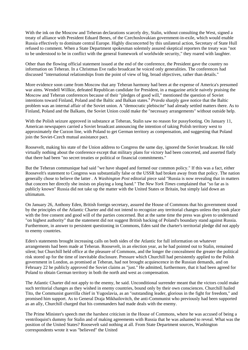With the ink on the Moscow and Teheran declarations scarcely dry, Stalin, without consulting the West, signed a treaty of alliance with President Eduard Benes, of the Czechoslovakian government-in-exile, which would enable Russia effectively to dominate central Europe. Highly disconcerted by this unilateral action, Secretary of State Hull refused to comment. When a State Department spokesman solemnly assured skeptical reporters the treaty was "not to be understood to be in conflict with the general framework of worldwide security," they roared with laughter.

Other than the flowing official statement issued at the end of the conference, the President gave the country no information on Teheran. In a Christmas Eve radio broadcast he voiced only generalities. The conferences had discussed "international relationships from the point of view of big, broad objectives, rather than details."

More evidence soon came from Moscow that any Teheran harmony had been at the expense of America's presumed war aims. Wendell Willkie, defeated Republican candidate for President, in a magazine article naively praising the Moscow and Teheran conferences because of their "pledges of good will," mentioned the question of Soviet intentions toward Finland, Poland and the Baltic and Balkan states.9 *Pravda* sharply gave notice that the Baltic problem was an internal affair of the Soviet union. A "democratic plebiscite" had already settled matters there. As to Finland, Poland and the Balkans, the Soviet Union could make the "necessary arrangements" without outside help.

With the Polish seizure approved in substance at Teheran, Stalin saw no reason for pussyfooting. On January 11, American newspapers carried a Soviet broadcast announcing the intention of taking Polish territory west to approximately the Curzon line, with Poland to get German territory as compensation, and suggesting that Poland join the Soviet-Czech mutual assistance pact.

Roosevelt, making his state of the Union address to Congress the same day, ignored the Soviet broadcast. He told virtually nothing about the conference except that military plans for victory had been concerted, and asserted flatly that there had been "no secret treaties or political or financial commitments."

But the Teheran communique had said "we have shaped and formed our common policy." If this was a fact, either Roosevelt's statement to Congress was substantially false or the USSR had broken away from that policy. The nation generally chose to believe the latter . A *Washington Post* editorial piece said "Russia is now revealing that in matters that concern her directly she insists on playing a long hand." The *New York Times* complained that "so far as is publicly known" Russia did not take up the matter with the United States or Britain, but simply laid down an ultimatum.

On January 26, Anthony Eden, British foreign secretary, assured the House of Commons that his government stood by the principles of the Atlantic Charter and did not intend to recognize any territorial changes unless they took place with the free consent and good will of the parties concerned. But at the same time the press was given to understand "on highest authority" that the statement did not suggest British backing of Poland's boundary stand against Russia. Furthermore, in answer to persistent questioning in Commons, Eden said the charter's territorial pledge did not apply to enemy countries.

Eden's statements brought increasing calls on both sides of the Atlantic for full information on whatever arrangements had been made at Teheran. Roosevelt, in an election year, as he had pointed out to Stalin, remained silent; but Churchill held office at the pleasure of Commons, and the longer the concealment the greater the political risk stored up for the time of inevitable disclosure. Pressure which Churchill had persistently applied to the Polish government in London, as promised at Teheran, had not brought acquiescence in the Russian demands, and on February 22 he publicly approved the Soviet claims as "just." He admitted, furthermore, that it had been agreed for Poland to obtain German territory in both the north and west as compensation.

The Atlantic Charter did not apply to the enemy, he said. Unconditional surrender meant that the victors could make such territorial changes as they wished in enemy countries, bound only by their own consciences. Churchill hailed Tito, the Communist guerrilla chief in Yugoslavia, as an "outstanding leader, glorious in the fight for freedom," and promised him support. As to General Draja Mikhailovitch, the anti-Communist who previously had been supported as an ally, Churchill charged that his commanders had made deals with the enemy.

The Prime Minister's speech met the harshest criticism in the House of Commons, where he was accused of being a ventriloquist's dummy for Stalin and of making agreements with Russia that he was ashamed to reveal. What was the position of the United States? Roosevelt said nothing at all. From State Department sources, Washington correspondents wrote it was "believed" the United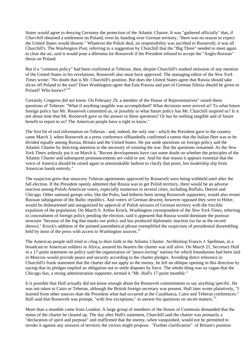States would agree to denying Germany the protection of the Atlantic Charter. It was "gathered officially" that, if *Churchill* obtained a settlement on Poland, even by handing over German territory, "there was no reason to expect the United States would dissent." Whatever the Polish deal, no responsibility was ascribed to Roosevelt; it was all Churchill's. The *Washington Post,* referring to a suggestion by Churchill that the "Big Three" needed to meet again to clear the air, said it would pose a dilemma for Roosevelt if the President refused to accept the "Anglo-Russian" thesis on Poland.

But if a "common policy" had been confirmed at Teheran, then, despite Churchill's studied omission of any mention of the United States in his revelations, Roosevelt also must have approved. The managing editor of the *New York Times* wrote: "No doubt that is Mr. Churchill's position. But does the United States agree that Russia should take slices off Poland to the east? Does Washington agree that East Prussia and part of German Silesia should be given to Poland? Who knows?"<sup>10</sup>

Certainly Congress did not know. On February 29, a member of the House of Representatives" raised these questions of Teheran: "What if anything tangible was accomplished? What decisions were arrived at? To what future foreign policy has Mr. Roosevelt committed us, or possibly to what future policy has Mr. Churchill inspired us? Is it not about time that Mr. Roosevelt gave us the answer to these questions? Or has he nothing tangible and of future benefit to report to us? The American people have a right to know."

The first bit of real information on Teheran - and, indeed, the only one - which the President gave to the country came March 3, when Roosevelt at a press conference offhandedly confirmed a rumor that the Italian fleet was to be divided equally among Russia, Britain and the United States. He put aside questions on foreign policy and the Atlantic Charter by directing attention to the necessity of winning the war. But the questions remained. As the *New York Times* artlessly put it on March 4, "Recent developments have cast some doubt on whether the principles of the Atlantic Charter and subsequent pronouncements are valid or not. And for that reason it appears essential that the voice of America should be raised again in unmistakable fashion to clarify that point, lest leadership slip from American hands entirely."

The suspicion grew that unsavory Teheran agreements approved by Roosevelt were being withheld until after the fall election. If the President openly admitted that Russia was to get Polish territory, there would be an adverse reaction among Polish-American voters, especially numerous in several cities, including Buffalo, Detroit and Chicago. Other national groups who, like the Poles, had hitherto been strong Roosevelt supporters, would also resent Russian subjugation of the Baltic republics. And voters of German descent, however opposed they were to Hitler, would be disheartened and antagonized by approval of Polish seizures of German territory with the forcible expulsion of the population. On March 9, Arthur Krock, Washington correspondent of the *New York Times,* referring to concealment of foreign policy pending the election, said it appeared that Russia would dominate the postwar structure "because of the fog that masks our policy and has produced diplomatic inaction (so far as the record shows)." Krock's addition of the pointed parenthetical phrase exemplified the suspicions of presidential dissembling held by most of the press with access to Washington sources.<sup>12</sup>

The American people still tried to cling to their faith in the Atlantic Charter. Archbishop Francis J. Spellman, in a broadcast to American soldiers in Africa, assured his hearers the charter was still alive. On March 21, Secretary Hull in a 17-point statement on policy said the organization of "peace-loving" nations for which foundations had been laid in Moscow would provide peace and security according to the charter pledges. Avoiding direct reference to Churchill's frank statement that the charter did not apply to the enemy, he left an oblique opening in this direction by saying that its pledges implied an obligation not to settle disputes by force. The whole thing was so vague that the Chicago *Sun,* a strong administration supporter, termed it "Mr. Hull's 17-point mumble."

It is possible that Hull actually did not know enough about the Roosevelt commitments to say anything specific. He was not taken to Cairo or Teheran, although the British foreign secretary was present. Hull later wrote plaintively, "I learned from other sources than the President what had occurred at the Casablanca, Cairo and Teheran conferences." Hull said that Roosevelt was prompt, "with few exceptions," to answer his questions on secret matters.<sup>13</sup>

More than a mumble came from London. A large group of members of the House of Commons demanded that the status of the charter be cleared up. The day after Hull's statement, Churchill said the charter was primarily a "declaration of spirit and purpose" and reaffirmed that the enemy, when vanquished, would not be permitted to invoke it against any seizures of territory the victors might propose. "Further clarification" of Britain's position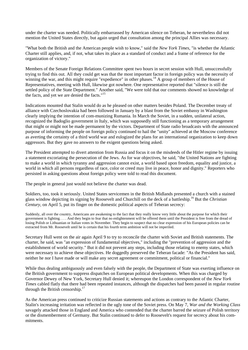under the charter was needed. Politically embarrassed by American silence on Teheran, he nevertheless did not mention the United States directly, but again urged that consultation among the principal Allies was necessary.

"What both the British and the American people wish to know," said the *New York Times,* "is whether the Atlantic Charter still applies, and, if not, what takes its place as a standard of conduct and a frame of reference for the organization of victory."

Members of the Senate Foreign Relations Committee spent two hours in secret session with Hull, unsuccessfully trying to find this out. All they could get was that the most important factor in foreign policy was the necessity of winning the war, and this might require "expedience" in other phases.<sup>14</sup> A group of members of the House of Representatives, meeting with Hull, likewise got nowhere. One representative reported that "silence is still the settled policy of the State Department." Another said, "We were told that our comments showed no knowledge of the facts, and yet we are denied the facts." $15$ 

Indications mounted that Stalin would do as he pleased on other matters besides Poland. The December treaty of alliance with Czechoslovakia had been followed in January by a blast from the Soviet embassy in Washington clearly implying the intention of com-munizing Rumania. In March the Soviet, in a sudden, unilateral action, recognized the Badoglio government in Italy, which was supposedly still functioning as a temporary arrangement that might or might not be made permanent by the victors. Department of State radio broadcasts with the announced purpose of informing the people on foreign policy continued to hail the "unity" achieved at the Moscow conference as averting the certainty of a third world war and eulogized the plans for an international organization to keep down aggressors. But they gave no answers to the exigent questions being asked.

The President attempted to divert attention from Russia and focus it on the misdeeds of the Hitler regime by issuing a statement excoriating the persecution of the Jews. As for war objectives, he said, "the United Nations are fighting to make a world in which tyranny and aggression cannot exist, a world based upon freedom, equality and justice, a world in which all persons regardless of race, color or creed may live in peace, honor and dignity." Reporters who persisted in asking questions about foreign policy were told to read this document.

The people in general just would not believe the charter was dead.

Soldiers, too, took it seriously. United States servicemen in the British Midlands presented a church with a stained glass window depicting its signing by Roosevelt and Churchill on the deck of a battleship.16 But the *Christian Century,* on April 5, put its finger on the domestic political aspects of Teheran secrecy:

Suddenly, all over the country, Americans are awakening to the fact that they really know very little about the purpose for which their government is fighting. . . . And they begin to fear that no enlightenment will be offered them until the President is free from the dread of losing Polish or Lithuanian or Italian votes in November. They begin to suspect that no clear expression of his European policies can be extracted from Mr. Roosevelt until he is certain that his fourth term ambition will not be imperiled.

Secretary Hull went on the air again April 9 to try to reconcile the charter with Soviet and British statements. The charter, he said, was "an expression of fundamental objectives," including the "prevention of aggression and the establishment of world security." But it did not prevent any steps, including those relating to enemy states, which were necessary to achieve these objectives. He doggedly preserved the Teheran facade: "As the President has said, neither he nor I have made or will make any secret agreement or commitment, political or financial."

While thus dealing ambiguously and even falsely with the people, the Department of State was exerting influence on the British government to suppress dispatches on European political developments. When this was charged by Governor Dewey of New York, Secretary Hull denied it; whereupon the London correspondent of the *New York Times* cabled flatly that there had been repeated instances, although the dispatches had been passed in regular routine through the British censorship.<sup>17</sup>

As the American press continued to criticize Russian statements and actions as contrary to the Atlantic Charter, Stalin's increasing irritation was reflected in the ugly tone of the Soviet press. On May 7, *War and the Working Class*  savagely attacked those in England and America who contended that the charter barred the seizure of Polish territory or the dismemberment of Germany. But Stalin continued to defer to Roosevelt's request for secrecy about his commitments.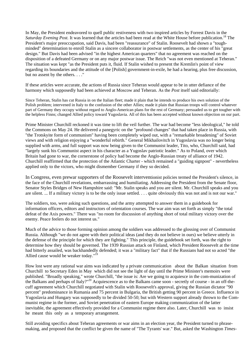In May, the President endeavored to quell public restiveness with two inspired articles by Forrest Davis in the *Saturday Evening Post.* It was learned that the articles had been read at the White House before publication.<sup>18</sup> The President's major preoccupation, said Davis, had been "reassurance" of Stalin. Roosevelt had shown a "toughminded" determination to enroll Stalin as a sincere collaborator in postwar settlements, as the center of his "great design." But Davis had been advised "in the highest American quarters" that no agreement was reached on the disposition of a defeated Germany or on any major postwar issue. The Reich "was not even mentioned at Teheran." The situation was kept "as the President puts it, fluid. If Stalin wished to present the Kremlin's point of view regarding its boundaries and the attitude of the [Polish] government-in-exile, he had a hearing, plus free discussion, but no assent by the others. . . ."

If these articles were accurate, the actions of Russia since Teheran would appear to be in utter defiance of the harmony which supposedly had been achieved at Moscow and Teheran. As the *Post* itself said editorially:

Since Teheran, Stalin has cut Russia in on the Italian fleet; made it plain that he intends to produce his own solution of the Polish problem; intervened in Italy to the confusion of the other Allies; made it plain that Russian troops will control whatever part of Germany they occupy without regard to Anglo-American plans for the rest of Germany; persuaded us to get tougher with the helpless Finns; changed Allied policy toward Yugoslavia. All of this has been accepted without known objection on our part.

Prime Minister Churchill reckoned it was time to lift the veil further. The war had become "less ideological," he told the Commons on May 24. He delivered a panegyric on the "profound changes" that had taken place in Russia, with "the Trotskyite form of communism" having been completely wiped out, with a "remarkable broadening" of Soviet views and with religion enjoying a "wonderful rebirth." General Mikhailovitch in Yugoslavia was no longer being supplied with arms, and full support was now being given to the Communist leader, Tito, who, Churchill said, had "largely sunk his Communist aspect in his character as a Yugoslav patriotic leader." As to Poland, over which Britain had gone to war, the cornerstone of policy had become the Anglo-Russian treaty of alliance of 1942. Churchill reaffirmed that the protection of the Atlantic Charter - which remained a "guiding signpost" - nevertheless applied only to the victors, who might dismember Germany if they so decided.

In Congress, even prewar supporters of the Roosevelt interventionist policies termed the President's silence, in the face of the Churchill revelations, embarrassing and humiliating. Addressing the President from the Senate floor, Senator Styles Bridges of New Hampshire said: "Mr. Stalin speaks and you are silent. Mr. Churchill speaks and you are silent. ... If a military victory is to be the only issue settled. . . . quite obviously this was not and is not our war."

The soldiers, too, were asking such questions, and the army attempted to answer them in a guidebook for information officers, editors and instructors of orientation courses. The war aim was set forth as simply "the total defeat of the Axis powers." There was "no room for discussion of anything short of total military victory over the enemy. Peace feelers do not interest us."

Much of the advice to those forming opinion among the soldiers was addressed to the glossing over of Communist Russia. Although "we do not agree with their political ideas (and they do not believe in ours) we believe utterly in the defense of the principle for which they are fighting." This principle, the guidebook set forth, was the right to determine how they should be governed. The 1939 Russian attack on Finland, which President Roosevelt at the time had bitterly assailed, was backhandedly defended; it was a "military fact" that if the Russians had not so acted "the Allied cause would be weaker today."<sup>19</sup>

How lost were any rational war aims was indicated by a private communication about the Balkan situation from Churchill to Secretary Eden in May which did not see the light of day until the Prime Minister's memoirs were published. "Broadly speaking," wrote Churchill, "the issue is: Are we going to acquiesce in the com-munization of the Balkans and perhaps of Italy?"20 Acquiescence as to the Balkans came soon - secretly of course - in an off-thecuff agreement which Churchill negotiated with Stalin with Roosevelt's approval, giving the Russian dictator "90 percent" predominance in Rumania and 75 percent in Bulgaria, the British getting 90 percent in Greece. Influence in Yugoslavia and Hungary was supposedly to be divided 50-50; but with Western support already thrown to the Communist regime in the former, and Soviet penetration of eastern Europe making communization of the latter inevitable, the agreement effectively provided for a Communist regime there also. Later, Churchill was to insist he meant this only as a temporary arrangement.

Still avoiding specifics about Teheran agreements or war aims in an election year, the President turned to phrasemaking, and proposed that the conflict be given the name of "The Tyrants' war." But, asked the Washington *Times-*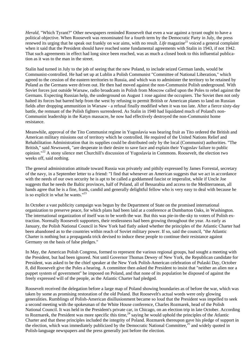*Herald,* "Which Tyrant?" Other newspapers reminded Roosevelt that even a war against a tyrant ought to have a political objective. When Roosevelt was renominated for a fourth term by the Democratic Party in July, the press renewed its urging that he speak out frankly on war aims, with no result. *Life* magazine<sup>21</sup> voiced a general complaint when it said that the President should have reached some fundamental agreements with Stalin in 1943, if not 1942. That such agreements in effect had long since been reached, was as much a closed book to this influential publication as it was to the man in the street.

Stalin had turned in July to the job of seeing that the new Poland, to include seized German lands, would be Communist-controlled. He had set up at Lublin a Polish Communist "Committee of National Liberation," which agreed to the cession of the eastern territories to Russia, and which was to administer the territory to be retained by Poland as the Germans were driven out. He then had moved against the non-Communist Polish underground. With Soviet forces just outside Warsaw, radio broadcasts in Polish from Moscow called upon the Poles to rebel against the Germans. Expecting Russian help, the underground on August 1 rose against the occupiers. The Soviet then not only halted its forces but barred help from the west by refusing to permit British or American planes to land on Russian fields after dropping ammunition in Warsaw - a refusal finally modified when it was too late. After a fierce sixty-day battle, the remnant of the Polish fighters surrendered. As Stalin in 1940 had liquidated much of Poland's non-Communist leadership in the Katyn massacre, he now had effectively destroyed the non-Communist home resistance.

Meanwhile, approval of the Tito Communist regime in Yugoslavia was bearing fruit as Tito ordered the British and American military missions out of territory which he controlled. He required of the United Nations Relief and Rehabilitation Administration that its supplies could be distributed only by the local (Communist) authorities. "The British," said *Newsweek,* "are desperate in their desire to save face and explain their Yugoslav failure to public opinion."22 A stony silence met Churchill's discussion of Yugoslavia in Commons. Roosevelt, the election two weeks off, said nothing.

The general administration attitude toward Russia was privately and pithily expressed by James Forrestal, secretary of the navy, in a September letter to a friend: "I find that whenever an American suggests that we act in accordance with the needs of our own security he is apt to be called a goddamned fascist or imperalist, while if Uncle Joe suggests that he needs the Baltic provinces, half of Poland, all of Bessarabia and access to the Mediterranean, all hands agree that he is a fine, frank, candid and generally delightful fellow who is very easy to deal with because he is so explicit in what he wants." $^{23}$ 

In October a vast publicity campaign was begun by the Department of State on the promised international organization to preserve peace, for which plans had been laid at a conference at Dumbarton Oaks, in Washington. The international organization of itself was to be worth the war. But this was pie-in-the-sky to voters of Polish extraction. Normally Roosevelt supporters, their restlessness had been growing throughout the year. As early as January, the Polish National Council in New York had flatly asked whether the principles of the Atlantic Charter had been abandoned as to the countries within reach of Soviet military power. If so, said the council, "the Atlantic Charter is nothing but a propaganda trick devised to induce these people to continue their resistance against Germany on the basis of false pledges."

In May, the American Polish Congress, formed to represent the various regional groups, had sought a meeting with the President, but had been ignored. Not until Governor Thomas Dewey of New York, the Republican candidate for President, was asked to be the chief speaker at the New York Polish-American celebration of Pulaski Day, October 8, did Roosevelt give the Poles a hearing. A committee then asked the President to insist that "neither an alien nor a puppet system of government" be imposed on Poland, and that none of its population be disposed of against the freely expressed will of the people, as the Atlantic Charter had pledged.

Roosevelt received the delegation before a large map of Poland showing boundaries as of before the war, which was taken by some as promising restoration of the old Poland. But Roosevelt's actual words were only glowing generalities. Rumblings of Polish-American disillusionment became so loud that the President was impelled to seek a second meeting with the spokesman of the White House conference, Charles Rozmarek, head of the Polish National Council. It was held in the President's private car, in Chicago, on an election trip in late October. According to Rozmarek, the President was more specific this time,  $^{24}$  saying he would uphold the principles of the Atlantic Charter and that these principles included the integrity of Poland. Rozmarek thereupon gave his pledge of support in the election, which was immediately publicized by the Democratic National Committee,<sup>25</sup> and widely quoted in Polish-language newspapers and the press generally just before the election.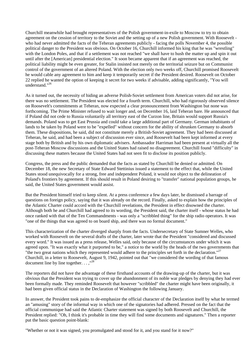Churchill meanwhile had brought representatives of the Polish government-in-exile to Moscow to try to obtain agreement on the cession of territory to the Soviet and the setting up of a new Polish government. With Roosevelt who had never admitted the facts of the Teheran agreements publicly - facing the polls November 4, the possible political danger to the President was obvious. On October 16, Churchill informed his king that he was "wrestling" with the London Poles, and that if a settlement was not reached "we shall have to hush the matter up and spin it out until after the [American] presidential election." It soon became apparent that if an agreement was reached, the political liability might be even greater, for Stalin insisted not merely on the territorial seizure but on Communist control of the government of an altered Poland. With the election only two weeks off, Churchill promised Roosevelt he would cable any agreement to him and keep it temporarily secret if the President desired. Roosevelt on October 22 replied he wanted the option of keeping it secret for two weeks if advisable, adding significantly, "You will understand. $126$ 

As it turned out, the necessity of hiding an adverse Polish-Soviet settlement from American voters did not arise, for there was no settlement. The President was elected for a fourth term. Churchill, who had rigorously observed silence on Roosevelt's commitments at Teheran, now expected a clear pronouncement from Washington but none was forthcoming. The Prime Minister refused to wait longer and, on December 16, laid Teheran bare. He announced that if Poland did not cede to Russia voluntarily all territory east of the Curzon line, Britain would support Russia's demands. Poland was to get East Prussia and could take a large additional part of Germany. German inhabitants of lands to be taken by Poland were to be "expelled" without concern for the ability of shrunken Germany to absorb them. These dispositions, he said, did not constitute merely a British-Soviet agreement. They had been discussed at Teheran, he said, and had been a subject of discussion ever since, and Roosevelt had been kept informed at every stage both by British and by his own diplomatic advisers. Ambassador Harriman had been present at virtually all the post-Teheran Moscow discussions and the United States had raised no disagreement. Churchill found "difficulty" in discussing these matters because the United States had not seen fit to disclose its position publicly.

Congress, the press and the public demanded that the facts as stated by Churchill be denied or admitted. On December 18, the new Secretary of State Edward Stettinius issued a statement to the effect that, while the United States stood unequivocally for a strong, free and independent Poland, it would not object to the delineation of Poland's frontiers by agreement. If this should result in Poland desiring to "transfer" national population groups, he said, the United States government would assist.

But the President himself tried to keep silent. At a press conference a few days later, he dismissed a barrage of questions on foreign policy, saying that it was already on the record. Finally, asked to explain how the principles of the Atlantic Charter could accord with the Churchill revelations, the President in effect disowned the charter. Although both he and Churchill had agreed to its wording, the President said, the charter itself - whose status he had once ranked with that of the Ten Commandments - was only a "scribbled thing" for the ship radio operators. It was "one of the things that was agreed to on board ship, and there was no formal document."

This characterization of the charter diverged sharply from the facts. Undersecretary of State Sumner Welles, who worked with Roosevelt on the several drafts of the charter, later wrote that the President "considered and discussed every word." It was issued as a press release, Welles said, only because of the circumstances under which it was agreed upon. "It was exactly what it purported to be," a notice to the world by the heads of the two governments that "the two great nations which they represented would adhere to the principles set forth in the declaration."<sup>27</sup> Churchill, in a letter to Roosevelt, August 9, 1942, pointed out that "we considered the wording of that famous document line by line together.  $\ldots$ <sup>28</sup>

The reporters did not have the advantage of these firsthand accounts of the drawing-up of the charter, but it was obvious that the President was trying to cover up the abandonment of its noble war pledges by denying they had ever been formally made. They reminded Roosevelt that however "scribbled" the charter might have been originally, it had been given official status in the Declaration of Washington the following January.

In answer, the President took pains to de-emphasize the official character of the Declaration itself by what he termed an "amusing" story of the informal way in which one of the signatories had adhered. Pressed on the fact that the official communique had said the Atlantic Charter statement was signed by both Roosevelt and Churchill, the President replied: "Oh, I think it's probable in time they will find some documents and signatures." Then a reporter put the basic question point-blank:

"Whether or not it was signed, you promulgated and stood for it, and you stand for it now?"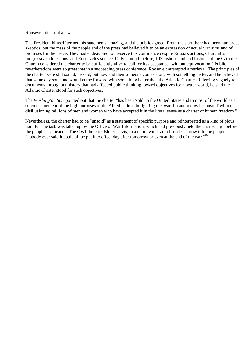Roosevelt did not answer.

The President himself termed his statements amazing, and the public agreed. From the start there had been numerous skeptics, but the mass of the people and of the press had believed it to be an expression of actual war aims and of promises for the peace. They had endeavored to preserve this confidence despite Russia's actions, Churchill's progressive admissions, and Roosevelt's silence. Only a month before, 103 bishops and archbishops of the Catholic Church considered the charter to be sufficiently alive to call for its acceptance "without equivocation." Public reverberations were so great that in a succeeding press conference, Roosevelt attempted a retrieval. The principles of the charter were still sound, he said, but now and then someone comes along with something better, and he believed that some day someone would come forward with something better than the Atlantic Charter. Referring vaguely to documents throughout history that had affected public thinking toward objectives for a better world, he said the Atlantic Charter stood for such objectives.

The *Washington Star* pointed out that the charter "has been 'sold' to the United States and to most of the world as a solemn statement of the high purposes of the Allied nations in fighting this war. It cannot now be 'unsold' without disillusioning millions of men and women who have accepted it in the literal sense as a charter of human freedom."

Nevertheless, the charter had to be "unsold" as a statement of specific purpose and reinterpreted as a kind of pious homily. The task was taken up by the Office of War Information, which had previously held the charter high before the people as a beacon. The OWI director, Elmer Davis, in a nationwide radio broadcast, now told the people "nobody ever said it could all be put into effect day after tomorrow or even at the end of the war."<sup>29</sup>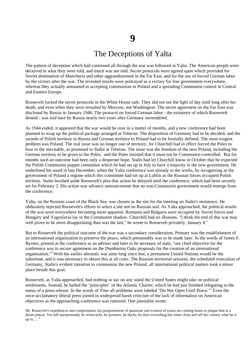### The Deceptions of Yalta

The pattern of deception which had continued all through the war was followed at Yalta. The American people were deceived in what they were told, and much was not told. Secret protocols were agreed upon which provided for Soviet domination of Manchuria and other aggrandizement in the Far East, and for the use of forced German labor by the victors after the war. The revealed results were portrayed as a victory for free government everywhere, whereas they actually amounted to accepting communism in Poland and a spreading Communist control in Central and Eastern Europe.

Roosevelt locked the secret protocols in the White House safe. They did not see the light of day until long after his death, and even when they were revealed by Moscow, not Washington. The secret agreement on the Far East was disclosed by Russia in January 1946. The protocol on forced German labor - the existence of which Roosevelt denied - was laid bare by Russia nearly two years after Germany surrendered.

As 1944 ended, it appeared that the war would be over in a matter of months, and a new conference had been planned to wrap up the political package arranged at Teheran. The disposition of Germany had to be decided, and the awards of Polish territory to Russia and German territory to Poland had to be formally defined. The most exigent problem was Poland. The real issue was no longer one of territory, for Churchill had in effect forced the Poles to bow to the inevitable, as promised to Stalin at Teheran. The issue was the freedom of the new Poland, including the German territory to be given to the Poles, and the Poles insisted that it must not be Communist-controlled. But for months such an outcome had been only a desperate hope. Stalin had let Churchill know in October that he expected the Polish Communist puppet committee which he had set up in July to have a majority in the new government. He underlined his stand in late December, when the Yalta conference was already in the works, by recognizing as the government of Poland a regime which this committee had set up at Lublin as the Russian forces occupied Polish territory. Stalin brushed aside Roosevelt's plea that action be delayed until the conference, which had been secretly set for February 2. His action was advance announcement that no non-Communist government would emerge from the conference.

Yalta, on the Russian coast of the Black Sea, was chosen as the site for the meeting on Stalin's insistence. He obdurately rejected Roosevelt's efforts to select a site not on Russian soil. As Yalta approached, the political results of the war were everywhere becoming more apparent. Rumania and Bulgaria were occupied by Soviet forces and Hungary and Yugoslavia lay in the Communist shadow. Churchill had no illusions. "I think the end of this war may well prove to be more disappointing than was the last," he wrote to Roosevelt privately, January  $8<sup>1</sup>$ 

But to Roosevelt the political outcome of the war was a secondary consideration. Primary was the establishment of an international organization to preserve the peace, which presumably was to be made later. In the words of James F. Byrnes, present at the conference as an adviser and later to be secretary of state, "our chief objective for the conference was to secure agreement on the Dumbarton Oaks proposals for the creation of an international organization."2 With the earlier altruistic war aims long since lost, a permanent United Nations would be the substitute, and it was necessary to obtain this at all costs. The Russian territorial seizures, the scheduled truncation of Germany, Stalin's evident intention to communize the new Poland, all international political matters took a minor place beside this goal.

Roosevelt, as Yalta approached, had nothing to say on any stand the United States might take on political settlements. Instead, he hailed the "principles" of the Atlantic Charter, which he had just finished relegating to the status of a press release. In the words of *Time* all problems were labeled "Do Not Open Until Peace."<sup>I</sup> Even the once-acclamatory liberal press joined in widespread harsh criticism of the lack of information on American objectives as the approaching conference was rumored. One journalist wrote:

Mr. Roosevelt's expediences and compromises, his postponement of questions and evasion of issues are coming home to plague him in a dozen places. Yet still unrepentantly he wisecracks, he postures, he ducks, he does everything but come clean and tell the country what he is up to.  $\ldots$ <sup>4</sup>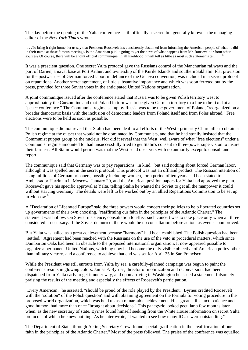The day before the opening of the Yalta conference - still officially a secret, but generally known - the managing editor of the *New York Times* wrote:

. . . .To bring it right home, let us say that President Roosevelt has consistently abstained from informing the American people of what he did in their name at these famous meetings. Is the American public going to get the news of what happens from Mr. Roosevelt or from other sources? Of course, there will be a joint official communique. In all likelihood, it will tell as little as most such statements tell. . . .

It was a prescient question. One secret Yalta protocol gave the Russians control of the Manchurian railways and the port of Darien, a naval base at Port Arthur, and ownership of the Kurile Islands and southern Sakhalin. Flat provision for the postwar use of German forced labor, in defiance of the Geneva convention, was included in a secret protocol on reparations. Another secret agreement, of little substantive importance and which was soon ferreted out by the press, provided for three Soviet votes in the anticipated United Nations organization.

A joint communique issued after the conference stated that Russia was to be given Polish territory west to approximately the Curzon line and that Poland in turn was to be given German territory to a line to be fixed at a "peace conference." The Communist regime set up by Russia was to be the government of Poland, "reorganized on a broader democratic basis with the inclusion of democratic leaders from Poland itself and from Poles abroad." Free elections were to be held as soon as possible.

The communique did not reveal that Stalin had been deaf to all efforts of the West - primarily Churchill - to obtain a Polish regime at the outset that would not be dominated by Communists, and that he had stonily insisted that the Communist puppet group be the nucleus. Nor did it reveal that the West, well aware of what "free elections" under a Communist regime amounted to, had unsuccessfully tried to get Stalin's consent to three-power supervision to insure their fairness. All Stalin would permit was that the West send observers with no authority except to consult and report.

The communique said that Germany was to pay reparations "in kind," but said nothing about forced German labor, although it was spelled out in the secret protocol. This protocol was not an offhand product. The Russian intention of using millions of German prisoners, possibly including women, for a period of ten years had been stated to Ambassador Harriman in Moscow, January 20, and the American position papers for Yalta had approved the plan. Roosevelt gave his specific approval at Yalta, telling Stalin he wanted the Soviet to get all the manpower it could without starving Germany. The details were left to be worked out by an allied Reparations Commission to be set up in Moscow.<sup>6</sup>

A "Declaration of Liberated Europe" said the three powers would concert their policies to help liberated countries set up governments of their own choosing, "reaffirming our faith in the principles of the Atlantic Charter." The statement was hollow. On Soviet insistence, consultation to effect such concert was to take place only when all three considered it necessary. If the Soviet demurred, there would be no consultation before action, as events soon proved.

But Yalta was hailed as a great achievement because "harmony" had been established. The Polish question had been "settled." Agreement had been reached with the Russians on the use of the veto in procedural matters, which since Dumbarton Oaks had been an obstacle to the proposed international organization. It now appeared possible to organize a permanent United Nations, which by now had become the only visible objective of American policy other than military victory, and a conference to achieve that end was set for April 25 in San Francisco.

While the President was still enroute from Yalta by sea, a carefully-planned campaign was begun to paint the conference results in glowing colors. James F. Byrnes, director of mobilization and reconversion, had been dispatched from Yalta early to get it under way, and upon arriving in Washington he issued a statement fulsomely praising the results of the meeting and especially the effects of Roosevelt's participation.

"Every American," he asserted, "should be proud of the role played by the President." Byrnes credited Roosevelt with the "solution" of the Polish question<sup>7</sup> and with obtaining agreement on the formula for voting procedure in the proposed world organization, which was held up as a remarkable achievement. His "great skills, tact, patience and good humor" had more than once "brought about decisions." This panegyric looked peculiar a few months later when, as the new secretary of state, Byrnes found himself seeking from the White House information on secret Yalta protocols of which he knew nothing. As he later wrote, "I wanted to see how many IOU's were outstanding."8

The Department of State, through Acting Secretary Grew, found special gratification in the "reaffirmation of our faith in the principles of the Atlantic Charter." Most of the press followed. The praise of the conference was equalled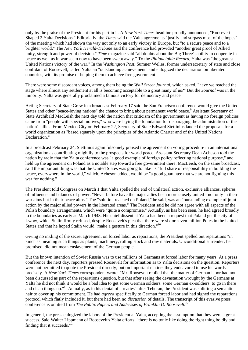only by the praise of the President for his part in it. A *New York Times* headline proudly announced, "Roosevelt Shaped 2 Yalta Decisions." Editorially, the *Times* said the Yalta agreements "justify and surpass most of the hopes" of the meeting which had shown the way not only to an early victory in Europe, but "to a secure peace and to a brighter world." The *New York Herald-Tribune* said the conference had provided "another great proof of Allied unity, strength and power of decision." *Time* magazine said "all doubts about the Big Three's ability to cooperate in peace as well as in war seem now to have been swept away." To the *Philadelphia Record,* Yalta was "the greatest United Nations victory of the war." In the *Washington Post,* Sumner Welles, former undersecretary of state and close confidant of Roosevelt, called Yalta an "outstanding achievement" and eulogized the declaration on liberated countries, with its promise of helping them to achieve free government.

There were some discordant voices, among them being the *Wall Street Journal,* which asked, "have we reached the stage where almost any settlement at all is becoming acceptable to a great many of us?" But the *Journal* was in the minority. Yalta was generally proclaimed a famous victory for democracy and peace.

Acting Secretary of State Grew in a broadcast February 17 said the San Francisco conference would give the United States and other "peace-loving nations" the chance to bring about permanent world peace.<sup>9</sup> Assistant Secretary of State Archibald MacLeish the next day told the nation that criticism of the government as having no foreign policies came from "people with special motives," who were laying the foundation for disparaging the administration of the nation's allies. From Mexico City on February 22, Secretary of State Edward Stettinius lauded the proposals for a world organization as "based squarely upon the principles of the Atlantic Charter and of the United Nations Declaration."

In a broadcast February 24, Stettinius again fulsomely praised the agreement on voting procedure in an international organization as contributing mightily to the prospects for world peace. Assistant Secretary Dean Acheson told the nation by radio that the Yalta conference was "a good example of foreign policy reflecting national purpose," and held up the agreement on Poland as a notable step toward a free government there. MacLeish, on the same broadcast, said the important thing was that the United States was going to take its "full share of responsibility in building the peace, everywhere in the world," which, Acheson added, would be "a good guarantee that we are not fighting this war for nothing."

The President told Congress on March 1 that Yalta spelled the end of unilateral action, exclusive alliances, spheres of influence and balances of power. "Never before have the major allies been more closely united - not only in their war aims but in their peace aims." The "solution reached on Poland," he said, was an "outstanding example of joint action by the major allied powers in the liberated areas." The President said he did not agree with all aspects of the Polish boundary arrangements, which were "quite a compromise." Actually, as has been seen, he had agreed broadly to the boundaries as early as March 1943. His chief dissent at Yalta had been a request that Poland get the city of Lwow, which Stalin firmly refused, despite Roosevelt's plea that there were six or seven million Poles in the United States and that he hoped Stalin would "make a gesture in this direction."10

Giving no inkling of the secret agreement on forced labor as reparations, the President spelled out reparations "in kind" as meaning such things as plants, machinery, rolling stock and raw materials. Unconditional surrender, he promised, did not mean enslavement of the German people.

But the known intention of Soviet Russia was to use millions of Germans at forced labor for many years. At a press conference the next day, reporters pressed Roosevelt for information as to Yalta decisions on the question. Reporters were not permitted to quote the President directly, but on important matters they endeavored to use his words precisely. A *New York Times* correspondent wrote: "Mr. Roosevelt replied that the matter of German labor had not been discussed as part of the reparations question, but that after seeing the devastation wrought by the Germans at Yalta he did not think it would be a bad idea to get some German soldiers, some German ex-soldiers, to go in there and clean things up."<sup>11</sup> Actually, as in his denial of "treaties" after Teheran, the President was splitting a semantic hair to cover up his commitment. He had *agreed* specifically to German forced labor and had signed the reparations protocol which flatly included it, but there had been no *discussion* of details. The transcript of this evasive press conference is omitted from *The Public Papers and Addresses of Franklin D. Roosevelt.<sup>12</sup>*

In general, the press eulogized the labors of the President at Yalta, accepting the assumption that they were a great success. Said Walter Lippmann of Roosevelt's Yalta efforts, "there is no tonic like doing the right thing boldly and finding that it succeeds.""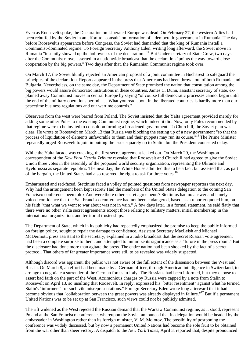Even as Roosevelt spoke, the Declaration on Liberated Europe was dead. On February 27, the western Allies had been rebuffed by the Soviet in an effort to "consult" on formation of a democratic government in Rumania. The day before Roosevelt's appearance before Congress, the Soviet had demanded that the king of Rumania install a Communist-dominated regime. To Foreign Secretary Anthony Eden, writing long afterward, the Soviet move in Rumania "instantly showed up the hollowness of the declaration."14 But Undersecretary of State Grew, two days after the Communist move, asserted in a nationwide broadcast that the declaration "points the way toward close cooperation by the big powers." Two days after that, the Rumanian Communist regime took over.

On March 17, the Soviet bluntly rejected an American proposal of a joint committee in Bucharest to safeguard the principles of the declaration. Reports appeared in the press that Americans had been thrown out of both Rumania and Bulgaria. Nevertheless, on the same day, the Department of State promised the nation that consultation among the big powers would assure democratic institutions in these countries. James C. Dunn, assistant secretary of state, explained away Communist moves in central Europe by saying "of course full democratic processes cannot begin until the end of the military operations period. . . . What you read about in the liberated countries is hardly more than our peacetime business regulations and our wartime controls."

Observers from the west were barred from Poland. The Soviet insisted that the Yalta agreement provided merely for adding some other Poles to the existing Communist regime, which indeed it did. Now, only Poles recommended by that regime were to be invited to consult on forming a broadened government. To Churchill, the Soviet plan was clear. He wrote to Roosevelt on March 13 that Russia was blocking the setting up of a new government "so that the process of liquidation of elements unfavorable to them and their puppets may run its course.<sup>"15</sup> The Prime Minister repeatedly urged Roosevelt to join in putting the issue squarely up to Stalin, but the President counseled delay.

While the Yalta facade was cracking, the first secret agreement leaked out. On March 29, the Washington correspondent of the *New York Herald Tribune* revealed that Roosevelt and Churchill had agreed to give the Soviet Union three votes in the assembly of the proposed world security organization, representing the Ukraine and Byelorussia as separate republics. The next day, the White House admitted this to be a fact, but asserted that, as part of the bargain, the United States had also reserved the right to ask for three votes.<sup>16</sup>

Embarrassed and red-faced, Stettinius faced a volley of pointed questions from newspaper reporters the next day. Why had the arrangement been kept secret? Had the members of the United States delegation to the coming San Francisco conference been told? And were there other secret agreements? Stettinius had no answer and lamely voiced confidence that the San Francisco conference had not been endangered, based, as a reporter quoted him, on his faith "that what we went to war about was not in vain." A few days later, in a formal statement, he said flatly that there were no other Yalta secret agreements except those relating to military matters, initial membership in the international organization, and territorial trusteeships.

The Department of State, which in its publicity had repeatedly emphasized the promise to keep the public informed on foreign policy, sought to repair the damage to confidence. Assistant Secretary MacLeish and Michael McDermott, press assistant to the secretary, explained in a radio broadcast that the secret Russian vote agreement had been a complete surprise to them, and attempted to minimize its significance as a "furore in the press room." But the disclosure had done more than agitate the press. The entire nation had been shocked by the fact of a secret protocol. That others of far greater importance were still to be revealed was widely suspected.

Although discord was apparent, the public was not aware of the full extent of the dissension between the West and Russia. On March 8, an effort had been made by a German officer, through American intelligence in Switzerland, to arrange to negotiate a surrender of the German forces in Italy. The Russians had been informed, but they choose to assert bad faith on the part of the West. Acrimonious charges by Russia were capped by a note from Stalin to Roosevelt on April 13, so insulting that Roosevelt, in reply, expressed his "bitter resentment" against what he termed Stalin's "informers" for such vile misrepresentations." Foreign Secretary Eden wrote long afterward that it had become obvious that "collaboration between the great powers was already displayed in failure."17 But if a permanent United Nations was to be set up at San Francisco, such views could not be publicly admitted.

The rift widened as the West rejected the Russian demand that the Warsaw Communist regime, as it stood, represent Poland at the San Francisco conference, whereupon the Soviet announced that its delegation would be headed by the ambassador in Washington rather than its foreign minister, V. M. Molotov. The possibility of postponing the conference was widely discussed, but by now a permanent United Nations had become the sole fruit to be obtained from the war other than sheer victory. A dispatch to the *New York Times,* April 3, reported that, despite pronounced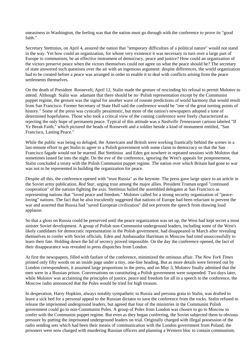uneasiness in Washington, the feeling was that the nation must go through with the conference to prove its "good faith."

Secretary Stettinius, on April 4, assured the nation that "temporary difficulties of a political nature" would not stand in the way. Yet how could an organization, for whose very existence it was necessary to turn over a large part of Europe to communism, be an effective instrument of democracy, peace and justice? How could an organization of the victors preserve peace when the victors themselves could not agree on what the peace should be? The secretary of state answered such questions over the air with an ingenious argument: despite differences, the world organization had to be created before a peace was arranged in order to enable it to deal with conflicts arising from the peace settlements themselves.

On the death of President Roosevelt, April 12, Stalin made the gesture of rescinding his refusal to permit Molotov to attend. Although Stalin was adamant that there should be no Polish representation except by the Communist puppet regime, the gesture was the signal for another wave of roseate predictions of world harmony that would result from San Francisco. Former Secretary of State Hull said the conference would be "one of the great turning points of history." Some of the press was cynically pessimistic, but more of the nation's newspapers adopted a tone of determined hopefulness. Those who took a critical view of the coming conference were freely characterized as rejecting the only hope of permanent peace. Typical of this attitude was a *Nashville Tennessean* cartoon labeled "If Ye Break Faith," which pictured the heads of Roosevelt and a soldier beside a kind of monument entitled, "San Francisco, Lasting Peace."

While the public was being so deluged, the Americans and British were working frantically behind the scenes in a last-minute effort to get Stalin to agree to a Polish government with some claim to democracy so that the San Francisco fagade would not be marred. But Stettinius and Eden got nowhere in repeated sessions with Molotov that sometimes lasted far into the night. On the eve of the conference, ignoring the West's appeals for postponement, Stalin concluded a treaty with the Polish Communist puppet regime. The nation over which Britain had gone to war was not to be represented in building the organization for peace.

Despite all this, the conference opened with "trust Russia" as the keynote. The press gave large space to an article in the Soviet army publication, *Red Star,* urging trust among the major allies. President Truman urged "continued cooperation" of the nations fighting the axis. Stettinius hailed the assembled delegates at San Francisco as representing nations that "loved peace and freedom." Molotov called for a strong security organization of "peaceloving" nations. The fact that he also truculently suggested that nations of Europe had been reluctant to prevent the war and asserted that Russia had "saved European civilization" did not prevent the speech from drawing loud applause.

So that a gloss on Russia could be preserved until the peace organization was set up, the West had kept secret a most sinister Soviet development. A group of Polish non-Communist underground leaders, including some of the West's likely candidates for democratic representation in the Polish government, had disappeared in March after revealing themselves to confer with Soviet officials. Eden and Ambassador Harriman in Moscow had tried unsuccessfully to learn their fate. Holding down the lid of secrecy proved impossible. On the day the conference opened, the fact of their disappearance was revealed in press dispatches from London.

At first the newspapers, filled with fanfare of the conference, minimized the ominous affair. The *New York Times*  printed only fifty words on an inside page under a tiny, one-line heading. But as more details were ferreted out by London correspondents, it assumed large proportions in the press, and on May 3, Molotov finally admitted that the men were in a Russian prison. Conversations on constituting a Polish government were suspended. Two days later, while Molotov was acclaiming the principles of justice, peace and freedom for all in a speech to the conference, the Moscow radio announced that the Poles would be tried for high treason.

In desperation, Harry Hopkins, always notably sympathetic to Russia and persona grata to Stalin, was drafted to leave a sick bed for a personal appeal to the Russian dictator to save the conference from the rocks. Stalin refused to release the imprisoned underground leaders, but agreed that four of the ministries in the Communist Polish government could go to non-Communist Poles. A group of Poles from London was chosen to go to Moscow to confer with the Communist puppet regime. But even as they began conferring, the Soviet subjected them to obvious pressure by putting the imprisoned underground leaders on trial. Originally charged with illegal possession of the radio sending sets which had been their means of communication with the London government from Poland, the prisoners were now charged with murdering Russian officers and planning a Western bloc to contain communism.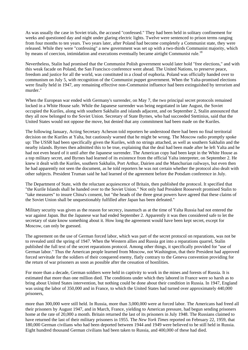As was usually the case in Soviet trials, the accused "confessed." They had been held in solitary confinement for weeks and questioned day and night under glaring electric lights. Twelve were sentenced to prison terms ranging from four months to ten years. Two years later, after Poland had become completely a Communist state, they were released. While they were "confessing" a new government was set up with a two-thirds Communist majority, which by means of coercion, intimidation and executions eventually became airtight Communist rule.<sup>18</sup>

Nevertheless, Stalin had promised that the Communist Polish government would later hold "free elections," and with this weak facade on Poland, the San Francisco conference went ahead. The United Nations, to preserve peace, freedom and justice for all the world, was constituted in a cloud of euphoria. Poland was officially handed over to communism on July 5, with recognition of the Communist puppet government. When the Yalta-promised elections were finally held in 1947, any remaining effective non-Communist influence had been extinguished by terrorism and murder."

When the European war ended with Germany's surrender, on May 7, the two principal secret protocols remained locked in a White House safe. While the Japanese surrender was being negotiated in late August, the Soviet occupied the Kuriles, along with southern Sakhalin and islands adjacent, and on September 2, Stalin announced that they all now belonged to the Soviet Union. Secretary of State Byrnes, who had succeeded Stettinius, said that the United States would not oppose the move, but denied that any commitment had been made on the Kuriles.

The following January, Acting Secretary Acheson told reporters he understood there had been no final territorial decision on the Kuriles at Yalta, but cautiously warned that he might be wrong. The Moscow radio promptly spoke up: The USSR had been specifically given the Kuriles, with no strings attached, as well as southern Sakhalin and the nearby islands. Byrnes then admitted this to be true, explaining that the deal had been made after he left Yalta and he had not even heard of it until after the Japanese surrender. The American copy had been kept in the White House as a top military secret, and Byrnes had learned of its existence from the official Yalta interpreter, on September 2. He knew it dealt with the Kuriles, southern Sakhalin, Port Arthur, Dairien and the Manchurian railways, but even then he had apparently not seen the document, as he told reporters he was not certain whether the protocol also dealt with other subjects. President Truman said he had learned of the agreement before the Potsdam conference in July.

The Department of State, with the reluctant acquiescence of Britain, then published the protocol. It specified that "the Kurile Islands shall be handed over to the Soviet Union." Not only had President Roosevelt promised Stalin to "take measures" to insure China's consent, but "the heads of the three great powers have agreed that these claims of the Soviet Union shall be unquestionably fulfilled after Japan has been defeated."

Military security was given as the reason for secrecy, inasmuch as at the time of Yalta Russia had not entered the war against Japan. But the Japanese war had ended September 2. Apparently it was then considered safe to let the secretary of state know something about it. How long the agreement would have been kept secret, except for Moscow, can only be guessed.

The agreement on the use of German forced labor, which was part of the secret protocol on reparations, was not be to revealed until the spring of 1947. When the Western allies and Russia got into a reparations quarrel, Stalin published the full text of the secret reparations protocol. Among other things, it specifically provided for "use of German labor." Thus the American people learned from Moscow, not Washington, that their President had approved forced servitude for the soldiers of their conquered enemy, flatly contrary to the Geneva convention providing for the return of war prisoners as soon as possible after the cessation of hostilities.

For more than a decade, German soldiers were held in captivity to work in the mines and forests of Russia. It is estimated that more than one million died. The conditions under which they labored in France were so harsh as to bring about United States intervention, but nothing could be done about their condition in Russia. In 1947, England was using the labor of 350,000 and in France, to which the United States had turned over approximately 440,000 prisoners,

more than 300,000 were still held. In Russia, more than 3,000,000 were at forced labor. The Americans had freed all their prisoners by August 1947, and in March, France, yielding to American pressure, had begun sending prisoners home at the rate of 20,000 a month. Britain returned the last of its prisoners in July 1948. The Russians claimed to have returned the last of their military prisoners in 1955. The *New York Times* reported on February 22, 1959, that 180,000 German civilians who had been deported between 1944 and 1949 were believed to be still held in Russia. Eight hundred thousand German civilians had been taken to Russia, and 400,000 of these had died.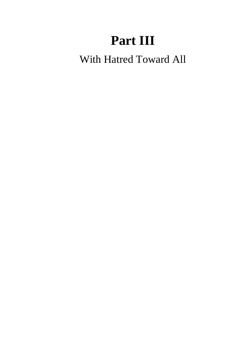# **Part III**

With Hatred Toward All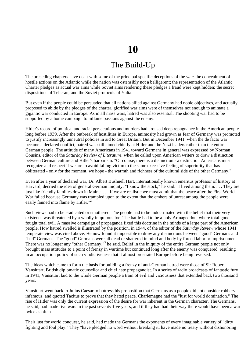## **10**

### The Build-Up

The preceding chapters have dealt with some of the principal specific deceptions of the war: the concealment of hostile actions on the Atlantic while the nation was ostensibly not a belligerent; the representation of the Atlantic Charter pledges as actual war aims while Soviet aims rendering these pledges a fraud were kept hidden; the secret dispositions of Teheran; and the Soviet protocols of Yalta.

But even if the people could be persuaded that all nations allied against Germany had noble objectives, and actually proposed to abide by the pledges of the charter, glorified war aims were of themselves not enough to animate a gigantic war conducted in Europe. As in all mass wars, hatred was also essential. The shooting war had to be supported by a home campaign to inflame passions against the enemy.

Hitler's record of political and racial persecutions and murders had aroused deep repugnance in the American people long before 1939. After the outbreak of hostilities in Europe, animosity had grown as fear of Germany was promoted to justify increasingly unneutral policies in aid to Great Britain. But in December 1941, when the de facto war became a declared conflict, hatred was still aimed chiefly at Hitler and the Nazi leaders rather than the entire German people. The attitude of many Americans in 1941 toward Germans in general was expressed by Norman Cousins, editor of the *Saturday Review of Literature,* when he called upon American writers to draw a distinction between German culture and Hitler's barbarism. "Of course, there is a distinction - a distinction Americans must recognize and respect if we are to avoid falling victim to the same excessive feeling of superiority that has obliterated - only for the moment, we hope - the warmth and richness of the cultural side of the other Germany."<sup>1</sup>

Even after a year of declared war, Dr. Albert Bushnell Hart, internationally known emeritus professor of history at Harvard, decried the idea of general German iniquity. "I know the stock," he said. "I lived among them. . . . They are just like friendly families down in Maine. . . . If we are realistic we must admit that the peace after the First World War failed because Germany was trampled upon to the extent that the embers of unrest among the people were easily fanned into flame by Hitler."2

Such views had to be eradicated or smothered. The people had to be indoctrinated with the belief that their very existence was threatened by a wholly iniquitous foe. The battle had to be a holy Armageddon, where total good fought total evil. A massive campaign of propaganda fixed this doctrine in the minds of a large part of the American people. How hatred swelled is illustrated by the position, in 1944, of the editor of the *Saturday Review* whose 1941 temperate view was cited above. He now found it impossible to draw any distinctions between "good" Germans and "bad" Germans. The "good" Germans were all dead or shattered in mind and body by forced labor or imprisonment. There was no longer any "other Germany,"<sup>3</sup> he said. Belief in the iniquity of the entire German people not only brought mass attitudes to a point of frenzy in wartime but continued long after the enemy was conquered, resulting in an occupation policy of such vindictiveness that it almost prostrated Europe before being reversed.

The ideas which came to form the basis for building a frenzy of anti-German hatred were those of Sir Robert Vansittart, British diplomatic counsellor and chief hate propagandist. In a series of radio broadcasts of fantastic fury in 1941, Vansittart laid to the whole German people a train of evil and viciousness that extended back two thousand years.

Vansittart went back to Julius Caesar to buttress his proposition that Germans as a people did not consider robbery infamous, and quoted Tacitus to prove that they hated peace. Charlemagne had the "lust for world domination." The rise of Hitler was only the current expression of the desire for war inherent in the German character. The Germans, he said, had made five wars in the past seventy-five years, and if they had had their way there would have been a war twice as often.

Their lust for world conquest, he said, had made the Germans the exponents of every imaginable variety of "dirty fighting and foul play." They "have pledged no word without breaking it, have made no treaty without dishonoring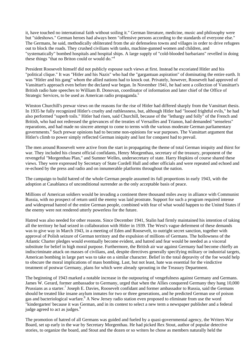it, have touched no international faith without soiling it." German literature, medicine, music and philosophy were but "sideshows." German heroes had always been "offensive persons according to the standards of everyone else." The Germans, he said, methodically obliterated from the air defenseless towns and villages in order to drive refugees out to block the roads. They crushed civilians with tanks, machine-gunned women and children, and "systematically" bombed hospitals and hospital ships. A large supply of "cold-blooded barbarians" revelled in doing these things "that no Briton could or would do."4

President Roosevelt himself did not publicly espouse such views at first. Instead he excoriated Hitler and his "political clique." It was "Hitler and his Nazis" who had the "gargantuan aspiration" of dominating the entire earth. It was "Hitler and his gang" whom the allied nations had to knock out. Privately, however, Roosevelt had approved of Vansittart's approach even before the declared war began. In November 1941, he had sent a collection of Vansittart's British radio hate speeches to William B. Donovan, coordinator of information and later chief of the Office of Strategic Services, to be used as American radio propaganda.<sup>5</sup>

Winston Churchill's prewar views on the reasons for the rise of Hitler had differed sharply from the Vansittart thesis. In 1935 he fully recognized Hitler's cruelty and ruthlessness, but, although Hitler had "loosed frightful evils," he had also performed "superb toils." Hitler had risen, said Churchill, because of the "lethargy and folly" of the French and British, who had not redressed the grievances of the treaties of Versailles and Trianon, had demanded "senseless" reparations, and had made no sincere attempt to come to terms with the various moderate German parliamentary governments.<sup>6</sup> Such prewar opinions had to become non-opinions for war purposes. The Vansittart argument that Hitler's climb to power simply reflected German iniquity and lust for conquest had to prevail.

The men around Roosevelt were active from the start in propagating the theme of total German iniquity and thirst for war. They included his closest official confidants, Henry Morgenthau, secretary of the treasury, proponent of the revengeful "Morgenthau Plan," and Sumner Welles, undersecretary of state. Harry Hopkins of course shared these views. They were expressed by Secretary of State Cordell Hull and other officials and were repeated and echoed and re-echoed by the press and radio and on innumerable platforms throughout the nation.

The campaign to build hatred of the whole German people assumed its full proportions in early 1943, with the adoption at Casablanca of unconditional surrender as the only acceptable basis of peace.

Millions of American soldiers would be invading a continent three thousand miles away in alliance with Communist Russia, with no prospect of return until the enemy was laid prostrate. Support for such a program required intense and widespread hatred of the entire German people, combined with fear of what would happen to the United States if the enemy were not rendered utterly powerless for the future.

Hatred was also needed for other reasons. Since December 1941, Stalin had firmly maintained his intention of taking all the territory he had seized in collaboration with Hitler in 1939. The West's vague deferment of these demands was to give way in March 1943, in a meeting of Eden and Roosevelt, to outright secret sanction, together with approval of Polish seizure of German territory and the expulsion of millions of Germans. The hollowness of the Atlantic Charter pledges would eventually become evident, and hatred and fear would be needed as a visceral substitute for belief in high moral purpose. Furthermore, the British air war against Germany had become chiefly an indiscriminate attack on masses of civilians, and, despite directives generally specifying military or industrial targets, American bombing in large part was to take on a similar character. Belief in the total depravity of the foe would help to obscure the moral implications of mass bombing. Last, but not least, hate was essential for the vindictive treatment of postwar Germany, plans for which were already sprouting in the Treasury Department.

The beginning of 1943 marked a notable increase in the outpouring of vengefulness against Germany and Germans. James W. Gerard, former ambassador to Germany, urged that when the Allies conquered Germany they hang 10,000 Prussians as a starter.<sup>7</sup> Joseph E. Davies, Roosevelt confidant and former ambassador to Russia, said the Germans should be treated like insane asylum inmates for two or three generations, and he predicted German use of poison gas and bacteriological warfare.<sup>8</sup> A New Jersey radio station even proposed to eliminate from use the word "kindergarten' because it was German, and in its contest to select a new term a newspaper publisher and a federal judge agreed to act as judges.<sup>9</sup>

The promotion of hatred of all Germans was guided and fueled by a quasi-governmental agency, the Writers War Board, set up early in the war by Secretary Morgenthau. He had picked Rex Stout, author of popular detective stories, to organize the board, and Stout and the dozen or so writers he chose as members naturally held the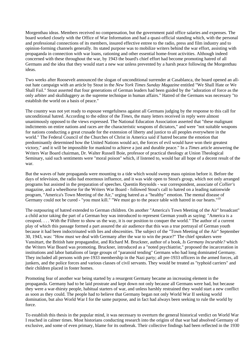Morgenthau ideas. Members received no compensation, but the government paid office salaries and expenses. The board worked closely with the Office of War Information and had a quasi-official standing which, with the personal and professional connections of its members, insured effective entree to the radio, press and film industry and to opinion-forming channels generally. Its stated purpose was to mobilize writers behind the war effort, assisting with propaganda in connection with war loans, rationing and other essential home-front activities. Although indeed concerned with these throughout the war, by 1943 the board's chief effort had become promoting hatred of all Germans and the idea that they would start a new war unless prevented by a harsh peace following the Morgenthau ideas.

Two weeks after Roosevelt announced the slogan of unconditional surrender at Casablanca, the board opened an allout hate campaign with an article by Stout in the *New York Times Sunday Magazine* entitled "We Shall Hate or We Shall Fail." Stout asserted that four generations of German leaders had been guided by the "adoration of force as the only arbiter and skullduggery as the supreme technique in human affairs." Hatred of the Germans was necessary "to establish the world on a basis of peace."

The country was not yet ready to espouse vengefulness against all Germans judging by the response to this call for unconditional hatred. According to the editor of the *Times,* the many letters received in reply were almost unanimously opposed to the views expressed. The National Education Association asserted that "these malignant indictments on entire nations and races are the characteristic weapons of dictators," and were "not suitable weapons for nations conducting a great crusade for the extension of liberty and justice to all peoples everywhere in the world." The Federal Council of the Churches of Christ in America said if hatred became the emotion that predominantly determined how the United Nations would act, the forces of evil would have won their greatest victory," and it will be impossible for mankind to achieve a just and durable peace." In a *Times* article answering the Writers War Board chairman, Dr. Walter Russell Boie, professor of practical theology at Union Theological Seminary, said such sentiments were "moral poison" which, if listened to, would bar all hope of a decent result of the war.

But the waves of hate propaganda were mounting to a tide which would sweep mass opinion before it. Before the days of television, the radio had enormous influence, and it was wide open to Stout's group, which not only arranged programs but assisted in the preparation of speeches. Quentin Reynolds - war correspondent, associate of *Collier's*  magazine, and a wheelhorse for the Writers War Board - followed Stout's call to hatred on a leading nationwide program, "America's Town Meeting of the Air," urging hatred as a "healthy" emotion. The mental disease of Germany could not be cured - "you must kill." "We must go to the peace table with hatred in our hearts."<sup>10</sup>

The outpouring of hatred extended to German children. On another "America's Town Meeting of the Air" broadcast" a child actor taking the part of a German boy was introduced to represent German youth as saying: "America is a cesspool. . . . With the Fiihrer to show us the way, it is our position to conquer the world." The author of a current play of which this passage formed a part assured the air audience that this was a true portrayal of German youth because it had been indoctrinated with lies and obscenities. The subject of the "Town Meeting of the Air" September 30, 1943, was: "How must we deal with Germany after the war to win the peace?" The chief speakers were Vansittart, the British hate propagandist, and Richard M. Bruckner, author of a book, *Is Germany Incurable?* which the Writers War Board was promoting. Bruckner, introduced as a "noted psychiatrist," proposed the incarceration in institutions and labor battalions of large groups of "paranoid tending" Germans who had long dominated Germany. They included all persons with pre-1933 membership in the Nazi party; all pre-1933 officers in the armed forces, all junkers, and the police forces and various classes of civil servants. They would be treated as "typhoid carriers" and their children placed in foster homes.

Promoting fear of another war being started by a resurgent Germany became an increasing element in the propaganda. Germany had to be laid prostrate and kept down not only because all Germans were bad, but because they were a war-thirsty people, habitual starters of war, and unless harshly restrained they would start a new conflict as soon as they could. The people had to believe that Germany began not only World War II seeking world domination, but also World War I for the same purpose, and in fact had always been seeking to rule the world by force.

To establish this thesis in the popular mind, it was necessary to overturn the general historical verdict on World War I reached in calmer times. Most historians conducting research into the origins of that war had absolved Germany of exclusive, and some of even primary, blame for its outbreak. Their collective findings had been reflected in the 1930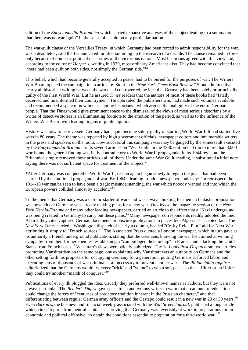edition of the *Encyclopaedia Britannica* which carried exhaustive analyses of the subject leading to a summation that there was no war "guilt" in the sense of a stain on any particular nation.

The war-guilt clause of the Versailles Treaty, in which Germany had been forced to admit responsibility for the war, was a dead letter, said the Britannica editor after summing up the research of a decade. The clause remained in force only because of domestic political necessities of the victorious nations. Most historians agreed with this view and, according to the editor of *Harper's,* writing in 1939, most ordinary Americans also. They had become convinced that "there had been guilt on both sides, not simply the German side." $12$ 

This belief, which had become generally accepted in peace, had to be buried for the purposes of war. The Writers War Board opened the campaign in an article by Stout in the *New York Times Book Review."* Stout admitted that nearly all historical writing between the wars had controverted the idea that Germany had been solely or principally guilty of the First World War. But he assured *Times* readers that the authors of most of these books had "fatally deceived and misinformed their countrymen." He upbraided the publishers who had made such volumes available and recommended a spate of new books - not by historians - which argued the malignity of the entire German people. That the *Times* would give prominent space to the dismissal of the views of most serious historians by a writer of detective stories is an illuminating footnote to the emotion of the period, as well as to the influence of the Writers War Board with leading organs of public opinion.

History was now to be reversed. Germany had again become solely guilty of starting World War I. It had started five wars in 80 years. The theme was repeated by high government officials, newspaper editors and innumerable writers in the press and speakers on the radio. How successful this campaign was may be gauged by the somersault executed by the *Encyclopaedia Britannica.* Its several articles on "War Guilt" in the 1930 edition had run to more than 8,000 words, and the general finding was flatly contradictory to World War II propaganda. In its 1944 revision, the Britannica simply removed these articles - all of them. Under the same War Guilt heading, it substituted a brief note saying there was not sufficient space for treatment of the subject.<sup>\*</sup>

\*After Germany was conquered in World War II, reason again began slowly to regain the place that had been usurped by the emotional propaganda of war. By 1964 a leading London newspaper could say: "In retrospect, the 1914-18 war can be seen to have been a tragic misunderstanding, the war which nobody wanted and into which the European powers collided almost by accident."<sup>14</sup>

To the theme that Germany was a chronic starter of wars and was always thirsting for them, a fantastic proposition was now added: Germany was already making plans for a new war. *This Week,* the magazine section of the *New York Herald-Tribune* and many other leading newspapers, carried an article to the effect that a "Nazi underground" was being created in Germany to carry out these plans.<sup>15</sup> Many newspaper correspondents readily adopted the line. At first they cited captured German documents or obscure publications in places like Algeria as accepted fact. The *New York Times* carried a Washington dispatch of nearly a column, headed "Crafty Reich Plot Laid for Next War," attributing it simply to "French sources."<sup>16</sup> The Associated Press quoted a London newspaper, which in turn gave as its authority a French underground publication, stating that the Germans, knowing the war lost, aimed at winning sympathy from their former enemies, establishing a "camouflaged dictatorship" in France, and attacking the Unitd States from French bases.17 Vansittart's views were widely publicized. The *St. Louis Post-Dispatch* ran two articles promoting Vansittartism on the same page, one explaining why Vansittart was an authority on Germans and the other setting forth his proposals for occupying Germany for a generation, putting Germans at forced labor, and executing tens of thousands of war criminals - all necessary to prevent another war.18 The *Philadelphia Inquirer*  editorialized that the Germans would try every "trick" and "whine" to win a soft peace so that - Hitler or no Hitler they could try another "march of conquest."<sup>19</sup>

Publications of every ilk plugged the idea. Usually they preferred well-known names as authors, but they were not always particular. The *Reader's Digest* gave space to an anonymous writer to warn that no amount of education could change the forces of "centuries of predatory tradition inherent in the Prussian character," and that differentiating between regular German army officers and the Gestapo could result in a new war in 20 or 30 years.<sup>20</sup> Even *Barron's,* the business and financial weekly associated with the *Wall Street Journal,* published a long article which cited "reports from neutral capitals" as proving that Germany was feverishly at work in preparations for an economic and political offensive "to obtain the conditions essential to preparation for a third world war."<sup>21</sup>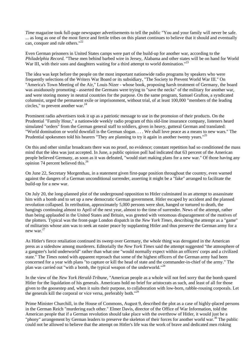*Time* magazine took full-page newspaper advertisements to tell the public "You and your family will never be safe. ... as long as one of the most fierce and fertile tribes on this planet continues to believe that it should and eventually can, conquer and rule others."<sup>22</sup>

Even German prisoners in United States camps were part of the build-up for another war, according to the *Philadelphia Record.* "These men behind barbed wire in Jersey, Alabama and other states will be on hand for World War III, with their sons and daughters waiting for a third attempt to world domination."<sup>23</sup>

The idea was kept before the people on the most important nationwide radio programs by speakers who were frequently selections of the Writers War Board or its subsidiary, "The Society to Prevent World War III." On "America's Town Meeting of the Air," Louis Nizer - whose book, proposing harsh treatment of Germany, the board was assiduously promoting - asserted the Germans were trying to "save the necks" of the military for another war, and were storing money in neutral countries for the purpose. On the same program, Samuel Grafton, a syndicated columnist, urged the permanent exile or imprisonment, without trial, of at least 100,000 "members of the leading circles," to prevent another war. $^{24}$ 

Prominent radio advertisers took it up as a patriotic message to use in the promoion of their products. On the Prudential "Family Hour," a nationwide weekly radio program of this old-line insurance company, listeners heard simulated "orders" from the German general staff to soldiers, given in heavy, gutteral German and translated: "World domination or world downfall is the German slogan. . . . We shall love peace as a means to new wars." The Prudential spokesmen told his hearers "They are planning to try it again in another twenty years."<sup>25</sup>

On this and other similar broadcasts there was no proof, no evidence; constant repetition had so conditioned the mass mind that the idea was just accepted. In June, a public opinion poll had indicated that 63 percent of the American people believed Germany, as soon as it was defeated, "would start making plans for a new war." Of those having any opinion 74 percent believed this.<sup>26</sup>

On June 22, Secretary Morgenthau, in a statement given first-page position throughout the country, even warned against the dangers of a German unconditional surrender, asserting it might be a "fake" arranged to facilitate the build-up for a new war.

On July 20, the long-planned plot of the underground opposition to Hitler culminated in an attempt to assassinate him with a bomb and to set up a new democratic German government. Hitler escaped by accident and the planned revolution collapsed. In retribution, approximately 5,000 persons were shot, hanged or tortured to death, the hangings continuing almost to April of the next year, almost to the time of surrender. News of the attempt, rather than being applauded in the United States and Britain, was greeted with venomous disparagement of the motives of the plotters. Typical was the front-page London dispatch in the *New York Times,* describing the attempt as a "game" of militarists whose aim was to seek an easier peace by supplanting Hitler and thus preserve the German army for a new war.<sup>27</sup>

As Hitler's fierce retaliation continued its sweep over Germany, the whole thing was derogated in the American press as a sideshow among murderers. Editorially the *New York Times* said the attempt suggested "the atmosphere of a gangster's lurid underworld" rather than what one "would normally expect within an officers' corps and a civilized state." The *Times* noted with apparent reproach that some of the highest officers of the German army had been concerned for a year with plans "to capture or kill the head of state and the commander-in-chief of the army." The plan was carried out "with a bomb, the typical weapon of the underworld."28

In the view of the *New York Herald-Tribune,* "American people as a whole will not feel sorry that the bomb spared Hitler for the liquidation of his generals. Americans hold no brief for aristocrats as such, and least of all for those given to the goosestep and, when it suits their purpose, to collaboration with low-born, rabble-rousing corporals. Let the generals kill the corporal or vice versa, preferably both."<sup>29</sup>

Prime Minister Churchill, in the House of Commons, August 9, described the plot as a case of highly-placed persons in the German Reich "murdering each other." Elmer Davis, director of the Office of War Information, told the American people that if a German revolution should take place with the overthrow of Hitler, it would just be a "phony" arrangement by German leaders to preserve the skeleton of their forces for another world war.<sup>30</sup> The public could not be allowed to believe that the attempt on Hitler's life was the work of brave and dedicated men risking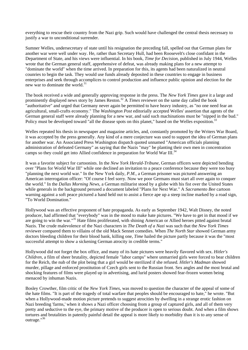everything to rescue their country from the Nazi grip. Such would have challenged the central thesis necessary to justify a war to unconditional surrender.

Sumner Welles, undersecretary of state until his resignation the preceding fall, spelled out that German plans for another war were well under way. He, rather than Secretary Hull, had been Roosevelt's close confidant in the Department of State, and his views were influential. In his book, *Time for Decision,* published in July 1944, Welles wrote that the German general staff, apprehensive of defeat, was already making plans for a new attempt to "dominate the world" when the time arrived. In preparation for this, its agents had been naturalized in neutral counries to begin the task. They would use funds already deposited in these countries to engage in business enterprises and seek through accomplices to control production and influence public opinion and election for the new war to dominate the world.<sup>31</sup>

The book received a wide and generally approving response in the press. The *New York Times* gave it a large and prominently displayed news story by James Reston.32 A *Times* reviewer on the same day called the book "authoritative" and urged that Germany never again be permitted to have heavy industry, as "no one need fear an agricultural, small-crafts economy." The *Washington Post* editorially accepted Welles' assertion that agents of the German general staff were already planning for a new war, and said such machinations must be "nipped in the bud." Policy must be developed toward "all the disease spots on this planet," based on the Welles exposition.<sup>33</sup>

Welles repeated his thesis in newspaper and magazine articles, and, constantly promoted by the Writers War Board, it was accepted by the press generally. Any kind of a mere conjecture was used to support the idea of German plans for another war. An Associated Press Washington dispatch quoted unnamed "American officials planning administration of defeated Germany" as saying that the Nazis "may" be planting their own men in concentration camps so they could get into Allied confidence in preparation for World War III.<sup>34</sup>

It was a favorite subject for cartoonists. In the *New York Herald-Tribune,* German officers were depicted bending over "Plans for World War III" while one declined an invitation to a peace conference because they were too busy "planning the next world war." In the New York daily, *P.M.,* a German prisoner was pictured answering an American interrogation officer: "Of course I feel sorry. Now we poor Germans must start all over again to conquer the world." In the *Dallas Morning News,* a German militarist stood by a globe with his fist over the United States while generals in the background perused a document labeled "Plans for Next War." A *Sacramento Bee* cartoon warning against a soft peace pictured a hand held out to assist a fierce ape up a steep incline marked by a road sign, "To World Domination."

Hollywood was an effective proponent of hate propaganda. As early as September 1942, Walt Disney, the noted producer, had affirmed that "everybody" was in the mood to make hate pictures. "We have to get in that mood if we are going to win the war."<sup>35</sup> Hate films proliferated, with shining American or Allied heroes pitted against brutal Nazis. The crude malevolence of the Nazi characters in *The Death of a Nazi* was such that the *New York Times*  reviewer compared them to villains of the old Mack Sennet comedies. When *The North Star* showed German army doctors bleeding children for their blood bank, killing one, *Time* hailed the picture partly because it was the "most successful attempt to show a sickening German atrocity in credible terms."

Hollywood did not forget the box office, and many of its hate pictures were heavily flavored with sex. *Hitler's Children,* a film of sheer brutality, depicted female "labor camps" where unmarried girls were forced to bear children for the Reich, the nub of the plot being that a girl would be sterilized if she refused. *Hitler's Madman* showed murder, pillage and enforced prostitution of Czech girls sent to the Russian front. Sex angles and the most brutal and shocking features of films were played up in advertising, and lurid posters showed fear-frozen women being menaced by inhuman Nazis.

Bosley Crowther, film critic of the *New York Times,* was moved to question the character of the appeal of some of the hate films. "It is part of the tragedy of total warfare that peoples should be encouraged to hate," he wrote. "But when a Hollywood-made motion picture pretends to suggest atrocities by dwelling in a strange erotic fashion on Nazi breeding 'farms,' when it shows a Nazi officer choosing from a group of captured girls, and all of them very pretty and seductive to the eye, the primary motive of the producer is open to serious doubt. And when a film shows tortures and brutalities in patently painful detail the appeal is more likely to morbidity than it is to any sense of outrage."<sup>36</sup>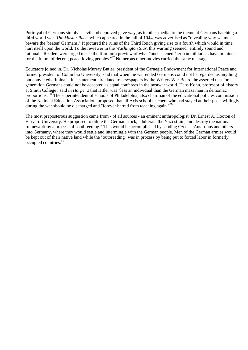Portrayal of Germans simply as evil and depraved gave way, as in other media, to the theme of Germans hatching a third world war. *The Master Race,* which appeared in the fall of 1944, was advertised as "revealing why we must beware the 'beaten' Germans." It pictured the ruins of the Third Reich giving rise to a fourth which would in time hurl itself upon the world. To the reviewer in the *Washington Star,* this warning seemed "entirely sound and rational." Readers were urged to see the film for a preview of what "unchastened German militarists have in mind for the future of decent, peace-loving peoples." $37$  Numerous other movies carried the same message.

Educators joined in. Dr. Nicholas Murray Butler, president of the Carnegie Endowment for International Peace and former president of Columbia University, said that when the war ended Germans could not be regarded as anything but convicted criminals. In a statement circulated to newspapers by the Writers War Board, he asserted that for a generation Germans could not be accepted as equal conferees in the postwar world. Hans Kohn, professor of history at Smith College , said in *Harper's* that Hitler was "less an individual than the German mass man in demoniac proportions."<sup>38</sup> The superintendent of schools of Philadelphia, also chairman of the educational policies commission of the National Education Association, proposed that all Axis school teachers who had stayed at their posts willingly during the war should be discharged and "forever barred from teaching again."<sup>39</sup>

The most preposterous suggestion came from - of all sources - an eminent anthropologist, Dr. Ernest A. Hooton of Harvard University. He proposed to dilute the German stock, adulterate the Nazi strain, and destroy the national framework by a process of "outbreeding." This would be accomplished by sending Czechs, Aus-trians and others into Germany, where they would settle and intermingle with the German people. Men of the German armies would be kept out of their native land while the "outbreeding" was in process by being put to forced labor in formerly occupied countries.<sup>40</sup>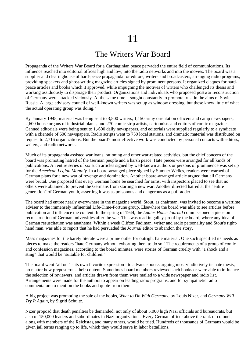## **11**

#### The Writers War Board

Propaganda of the Writers War Board for a Carthaginian peace pervaded the entire field of communications. Its influence reached into editorial offices high and low, into the radio networks and into the movies. The board was a supplier and clearinghouse of hard-peace propaganda for editors, writers and broadcasters, arranging radio programs, providing speakers and ghost-writing magazine articles signed by prominent persons. It organized claques for hardpeace articles and books which it approved, while impugning the motives of writers who challenged its thesis and working assiduously to disparage their product. Organizations and individuals who proposed postwar reconstruction of Germany were attacked viciously. At the same time it sought constantly to promote trust in the aims of Soviet Russia. A large advisory council of well-known writers was set up as window dressing, but these knew little of what the actual operating group was doing.<sup>1</sup>

By January 1945, material was being sent to 3,500 writers, 1,150 army orientation officers and camp newspapers, 2,600 house organs of industrial plants, and 270 comic strip artists, cartoonists and editors of comic magazines. Canned editorials were being sent to 1,-600 daily newspapers, and editorials were supplied regularly to a syndicate with a clientele of 600 newspapers. Radio scripts went to 750 local stations, and dramatic material was distributed on request to 2,716 organizations. But the board's most effective work was conducted by personal contacts with editors, writers, and radio networks.

Much of its propaganda assisted war loans, rationing and other war-related activities, but the chief concern of the board was promoting hatred of the German people and a harsh peace. Hate pieces were arranged for all kinds of publications. An entire series of six such articles signed by well-known authors or persons of prominence was set up for the *American Legion Monthly.* In a board-arranged piece signed by Sumner Welles, readers were warned of German plans for a new war of revenge and domination. Another board-arranged article argued that all Germans were brutal. One proposed that every German home be searched for arms, with inspectors placed to see that no others were obtained, to prevent the Germans from starting a new war. Another directed hatred at the "entire generation" of German youth, asserting it was as poisonous and dangerous as a puff adder.

The board had entree nearly everywhere in the magazine world. Stout, as chairman, was invited to become a wartime adviser to the immensely influential Life-Time-Fortune group. Elsewhere the board was able to see articles before publication and influence the content. In the spring of 1944, the *Ladies Home Journal* commissioned a piece on reconstruction of German universities after the war. This was read in galley-proof by the board, where any idea of German resuscitation was anathema. Within a week Clifton Fadiman, writer and radio personality and Stout's righthand man, was able to report that he had persuaded the *Journal* editor to abandon the story.

Mass magazines for the barely literate were a prime outlet for outright hate material. One such specified its needs as pieces to make the readers "hate Germany without exhorting them to do so." The requirements of a group of comic and confession magazines, according to the board minutes, were stories of German cruelty with "a shock and a sting" that would be "suitable for children."

The board went "all out" - its own favorite expression - to advance books arguing most vindictively its hate thesis, no matter how preposterous their content. Sometimes board members reviewed such books or were able to influence the selection of reviewers, and articles drawn from them were mailed to a wide newspaper and radio list. Arrangements were made for the authors to appear on leading radio programs, and for sympathetic radio commentators to mention the books and quote from them.

A big project was promoting the sale of the books, *What to Do With Germany,* by Louis Nizer, and *Germany Will Try It Again,* by Sigrid Schultz.

Nizer proposd that death penalties be demanded, not only of about 5,000 high Nazi officials and bureaucrats, but also of 150,000 leaders and subordinates in Nazi organizations. Every German officer above the rank of colonel, along with members of the Reichstag and many others, would be tried. Hundreds of thousands of Germans would be given jail terms ranging up to life, which they would serve in labor battallions.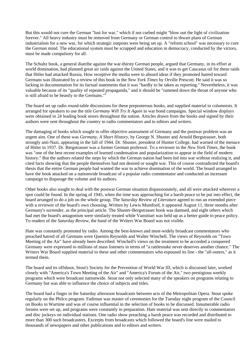But this would not cure the German "lust for war," which if not curbed might "blow out the light of civilization forever." All heavy industry must be removed from Germany or German control to thwart plans of German industrialists for a new war, for which strategic outposts were being set up. A "reform school" was necessary to cure the German mind. The educational system must be scrapped and education in democracy, conducted by the victors, must be made compulsory for all.

The Schultz book, a general diatribe against the war-thirsty German people, argued that Germany, in its effort at world domination, had planned great air raids against the United States, and it was to get Caucasus oil for these raids that Hitler had attacked Russia. How receptive the media were to absurd ideas if they promoted hatred toward Germans was illustrated by a review of this book in the *New York Times* by Orville Prescott. He said it was so lacking in documentation for its factual statements that it was "hardly to be taken as reporting." Nevertheless, it was valuable because of its "quality of repeated propaganda," and it should be "rammed down the throat of anyone who is still afraid to be beastly to the Germans."<sup>2</sup>

The board set up radio round-table discussions for these preposterous books, and supplied material to columnists. It arranged for speakers to use the title *Germany Will Try It Again* in war bond campaigns. Special window displays were obtained in 24 leading book stores throughout the nation. Articles drawn from the books and signed by their authors were sent throughout the country to radio commentators and to editors and writers.

The damaging of books which sought to offer objective assessment of Germany and the postwar problem was an urgent aim. One of these was *Germany, A Short History,* by George N. Shuster and Arnold Bergstrasser, both strongly anti-Nazi, appearing in the fall of 1944. Dr. Shuster, president of Hunter College, had warned of the menace of Hitler in 1937. Dr. Bergstrasser was a former German professor. To a reviewer in the *New York Times,* the book was "one of the best recent examples of learned condensation and popularization to appear in the field of modern history." But the authors related the steps by which the German nation had been led into war without realizing it, and cited facts showing that the people themselves had not desired or sought war. This of course contradicted the board's thesis that the entire German people had wanted the war to achieve domination of the world. The board arranged to have the book attacked on a nationwide broadcast of a popular radio commentator and conducted an incessant campaign to disparage the volume and its authors.

Other books also sought to deal with the postwar German situation dispassionately, and all were attacked wherever a spot could be found. In the spring of 1945, when the time was approaching for a harsh peace to be put into effect, the board arranged to do a job on the whole group. The *Saturday Review of Literature* agreed to run an extended piece with a reviewer of the board's own choosing. Written by Lewis Mumford, it appeared August 11, three months after Germany's surrender, as the principal article. The Shuster-Bergstrasser book was damned, and eight others which had met the board's antagonism were similarly treated while Vansittart was held up as a better guide to peace policy. To readers of the *Saturday Review,* the hand of the Writers War Board was not visible.

Hate was constantly promoted by radio. Among the best-known and most-widely broadcast commentators who preached hatred of all Germans were Quentin Reynolds and Walter Winchell. The views of Reynolds on "Town Meeting of the Air" have already been described. Winchell's views on the treatment to be accorded a conquered Germany were expressed to millions of mass listeners in terms of "a rattlesnake never deserves another chance." The Writers War Board supplied material to these and other commentators who espoused its line - the "all-outers," as it termed them.

The board and its offshoot, Stout's Society for the Prevention of World War III, which is discussed later, worked closely with "America's Town Meeting of the Air" and "America's Forum of the Air," two prestigious weekly programs which were broadcast nationwide. Stout not only selected many of the speakers on programs relating to Germany but was able to influence the choice of subjects and titles.

The board had a finger in the Saturday afternoon broadcasts between acts of the Metropolitan Opera. Stout spoke regularly on the Philco program. Fadiman was master of ceremonies for the Tuesday night program of the Council on Books in Wartime and was of course influential in the selection of books to be discussed. Innumerable radio forums were set up, and programs were constantly in preparation. Hate material was sent directly to commentators and disc jockeys on individual stations. One radio show preaching a harsh peace was recorded and distributed to more than 300 such broadcasters. Excerpts from broadcasts which followed the board's line were mailed to thousands of newspapers and other publications and to editors and writers.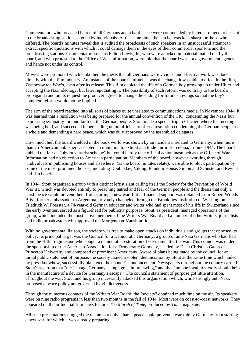Commentators who preached hatred of all Germans and a hard peace were commended by letters arranged to be sent to the broadcasting stations, signed by individuals. At the same time, the hatchet was kept sharp for those who differed. The board's minutes reveal that it audited the broadcasts of such speakers in an unsuccessful attempt to extract specific quotations with which it could damage them in the eyes of their commercial sponsors and the broadcasting stations. Commentators such as Fulton Lewis, Jr., who were attacked in material mailed out by the board, and who protested to the Office of War Information, were told that the board was not a government agency and hence not under its control.

Movies were promoted which embodied the thesis that all Germans were vicious, and effective work was done directly with the film industry. An instance of the board's influence was the change it was able to effect in the film, *Tomorrow the World,* even after its release. This film depicted the life of a German boy growing up under Hitler and accepting the Nazi ideology, but later repudiating it. The possibility of such reform was contrary to the board's propaganda and on its request the producer agreed to change the ending for future showings so that the boy's complete reform would not be implied.

The arm of the board reached into all sorts of places quite unrelated to communications media. In November 1944, it was learned that a resolution was being prepared for the annual convention of the CIO, condemning the Nazis but expressing sympathy for, and faith in, the German people. Stout made a special trip to Chicago where the meeting was being held, and succeeded in persuading union officials to offer a resolution condemning the German people as a whole and demanding a hard peace, which was duly approved by the assembled delegates.

How much heft the board wielded in the book world was shown by an incident unrelated to Germany, when more than 25 American publishers accepted an invitation to exhibit at a trade fair in Barcelona, in June 1944. The board dubbed the fair an "obvious fascist scheme" but could hardly take official action inasmuch as the Office of War Information had no objection to American participation. Members of the board, however, working through "individuals in publishing houses and elsewhere" (as the board minutes relate), were able to block participation by some of the most prominent houses, including Doubleday, Viking, Random House, Simon and Schuster and Reynal and Hitchcock.

In 1944, Stout organized a group with a distinct leftist slant calling itself the Society for the Prevention of World War III, which was devoted entirely to preaching hatred and fear of the German people and the thesis that only a harsh peace would prevent them from starting a new war. Initial financial support was obtained from Robert Woods Bliss, former ambassador to Argentina, privately channeled through the Brookings Institution of Washington. Friedrich W. Foerster, a 74-year-old German educator and writer who had spent most of his life in Switzerland since the early twenties, served as a figurehead for publicity purposes. Stout, as president, managed operations of the group, which included the most active members of the Writers War Board and a number of other writers, journalists and radio broadcasters who approved the Morgenthau-Vansittart ideas.

With no governmental liaison, the society was free to make open attacks on individuals and groups that opposed its policy. Its principal target was the Council for a Democratic Germany, a group of anti-Nazi Germans who had fled from the Hitler regime and who sought a democratic restoration of Germany after the war. This council was under the sponsorship of the American Association for a Democratic Germany, headed by Dean Christian Gauss of Princeton University and composed of prominent Americans. Aware of plans being made by the council for an initial public statement of purpose, the society issued a violent denunciation by Stout at the same time which, aided by press knowhow, successfully blanketed the council's announcement. Newspapers throughout the country carried Stout's assertion that "the 'salvage Germany' campaign is in full swing," and that "no one loyal to victory should help in the manufacture of a device for Germany's escape." The council's statement of purpose got little attention. Throughout the war, Stout and his group incessantly attacked this organization which, while strongly anti-Nazi, proposed a peace policy not governed by vindictiveness.

Through the numerous contacts of the Writers War Board, the "society" obtained much time on the air. Its speakers were on nine radio programs in less than two months in the fall of 1944. Most were on coast-to-coast networks. They appeared on the influential film news feature, *The March of Time,* produced by *Time* magazine.

All such presentations plugged the theme that only a harsh peace could prevent a war-thirsty Germany from starting a new war, for which it was already preparing.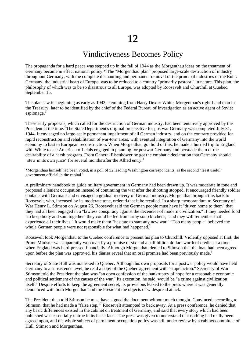# Vindictiveness Becomes Policy

The propaganda for a hard peace was stepped up in the fall of 1944 as the Morgenthau ideas on the treatment of Germany became in effect national policy.\* The "Morgenthau plan" proposed large-scale destruction of industry throughout Germany, with the complete dismantling and permanent removal of the principal industries of the Ruhr. Germany, the industrial heart of Europe, was to be reduced to a country "primarily pastoral" in nature. This plan, the philosophy of which was to be so disastrous to all Europe, was adopted by Roosevelt and Churchill at Quebec, September 15.

The plan saw its beginning as early as 1943, stemming from Harry Dexter White, Morgenthau's right-hand man in the Treasury, later to be identified by the chief of the Federal Bureau of Investigation as an active agent of Soviet espionage. $^{2}$ 

These early proposals, which called for the destruction of German industry, had been tentatively approved by the President at the time.<sup>3</sup> The State Department's original prospective for postwar Germany was completed July 31, 1944. It envisaged no large-scale permanent impairment of all German industry, and on the contrary provided for rapid reconstruction and rehabilitation of war-torn areas, with eventual integration of Germany into the world economy to hasten European reconstruction. When Morgenthau got hold of this, he made a hurried trip to England with White to see American officials engaged in planning for postwar Germany and persuade them of the desirability of a harsh program. From General Eisenhower he got the emphatic declaration that Germany should "stew in its own juice" for several months after the Allied entry.<sup>4</sup>

\*Morgenthau himself had been voted, in a poll of 52 leading Washington correspondents, as the second "least useful" government official in the capital.<sup>1</sup>

A preliminary handbook to guide military government in Germany had been drawn up. It was moderate in tone and proposed a lenient occupation instead of continuing the war after the shooting stopped. It encouraged friendly soldier contacts with Germans and envisaged a gradual recovery of German industry. Morgenthau brought this back to Roosevelt, who, incensed by its moderate tone, ordered that it be recalled. In a sharp memorandum to Secretary of War Henry L. Stimson on August 26, Roosevelt said the German people must have it "driven home to them" that they had all been engaged in a "lawless conspiracy against the decencies of modern civilization." If they needed food "to keep body and soul together" they could be fed from army soup kitchens, "and they will remember that experience all their lives." It would make them "hesitate to start any new war." "Too many people" believed the whole German people were not responsible for what had happened.<sup>5</sup>

Roosevelt took Morgenthau to the Quebec conference to present his plan to Churchill. Violently opposed at first, the Prime Minister was apparently won over by a promise of six and a half billion dollars worth of credits at a time when England was hard-pressed financially. Although Morgenthau denied to Stimson that the loan had been agreed upon before the plan was approved, his diaries reveal that an oral promise had been previously made.<sup>6</sup>

Secretary of State Hull was not asked to Quebec. Although his own proposals for a postwar policy would have held Germany to a subsistence level, he read a copy of the Quebec agreement with "stupefaction." Secretary of War Stimson told the President the plan was "an open confession of the bankruptcy of hope for a reasonable economic and political settlement of the causes of the war." Its execution, he said, would be "a crime against civilization itself." Despite efforts to keep the agreement secret, its provisions leaked to the press where it was generally denounced with both Morgenthau and the President the objects of widespread attack.

The President then told Stimson he must have signed the document without much thought. Convinced, according to Stimson, that he had made a "false step,"<sup>7</sup> Roosevelt attempted to back away. At a press conference, he denied that any basic differences existed in the cabinet on treatment of Germany, and said that every story which had been published was essentially untrue in its basic facts. The press was given to understand that nothing had really been agreed upon, and the whole subject of permanent occupation policy was still under review by a cabinet committee of Hull, Stimson and Morgenthau.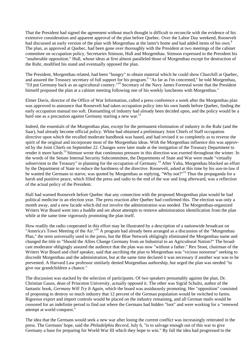That the President had signed the agreement without much thought is difficult to reconcile with the evidence of his extensive consideration and apparent approval of the plan before Quebec. Over the Labor Day weekend, Roosevelt had discussed an early version of the plan with Morgenthau at the latter's home and had added items of his own.<sup>8</sup> The plan, as approved at Quebec, had been gone over thoroughly with the President at two meetings of the cabinet committee on occupation policy, Secretaries Stimson, Hull and Morgenthau. Stimson expressed to the President his "unalterable opposition." Hull, whose ideas at first almost paralleled those of Morgenthau except for destruction of the Ruhr, modified his stand and eventually opposed the plan.

The President, Morgenthau related, had been "hungry" to obtain material which he could show Churchill at Quebec, and assured the Treasury secretary of full support for his program.<sup>9</sup> "As far as I'm concerned," he told Morgenthau, "I'd put Germany back as an agricultural country."<sup>10</sup> Secretary of the Navy James Forrestal wrote that the President himself proposed the plan at a cabinet meeting following one of his weekly luncheons with Morgenthau."

Elmer Davis, director of the Office of War Information, called a press conference a week after the Morgenthau plan was approved to announce that Roosevelt had taken occupation policy into his own hands before Quebec, finding the early occupation manual too soft. Dismantling of industry had already been decided upon, and the policy would be a hard one as a precaution against Germany starting a new war.<sup>12</sup>

Indeed, the essentials of the Morgenthau plan, except for the permanent elimination of industry in the Ruhr (and the Saar), had already become official policy. White had obtained a preliminary Joint Chiefs of Staff occupation directive upon which the recalled moderate handbook was based, and had revised it so completely as to reverse the spirit of the original and incorporate most of the Morgenthau ideas. With the Morgenthau influence this was approved by the Joint Chiefs on September 22. Changes were later made at the instigation of the Treasury Department to render it more harsh.<sup>13</sup> Stimson wrote that continuous pressure in this direction was exerted throughout the winter. In the words of the Senate Internal Security Subcommittee, the Departments of State and War were made "virtually subservient to the Treasury" in planning for the occupation of Germany.<sup>14</sup> After Yalta, Morgenthau blocked an effort by the Department of State to reduce the harshness of the directive. Roosevelt, asked at this time by his son-in-law if he wanted the Germans to starve, was quoted by Morgenthau as replying, "Why not?"<sup>15</sup> Thus the propaganda for a harsh and punitive peace, which filled the press and radio to the end of the war and long afterward, was a reflection of the actual policy of the President.

Hull had warned Roosevelt before Quebec that any connection with the proposed Morgenthau plan would be bad political medicine in an election year. The press reaction after Quebec had confirmed this. The election was only a month away, and a new facade which did not involve the administration was needed. The Morgenthau-organized Writers War Board went into a huddle and set about attempts to remove administration identification from the plan while at the same time vigorously promoting the plan itself.

How readily the radio cooperated in this effort may be illustrated by a description of a nationwide broadcast on "America's Town Meeting of the Air."16 A program had already been arranged as a discussion of the "Morgenthau Plan," the term universally used in the press, but the Blue Network obligingly eliminated the Morgenthau name and changed the title to "Should the Allies Change Germany from an Industrial to an Agricultural Nation?" The broadcast moderator obligingly assured the audience that the plan was now "without a father." Rex Stout, chairman of the Writers War Board and chief speaker, said that ascribing the plan to Morgenthau was "vicious nonsense" seeking to discredit Morgenthau and the administration, but at the same time declared it was necessary if another war was to be prevented. A Harvard Law professor similarly denied Morgenthau authorship, but urged the plan was needed "to give our grandchildren a chance."

The discussion was stacked by the selection of participants. Of two speakers presumably against the plan, Dr. Christian Gauss, dean of Princeton University, actually opposed it. The other was Sigrid Schultz, author of the fantastic book, *Germany Will Try It Again,* which the board was assiduously promoting. Her "opposition" consisted of proposing to destroy so much industry that 12 percent of the German population would be switched to farms. Rigorous export and import controls would be placed on the industry remaining, and all German mails would be censored for an indefinite period to find out where the Germans had hidden "loot" and were working for a "renewed attempt at world conquest."

The idea that the Germans would seek a new war after losing the current conflict was increasingly reiterated in the press. The Germans' hope, said the *Philadelphia Record,* July 6, "is to salvage enough out of this war to give Germany a base for preparing for World War III which they hope to win." By fall the idea had progressed to the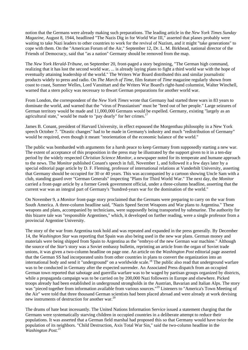notion that the Germans were already making such preparations. The leading article in the *New York Times Sunday Magazine,* August 8, 1944, headlined "The Nazis Dig in for World War III," asserted that planes probably were waiting to take Nazi leaders to other countries to work for the revival of Nazism, and it might "take generations" to cope with them. On the "American Forum of the Air," September 12, Dr. L. M. Birkhead, national director of the Friends of Democracy, said that "as a nation" Germany should be removed from the map.

The *New York Herald-Tribune,* on September 20, front-paged a story beginning, "The German high command, realizing that it has lost the second world war, ... is already laying plans to fight a third world war with the hope of eventually attaining leadership of the world." The Writers War Board distributed this and similar journalistic products widely to press and radio. On *The March of Time,* film feature of *Time* magazine regularly shown from coast to coast, Sumner Welles, Lord Vansittart and the Writers War Board's right-hand columnist, Walter Winchell, warned that a stern policy was necessary to thwart German preparations for another world war.

From London, the correspondent of the *New York Times* wrote that Germany had started three wars in 83 years to dominate the world, and warned that the "virus of Prussianism" must be "bred out of her people." Large seizures of German territory would be made and 11,000,000 Germans would be expelled. Germany, existing "largely as an agricultural state," would be made to "pay dearly" for her crimes. $17$ 

James B. Conant, president of Harvard University, in effect espoused the Morgenthau philosophy in a New York speech October 7. "Drastic changes" had to be made in Germany's industry and much "redistribution of Germany" would be required, even though it meant "reorientation of the economic balance of the world."

The public was bombarded with arguments for a harsh peace to keep Germany from supposedly starting a new war. The extent of acceptance of this proposition in the press may be illustrated by the support given to it in a ten-day period by the widely respected *Christian Science Monitor,* a newspaper noted for its temperate and humane approach to the news. The *Monitor* published Conant's speech in full, November 1, and followed it a few days later by a special editorial page article by D. F. Fleming, professor of international relations at Vanderbilt University, asserting that Germany should be occupied for 30 or 40 years. This was accompanied by a cartoon showing Uncle Sam with a club, standing guard over "German Generals" inspecting "Plans for Third World War." The next day, the *Monitor*  carried a front-page article by a former Greek government official, under a three-column headline, asserting that the current war was an integral part of Germany's "hundred-years war for the domination of the world."

On November 9, a *Monitor* front-page story proclaimed that the Germans were preparing to carry on the war from South America. A three-column headline said, "Nazis Speed Secret Weapons and War plans to Argentina." These weapons and plans, accompanied by technicians, were supposedly being transported by submarine. The authority for this bizarre tale was "responsible Argentines," which, it developed on further reading, were a single professor from a provincial Argentine University.

The story of the war from Argentina took hold and was repeated and expanded in the press generally. By December 14, the *Washington Star* was reporting that Spain was also being used in the new war plans. German money and materials were being shipped from Spain to Argentina as the "embryo of the new German war machine." Although the source of the *Star's* story was a Soviet embassy bulletin, reprinting an article from the organ of Soviet trade unions, it was given a two-column headline on page one. An article on the *Washington Post* editorial page asserted that the German SS had incorporated units from other countries in plans to convert the organization into an international body and send it "underground" on a worldwide scale.18 The public also read that underground warfare was to be conducted in Germany after the expected surrender. An Associated Press dispatch from an occupied German town reported that sabotage and guerrilla warfare was to be waged by partisan groups organized by districts, while a propaganda campaign was to be carried on by 200,000 Nazi followers in Europe and elsewhere. Picked troops already had been established in underground strongholds in the Austrian, Bavarian and Italian Alps. The story was "pieced together from information available from various sources."<sup>19</sup> Listeners to "America's Town Meeting of the Air" were told that three thousand German scientists had been placed abroad and were already at work devising new instruments of destruction for another war. $^{20}$ 

The drums of hate beat incessantly. The United Nations Information Service issued a statement charging that the Germans were systematically starving children in occupied countries in a deliberate attempt to reduce their populations. It was asserted that a German field marshal had proposed this so that Germany would have twice the population of its neighbors. "Child Destruction, Axis Total War Sin," said the two-column headline in the *Washington Post.21*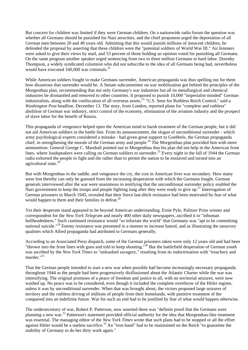But concern for children was limited if they were German children. On a nationwide radio forum the question was whether all Germans should be punished for Nazi atrocities, and the chief proponent urged the deportation of all German men between 20 and 40 years old. Admitting that this would punish millions of innocent children, he defended the proposal by asserting that these children were the "potential soldiers of World War III." Air listeners were asked to give their views by mail, and 53 percent of those holding an opinion voted for punishing all Germans. On the same program another speaker urged sentencing from two to three million Germans to hard labor. Dorothy Thompson, a widely syndicated columnist who did not subscribe to the idea of all Germans being bad, nevertheless would have executed  $160,000$  war criminals.<sup>22</sup>

While American soldiers fought to make Germans surrender, American propaganda was thus spelling out for them how disastrous that surrender would be. A Senate subcommittee on war mobilization got behind the principles of the Morgenthau plan, recommending that not only Germany's war industries but all its metallurgical and chemical industries be dismantled and removed to other countries. It proposed to punish 10,000 "imperialist-minded" German industrialists, along with the confiscation of all overseas assets.23 "U.S. Seen for Ruthless Reich Control," said a *Washington Post* headline, December 13. The story, from London, reported plans for "complete and ruthless" abolition of German war industry, strict control of the economy, elimination of the aviation industry and the prospect of slave labor for the benefit of Russia.

This propaganda of vengeance helped open the American mind to harsh treatment of the German people, but it did not aid American soldiers in the battle line. From its announcement, the slogan of unconditional surrender - which army psychological experts considered a mistake - had given great support to Goebbels, the German propaganda chief, in strengthening the morale of the German army and people.<sup>24</sup> The Morgenthau plan provided him with more ammunition. General George C. Marshall pointed out to Morgenthau that his plan did not help in the American front lines, where loudspeakers were calling on German soldiers to surrender.<sup>25</sup> Every night in the fall of 1944 the German radio exhorted the people to fight and die rather than to permit the nation to be enslaved and turned into an agricultural state.<sup>26</sup>

But with Morgenthau in the saddle, and vengeance the cry, the cost in American lives was secondary. How many were lost thereby can only be guessed from the increasing desperation with which the Germans fought. German generals interviewed after the war were unanimous in testifying that the unconditional surrender policy enabled the Nazi government to keep the troops and people fighting long after they were ready to give up.<sup>27</sup> Interrogation of German prisoners in March 1945, revealed that their fierce last-ditch resistance had been motivated by fear of what would happen to them and their families in defeat. $^{28}$ 

Yet their desperate stand appeared to be beyond American understanding. Ernie Pyle, Pulitzer Prize winner and correspondent for the *New York Telegram* and nearly 400 other daily newspapers, ascribed it to "inhuman bullheadedness." Such continued resistance would "so infuriate the world" that Germany was "apt to be committing national suicide."<sup>29</sup> Enemy resistance was presented in a manner to increase hatred, and as illustrating the unsavory qualities which Allied propaganda had attributed to Germans generally.

According to an Associated Press dispatch, some of the German prisoners taken were only 12 years old and had been "thrown into the front lines with guns and told to keep shooting."<sup>30</sup> But the battlefield desperation of German youth was ascribed by the *New York Times* to "unleashed savagery," resulting from its indoctrination with "treachery and murder."<sup>31</sup>

That the German people intended to start a new war when possible had become increasingly necessary propaganda throughout 1944 as the people had been progressively disillusioned about the Atlantic Charter while the war was intensifying. The original promises of a peace of freedom and justice to all, with no territorial seizures, were now washed up. No peace was to be considered, even though it included the complete overthrow of the Hitler regime, unless it was by unconditional surrender. When that was brought about, the victors proposed large seizures of territory and the ruthless driving of millions of people from their homelands, with punitive treatment of the conquered into an indefinite future. War for such an end had to be justified by fear of what would happen otherwise.

The undersecretary of war, Robert P. Patterson, now asserted there was "definite proof that the Germans were planning a new war.32 Patterson's statement provided official authority for the idea that Morgenthau-like treatment was essential. The managing editor of the *New York Times* wrote that such plans had to be stopped or all the effort against Hitler would be a useless sacrifice.<sup>33</sup> An "iron hand" had to be maintained on the Reich "to guarantee the inability of Germany to do her dirty work again."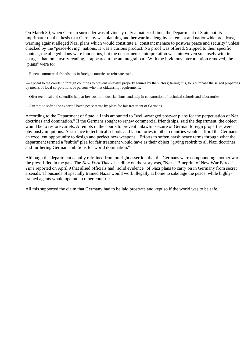On March 30, when German surrender was obviously only a matter of time, the Department of State put its imprimatur on the thesis that Germany was planning another war in a lengthy statement and nationwide broadcast, warning against alleged Nazi plans which would constitute a "constant menace to postwar peace and security" unless checked by the "peace-loving" nations. It was a curious product. No proof was offered. Stripped to their specific content, the alleged plans were innocuous, but the department's interpretation was interwoven so closely with its charges that, on cursory reading, it appeared to be an integral part. With the invidious interpretation removed, the "plans" were to:

—Renew commercial friendships in foreign countries to reinstate trade.

 —Appeal to the courts in foreign countries to prevent unlawful property seiures by the victors; failing this, to repurchase the seized properties by means of local corporations of persons who met citizenship requirements.

—Offer technical and scientific help at low cost to industrial firms, and help in construction of technical schools and laboratories.

—Attempt to soften the expected harsh peace terms by pleas for fair treatment of Germans.

According to the Department of State, all this amounted to "well-arranged postwar plans for the perpetuation of Nazi doctrines and domination." If the Germans sought to renew commercial friendships, said the department, the object would be to restore cartels. Attempts in the courts to prevent unlawful seizure of German foreign properties were obviously iniquitous. Assistance to technical schools and laboratories in other countries would "afford the Germans an excellent opportunity to design and perfect new weapons." Efforts to soften harsh peace terms through what the department termed a "subtle" plea for fair treatment would have as their object "giving rebirth to all Nazi doctrines and furthering German ambitions for world domination."

Although the department cannily refrained from outright assertion that the Germans were compounding another war, the press filled in the gap. The *New York Times'* headline on the story was, "Nazis' Blueprint of New War Bared." *Time* reported on April 9 that allied officials had "solid evidence" of Nazi plans to carry on in Germany from secret arsenals. Thousands of specially trained Nazis would work illegally at home to sabotage the peace, while highlytrained agents would operate in other countries.

All this supported the claim that Germany had to be laid prostrate and kept so if the world was to be safe.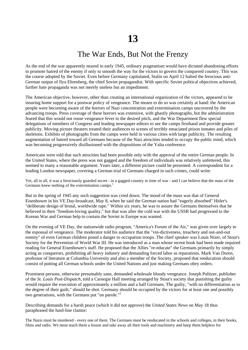## The War Ends, But Not the Frenzy

As the end of the war apparently neared in early 1945, ordinary pragmatism would have dictated abandoning efforts to promote hatred of the enemy if only to smooth the way for the victors to govern the conquered country. This was the course adopted by the Soviet. Even before Germany capitulated, Stalin on April 12 halted the ferocious anti-German output of Ilya Ehrenberg, the chief Soviet propagandist. With specific Soviet political objectives achieved, further hate propaganda was not merely useless but an impediment.

The American objective, however, other than creating an international organization of the victors, appeared to be insuring home support for a postwar policy of vengeance. The means to do so was certainly at hand: the American people were becoming aware of the horrors of Nazi concentration and extermination camps uncovered by the advancing troops. Press coverage of these horrors was extensive, with ghastly photographs, but the administration feared that this would not rouse vengeance fever to the desired pitch, and the War Department flew special delegations of members of Congress and leading newspaper editors to see the camps firsthand and provide greater publicity. Moving picture theaters treated their audiences to scenes of terribly emaciated prison inmates and piles of skeletons. Exhibits of photographs from the camps were held in various cities with large publicity. The resulting augmentation of hatred toward all Germans because of the Nazi atrocities tended to occupy the public mind, which was becoming progressively disillusioned with the dispositions of the Yalta conference.

Americans were told that such atrocities had been possible only with the approval of the entire German people. In the United States, where the press was not gagged and the freedom of individuals was relatively unfettered, this seemed to many a reasonable argument. Years later, a different picture could be presented. A correspondent for a leading London newspaper, covering a German trial of Germans charged in such crimes, could write:

Yet, all in all, it was a ferociously guarded secret - in a gagged country in time of war - and I can believe that the mass of the Germans knew nothing of the extermination camps. $<sup>1</sup>$ </sup>

But in the spring of 1945 any such suggestion was cried down. The mood of the mass was that of General Eisenhower in his VE Day-broadcast, May 8, when he said the German nation had "eagerly absorbed" Hitler's "deliberate design of brutal, worldwide rape." Within six years, he was to assure the Germans themselves that he believed in their "freedom-loving quality," but that was after the cold war with the USSR had progressed to the Korean War and German help to contain the Soviet in Europe was wanted.

On the evening of VE Day, the nationwide radio program, "America's Forum of the Air," was given over largely to the espousal of vengeance. The moderator told his audience that the "vin-dictiveness, treachery and out-and-out enmity" of even German children posed a danger to occupation troops. The chief speaker was Louis Nizer, of Stout's Society for the Prevention of World War III. He was introduced as a man whose recent book had been made required reading for General Eisenhower's staff. He proposed that the Allies "re-educate" the Germans primarily by simply acting as conquerors, prohibiting all heavy industry and demanding forced labor as reparations. Mark Van Doren, professor of literature at Columbia University and also a member of the Society, proposed that reeducation should consist of putting all German schools under the United Nations and just making Germans obey orders.

Prominent persons, otherwise presumably sane, demanded wholesale bloody vengeance. Joseph Pulitzer, publisher of the *St. Louis Post-Dispatch,* told a Carnegie Hall meeting arranged by Stout's society that punishing the guilty would require the execution of approximately a million and a half Germans. The guilty, "with no differentiation as to the degree of their guilt," should be shot. Germany should be occupied by the victors for at least one and possibly two generations, with the Germans put "on parole."2

Describing demands for a harsh peace (which it did not approve) the *United States News* on May 18 thus paraphrased the hard-line clamor:

The Nazis must be murdered - every one of them. The Germans must be reeducated in the schools and colleges, in their books, films and radio. We must teach them a lesson and take away all their tools and machinery and keep them helpless for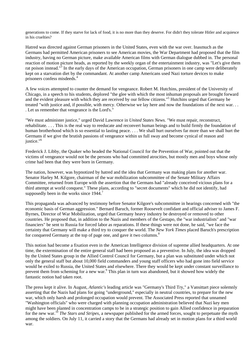generations to come. If they starve for lack of food, it is no more than they deserve. For didn't they tolerate Hitler and acquiesce in his cruelties?

Hatred was directed against German prisoners in the United States, even with the war over. Inasmuch as the Germans had permitted American prisoners to see American movies, the War Department had proposed that the film industry, having no German picture, make available American films with German dialogue dubbed in. The personal reaction of motion picture heads, as reported by the weekly organ of the entertainment industry, was "Let's give them rat poison instead."<sup>3</sup> In the early days of the American occupation, German prisoners in one camp were deliberately kept on a starvation diet by the commandant. At another camp Americans used Nazi torture devices to make prisoners confess misdeeds.<sup>4</sup>

A few voices attempted to counter the demand for vengeance. Robert M. Hutchins, president of the University of Chicago, in a speech to his students, deplored "the glee with which the most inhuman proposals are brought forward and the evident pleasure with which they are received by our fellow citizens."<sup>5</sup> Hutchins urged that Germany be treated "with justice and, if possible, with mercy. Otherwise we lay here and now the foundations of the next war. . . . Let us remember that vengeance is the Lord's."

"We must administer justice," urged David Lawrence in *United States News.* "We must repair, reconstruct, rehabilitate. . . . This is the real way to reeducate and reconvert human beings and to build firmly the foundation of human brotherhood which is so essential to lasting peace. . . . We shall hurt ourselves far more than we shall hurt the Germans if we give the brutish passions of vengeance within us full sway and become cynical of reason and justice."<sup>6</sup>

Frederick J. Libby, the Quaker who headed the National Council for the Prevention of War, pointed out that the victims of vengeance would not be the persons who had committed atrocities, but mostly men and boys whose only crime had been that they were born in Germany.

The nation, however, was hypnotized by hatred and the idea that Germany was making plans for another war. Senator Harley M. Kilgore, chairman of the war mobilization subcommittee of the Senate Military Affairs Committee, returned from Europe with the assertion that the Germans had "already conceived vicious plans for a third attempt at world conquest." These plans, according to "secret documents" which he did not identify, had supposedly been in the works since 1944.<sup>7</sup>

This propaganda was advanced by testimony before Senator Kilgore's subcommittee in hearings concerned with "the economic basis of German aggression." Bernard Baruch, former Roosevelt confidant and official adviser to James F. Byrnes, Director of War Mobilization, urged that Germany heavy industry be destroyed or removed to other countries. He proposed that, in addition to the Nazis and members of the Gestapo, the "war industrialists" and "war financiers" be sent to Russia for forced labor as reparations. If these things were not done, he said, "we face the certainty that Germany will make a third try to conquer the world. The *New York Times* placed Baruch's prescription for conquered Germany at the top of page one, and gave it two columns. $8<sup>8</sup>$ 

This notion had become a fixation even in the American Intelligence division of supreme allied headquarters. At one time, the extermination of the entire general staff had been proposed as a preventive. In July, the idea was dropped by the United States group in the Allied Control Council for Germany, but a plan was substituted under which not only the general staff but about 10,000 field commanders and young staff officers who had gone into field service would be exiled to Russia, the United States and elsewhere. There they would be kept under constant surveillance to prevent them from scheming for a new war.<sup>9</sup> This plan in turn was abandoned, but it showed how widely the fantastic notion had taken root.

The press kept it alive. In August, *Atlantic's* leading article was "Germany's Third Try," a Vansittart piece solemnly asserting that the Nazis had plans for going "underground," especially in neutral countries, to prepare for the new war, which only harsh and prolonged occupation would prevent. The Associated Press reported that unnamed "Washington officials" who were charged with planning occupation administration believed that Nazi key men might have been planted in concentration camps to be in a strategic position to gain Allied confidence in preparation for the new war.<sup>10</sup> *The Stars and Stripes,* a newspaper published for the armed forces, sought to perpetuate the myth among the soldiers. On July 11, it carried a story that the Germans had already set in motion plans for a third world war.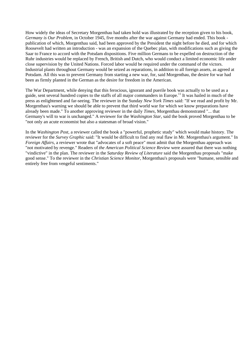How widely the ideas of Secretary Morgenthau had taken hold was illustrated by the reception given to his book, *Germany is Our Problem,* in October 1945, five months after the war against Germany had ended. This book publication of which, Morgenthau said, had been approved by the President the night before he died, and for which Roosevelt had written an introduction - was an expansion of the Quebec plan, with modifications such as giving the Saar to France to accord with the Potsdam dispositions. Five million Germans to be expelled on destruction of the Ruhr industries would be replaced by French, British and Dutch, who would conduct a limited economic life under close supervision by the United Nations. Forced labor would be required under the command of the victors. Industrial plants throughout Germany would be seized as reparations, in addition to all foreign assets, as agreed at Potsdam. All this was to prevent Germany from starting a new war, for, said Morgenthau, the desire for war had been as firmly planted in the German as the desire for freedom in the American.

The War Department, while denying that this ferocious, ignorant and puerile book was actually to be used as a guide, sent several hundred copies to the staffs of all major commanders in Europe.<sup>11</sup> It was hailed in much of the press as enlightened and far-seeing. The reviewer in the Sunday *New York Times* said: "If we read and profit by Mr. Morgenthau's warning we should be able to prevent that third world war for which we know preparations have already been made." To another approving reviewer in the daily *Times,* Morgenthau demonstrated "... that Germany's will to war is unchanged." A reviewer for the *Washington Star,* said the book proved Morgenthau to be "not only an acute economist but also a statesman of broad vision."

In the *Washington Post,* a reviewer called the book a "powerful, prophetic study" which would make history. The reviewer for the *Survey Graphic* said: "It would be difficult to find any real flaw in Mr. Morgenthau's argument." In *Foreign Affairs,* a reviewer wrote that "advocates of a soft peace" must admit that the Morgenthau approach was "not motivated by revenge." Readers of *the American Political Science Review* were assured that there was nothing "vindictive" in the plan. The reviewer in the *Saturday Review of Literature* said the Morgenthau proposals "make good sense." To the reviewer in the *Christian Science Monitor,* Morgenthau's proposals were "humane, sensible and entirely free from vengeful sentiments."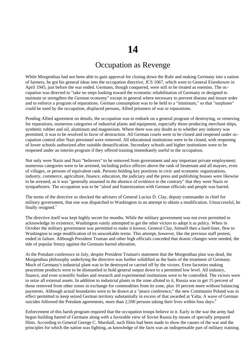# **14**

### Occupation as Revenge

While Morgenthau had not been able to gain approval for closing down the Ruhr and making Germany into a nation of farmers, he got his general ideas into the occupation directive, JCS 1067, which went to General Eisenhower in April 1945, just before the war ended. Germans, though conquered, were still to be treated as enemies. The occupation was directed to "take no steps looking toward the economic rehabilitation of Germany or designed to maintain or strengthen the German economy" except in general where necessary to prevent disease and insure order and to enforce a program of reparations. German consumption was to be held to a "minimum," so that "surpluses" could be used by the occupation, displaced persons, Allied prisoners of war or reparations.

Pending Allied agreement on details, the occupation was to embark on a general program of destroying, or removing for reparations, numerous categories of industrial plants and equipment, especially those producing merchant ships, synthetic rubber and oil, aluminum and magnesium. Where there was any doubt as to whether any industry was permitted, it was to be resolved in favor of destruction. All German courts were to be closed and reopened under occupation control after Nazi personnel were removed. All educational institutions were to be closed, with reopening of lower schools authorized after suitable denazification. Secondary schools and higher institutions were to be reopened under an interim program if they offered training immediately useful to the occupation.

Not only were Nazis and Nazi "believers" to be removed from government and any important private employment; numerous categories were to be arrested, including police officers above the rank of lieutenant and all mayors, even of villages, or persons of equivalent rank. Persons holding key positions in civic and economic organizations, industry, commerce, agriculture, finance, education, the judiciary and the press and publishing houses were likewise to be arrested, as it was "generally assumed in the absence of evidence to the contrary" that they were Nazis or sympathizers. The occupation was to be "aloof and fraternization with German officials and people was barred.

The terms of the directive so shocked the advisers of General Lucius D. Clay, deputy commander in chief for military government, that one was dispatched to Washington in an attempt to obtain a modification. Unsuccessful, he finally resigned. $<sup>1</sup>$ </sup>

The directive itself was kept highly secret for months. While the military government was not even permitted to acknowledge its existence, Washington vainly attempted to get the other victors to adopt it as policy. When in October the military government was permitted to make it known, General Clay, himself then a hard-liner, flew to Washington to urge modification of its unworkable terms. This attempt, however, like the previous staff protest, ended in failure. Although President Truman and other high officials conceded that drastic changes were needed, the tide of popular frenzy against the Germans barred alteration.

At the Potsdam conference in July, despite President Truman's statement that the Morgenthau plan was dead, the Morgenthau philosophy underlying the directive was further solidified as the basis of the treatment of Germany. Much of Germany's industrial plant was to be destroyed or carried off by the victors. Even factories making peacetime products were to be dismantled to hold general output down to a permitted low level. All industry, finance, and even scientific bodies and research and experimental institutions were to be controlled. The victors were to seize all external assets. In addition to industrial plants in the zone alloted to it, Russia was to get 15 percent of those removed from other zones in exchange for commodities from its zone, plus 10 percent more without balancing payments. Although actual boundaries were to be drawn at a "peace conference," the new Communist Poland was in effect permitted to keep seized German territory substantially in excess of that awarded at Yalta. A wave of German suicides followed the Potsdam agreements, more than 2,500 persons taking their lives within four days.<sup>2</sup>

Enforcement of this harsh program required that the occupation troops believe in it. Early in the war the army had begun building hatred of Germans along with a favorable view of Soviet Russia by means of specially prepared films. According to General George C. Marshall, such films had been made to show the causes of the war and the principles for which the nation was fighting, as knowledge of the facts was an indispensable part of military training.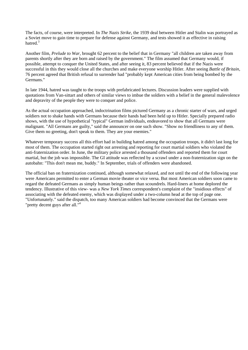The facts, of course, were interpreted. In *The Nazis Strike,* the 1939 deal between Hitler and Stalin was portrayed as a Soviet move to gain time to prepare for defense against Germany, and tests showed it as effective in raising hatred.<sup>3</sup>

Another film, *Prelude to War,* brought 62 percent to the belief that in Germany "all children are taken away from parents shortly after they are born and raised by the government." The film assumed that Germany would, if possible, attempt to conquer the United States, and after seeing it, 83 percent believed that if the Nazis were successful in this they would close all the churches and make everyone worship Hitler. After seeing *Battle of Britain,*  76 percent agreed that British refusal to surrender had "probably kept American cities from being bombed by the Germans."

In late 1944, hatred was taught to the troops with prefabricated lectures. Discussion leaders were supplied with quotations from Van-sittart and others of similar views to imbue the soldiers with a belief in the general malevolence and depravity of the people they were to conquer and police.

As the actual occupation approached, indoctrination films pictured Germany as a chronic starter of wars, and urged soldiers not to shake hands with Germans because their hands had been held up to Hitler. Specially prepared radio shows, with the use of hypothetical "typical" German individuals, endeavored to show that all Germans were malignant. "All Germans are guilty," said the announcer on one such show. "Show no friendliness to any of them. Give them no greeting, don't speak to them. They are your enemies."

Whatever temporary success all this effort had in building hatred among the occupation troops, it didn't last long for most of them. The occupation started right out arresting and reporting for court martial soldiers who violated the anti-fraternization order. In June, the military police arrested a thousand offenders and reported them for court martial, but the job was impossible. The GI attitude was reflected by a scrawl under a non-fraternization sign on the autobahn: "This don't mean me, buddy." In September, trials of offenders were abandoned.

The official ban on fraternization continued, although somewhat relaxed, and not until the end of the following year were Americans permitted to enter a German movie theater or vice versa. But most American soldiers soon came to regard the defeated Germans as simply human beings rather than scoundrels. Hard-liners at home deplored the tendency. Illustrative of this view- was a *New York Times* correspondent's complaint of the "insidious effects" of associating with the defeated enemy, which was displayed under a two-column head at the top of page one. "Unfortunately." said the dispatch, too many American soldiers had become convinced that the Germans were "pretty decent guys after all."<sup>4</sup>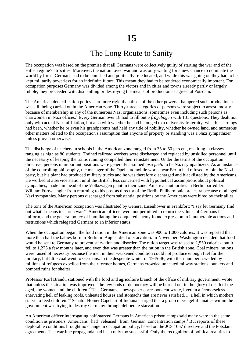## The Long Route to Sanity

The occupation was based on the premise that all Germans were collectively guilty of starting the war and of the Hitler regime's atrocities. Moreover, the nation loved war and was only waiting for a new chance to dominate the world by force. Germans had to be punished and politically re-educated, and while this was going on they had to be kept militarily powerless for an indefinite future. This meant they had to be rendered economically impotent. For occupation purposes Germany was divided among the victors and in cities and towns already partly or largely rubble, they proceeded with dismantling or destroying the means of production as agreed at Potsdam.

The American denazification policy - far more rigid than those of the other powers - hampered such production as was still being carried on in the American zone. Thirty-three categories of persons were subject to arrest, mostly because of membership in any of the numerous Nazi organizations, sometimes even including such persons as charwomen in Nazi offices.<sup>1</sup> Every German over 18 had to fill out *a fragebogen* with 131 questions. They dealt not only with actual Nazi affiliation, but also with whether he had belonged to a university fraternity, what his earnings had been, whether he or even his grandparents had held any title of nobility, whether he owned land, and numerous other matters related to the occupation's assumption that anyone of property or standing was a Nazi sympathizer unless proven otherwise.

The discharge of teachers in schools in the American zone ranged from 35 to 50 percent, resulting in classes ranging as high as 80 students. Trained railroad workers were discharged and replaced by unskilled personnel until the necessity of keeping the trains running compelled their reinstatement. Under the terms of the occupation directive, persons in important positions were generally assumed *ipso facto* to be Nazi sympathizers. As an instance of the controlling philosophy, the manager of the Opel automobile works near Berlin had refused to join the Nazi party, but his plant had produced military trucks and he was therefore discharged and blacklisted by the Americans. He worked at a service station until the British, less concerned with hypothetical assumptions about political sympathies, made him head of the Volkswagen plant in their zone. American authorities in Berlin barred Dr. William Furtwaengler from returning to his post as director of the Berlin Philharmonic orchestra because of alleged Nazi sympathies. Many persons discharged from substantial positions by the Americans were hired by their allies.

The tone of the American occupation was illustrated by General Eisenhower in Frankfort: "I say let Germany find out what it means to start a war."<sup>2</sup> American officers were not permitted to return the salutes of Germans in uniform, and the general policy of humiliating the conquered enemy found expression in innumerable actions and restrictions which relegated Germans to an inferior status.

When the occupation began, the food ration in the American zone was 900 to 1,000 calories. It was reported that more than half the babies born in Berlin in August died of starvation. In November, Washington decided that food would be sent to Germany to prevent starvation and disorder. The ration target was raised to 1,550 calories, but it fell to 1,275 a few months later, and even that was greater than the ration in the British zone. Coal miners' rations were raised of necessity because the men in their weakened condition could not produce enough fuel for the military, but little coal went to Germans. In the desperate winter of 1945-46, with their numbers swelled by millions of refugees expelled from their former homes, Germans crowded unheated railway stations, bunkers and bombed ruins for shelter.

Professor Karl Brandt, stationed with the food and agriculture branch of the office of military government, wrote that unless the situation was improved "the few buds of democracy will be burned out in the glory of death of the aged, the women and the children."<sup>3</sup> The Germans, a newspaper correspondent wrote, lived in a "remorseless" enervating hell of leaking roofs, unheated houses and stomachs that are never satisfied. ... a hell in which mothers starve to feed children."<sup>4</sup> Senator Homer Capehart of Indiana charged that a group of vengeful fanatics within the government was trying to destroy Germany through deliberate starvation.

An American officer interrogating half-starved Germans in American prison camps said many were in the same condition as prisoners Americans had released from German concentration camps.<sup>5</sup> But reports of these deplorable conditions brought no change in occupation policy, based on the JCS 1067 directive and the Potsdam agreements. The wartime propaganda had been only too successful. Only the recognition of political realities to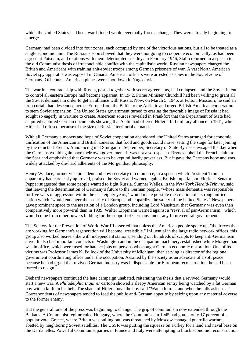which the United States had been war-blinded would eventually force a change. They were already beginning to emerge.

Germany had been divided into four zones, each occupied by one of the victorious nations, but all to be treated as a single economic unit. The Russians soon showed that they were not going to cooperate economically, as had been agreed at Potsdam, and relations with them deteriorated steadily. In February 1946, Stalin returned in a speech to the old Communist thesis of irreconcilable conflict with the capitalistic world. Russian newspapers charged the British and Americans with training anit-soviet troops among German prisoners of war. A vast North American Soviet spy apparatus was exposed in Canada. American officers were arrested as spies in the Soviet zone of Germany. Off-course American planes were shot down in Yugoslavia.

The wartime comradeship with Russia, pasted together with secret agreements, had collapsed, and the Soviet intent to control all eastern Europe had become apparent. In 1942, Prime Minister Churchill had been willing to grant all the Soviet demands in order to get an alliance with Russia. Now, on March 5, 1946, at Fulton, Missouri, he said an iron curtain had descended across Europe from the Baltic to the Adriatic and urged British-American cooperation to stem Soviet expansion. The United States government turned to erasing the favorable image of Russia it had sought so eagerly in wartime to create. American sources revealed in Frankfort that the Department of State had acquired captured German documents showing that Stalin had offered Hitler a full military alliance in 1941, which Hitler had refused because of the size of Russian territorial demands.<sup>6</sup>

With all Germany a morass and hope of Soviet cooperation abandoned, the United States arranged for economic unification of the American and British zones so that food and goods could move, setting the stage for later joining by the reluctant French. Announcing it at Stuttgart in September, Secretary of State Byrnes envisaged the day when the Germans would again have their own government. It was not a soft speech. Brynes upheld the French claim to the Saar and emphasized that Germany was to be kept militarily powerless. But it gave the Germans hope and was widely attacked by die-hard adherents of the Morgenthau philosophy.

Henry Wallace, former vice president and now secretary of commerce, in a speech which President Truman apparently had carelessly approved, praised the Soviet and warned against British imperialism. Florida's Senator Pepper suggested that some people wanted to fight Russia. Sumner Welles, in the *New York Herald-Tribune,* said that leaving the determination of Germany's future to the German people, "whose mass dementia was responsible for five wars of aggression within the past eighty years," would make possible the creation of a strong unified nation which "would endanger the security of Europe and jeopardize the safety of the United States." Newspapers gave prominent space to the assertion of a London group, including Lord Vansittart, that Germany was even then comparatively more powerul than in 1939. Walter Lippmann warned against a "revival of pan-Germanism," which would come from other powers bidding for the support of Germany under any future central government.

The Society for the Prevention of World War III asserted that unless the American people spoke up, "the forces that are working for Germany's regeneration will become irresistible." Influential in the large radio network offices, this group also worked beaver-like with independent stations, sending out hundreds of scripts to keep anti-Germanism alive. It also had important contacts in Washington and in the occupation machinery, established while Morgenthau was in office, which were used for hatchet jobs on persons who sought German economic restoration. One of its victims was Professor James K. Pollock of the University of Michigan, then serving as director of the regional government coordinating office under the occupation. Assailed by the society as an advocate of a soft peace because he had urged that revived German industry was indispensable for European reconstruction, he had been forced to resign.7

Diehard newspapers continued the hate campaign unabated, reiterating the thesis that a revived Germany would start a new war. A *Philadelphia Inquirer* cartoon showed a sleepy American sentry being watched by a fat German boy with a knife in his belt. The shade of Hitler above the boy said "Watch him. . . and when he falls asleep. . ." Correspondents of newspapers tended to feed the public anti-German appetite by seizing upon any material adverse to the former enemy.

But the general tone of the press was beginning to change. The grip of communism now extended through the Balkans. A Communist regime ruled Hungary, where the Communists in 1945 had gotten only 17 percent of a popular vote. Greece, where Britain was pulling out, was threatened by Moscow-managed guerrilla warfare, abetted by neighboring Soviet satellites. The USSR was putting the squeeze on Turkey for a land and naval base on the Dardanelles. Powerful Communist parties in France and Italy were attempting to block economic reconstruction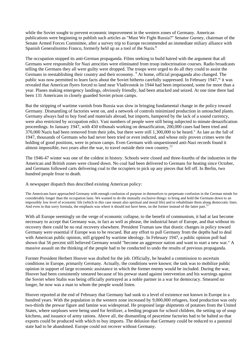while the Soviet sought to prevent economic improvement in the western zones of Germany. American publications were beginning to publish such articles as "Must We Fight Russia?" Senator Gurney, chairman of the Senate Armed Forces Committee, after a survey trip to Europe recommended an immediate miliary alliance with Spanish Generalissimo Franco, formerly held up as a tool of the Nazis.<sup>8</sup>

The occupation stopped its anti-German propaganda. Films seeking to build hatred with the argument that all Germans were responsible for Nazi atrocities were eliminated from troop indoctrination courses. Radio broadcasts telling the Germans they all were guilty were dropped. The troops were urged to do all they could to assist the Germans in reestablishing their country and their economy. <sup>9</sup> At home, official propaganda also changed. The public was now permitted to learn facts about the Soviet hitherto carefully suppressed. In February 1947,'° it was revealed that American flyers forced to land near Vladivostok in 1944 had been imprisoned, some for more than a year. Planes making emergency landings, obviously friendly, had been attacked and seized. At one time there had been 131 Americans in closely guarded Soviet prison camps.

But the stripping of wartime varnish from Russia was slow in bringing fundamental change in the policy toward Germany. Dismantling of factories went on, and a network of controls minimized production in untouched plants. Germany always had to buy food and materials abroad, but imports, hampered by the lack of a sound currency, were also restricted by occupation edict. Vast numbers of people were still being subjected to minute denazification proceedings. In January 1947, with 450 tribunals working on denazification, 200,000 cases had been tried and 370,000 Nazis had been removed from their jobs, but there were still 1,300,000 to be heard." As late as the fall of 1947, thousands of Germans who had never been tried or even indicted, and whose only proven crimes were the holding of good positions, were in prison camps. Even Germans with unquestioned anti-Nazi records found it almost impossible, two years after the war, to travel outside their own country.12

The 1946-47 winter was one of the coldest in history. Schools were closed and three-fourths of the industries in the American and British zones were closed down. No coal had been delivered to Germans for heating since October, and Germans followed carts delivering coal to the occupiers to pick up any pieces that fell off. In Berlin, two hundred people froze to death.

A newspaper dispatch thus described existing American policy:

The Americans have approached Germany with enough confusion of purpose in themselves to perpetuate confusion in the German minds for considerably longer than the occupation lasts. We wanted to do the mutually exclusive things: to bring and hold the Germans down to an impossibly low level of economic life (which in this case meant also spiritual and moral life) and to rehabilitate them along democratic lines. And even in that sorry formula, the emphasis was where it should not have been, on the former instead of the latter part.<sup>13</sup>

With all Europe seemingly on the verge of economic collapse, to the benefit of communism, it had at last become necessary to accept that Germany was, in fact as well as phrase, the industrial heart of Europe, and that without its recovery there could be no real recovery elsewhere. President Truman saw that drastic changes in policy toward Germany were essential if Europe was to be rescued. But any effort to pull Germany from the depths had to deal with American public opinion, still gripped by wartime ideology. In February 1947, a public opinion poll had shown that 56 percent still believed Germany would "become an aggressor nation and want to start a new war." A massive assault on the thinking of the people had to be conducted to undo the results of previous propaganda.

Former President Herbert Hoover was drafted for the job. Officially, he headed a commission to ascertain conditions in Europe, primarily Germany. Actually, the conditions were known; the task was to mobilize public opinion in support of large economic assistance in which the former enemy would be included. During the war, Hoover had been consistently smeared because of his prewar stand against intervention and his warnings against the Soviet when Stalin was being officially portrayed as a noble partner in a war for democracy. Smeared no longer, he now was a man to whom the people would listen.

Hoover reported at the end of February that Germany had sunk to a level of existence not known in Europe in a hundred years. With the population in the western zone increased by 9,000,000 refugees, food production was only two-thirds the prewar figure and famine was widespread. He proposed large shipments of potatoes from the United States, where surpluses were being used for fertilizer, a feeding program for school children, the setting up of soup kitchens, and issuance of army rations. Above all, the dismantling of peacetime factories had to be halted so that exports could be produced with which to buy imports. The delusion that Germany could be reduced to a pastoral state had to be abandoned. Europe could not recover without Germany.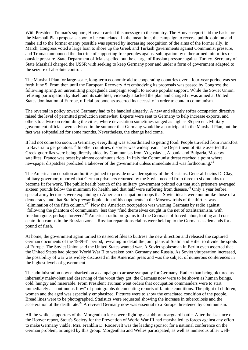With President Truman's support, Hoover carried this message to the country. The Hoover report laid the basis for the Marshall Plan proposals, soon to be enunciated. In the meantime, the campaign to reverse public opinion and make aid to the former enemy possible was spurred by increasing recognition of the aims of the former ally. In March, Congress voted a large loan to shore up the Greek and Turkish governments against Communist pressure, and Truman announced the doctrine of supporting free peoples against subjugation by either armed minorities or outside pressure. State Department officials spelled out the charge of Russian pressure against Turkey. Secretary of State Marshall charged the USSR with seeking to keep Germany poor and under a form of government adapted to the seizure of absolute control.

The Marshall Plan for large-scale, long-term economic aid to cooperating countries over a four-year period was set forth June 5. From then until the European Recovery Act embodying its proposals was passed by Congress the following spring, an unremitting propaganda campaign sought to arouse popular support. While the Soviet Union, refusing participation by itself and its satellites, viciously attacked the plan and charged it was aimed at United States domination of Europe, official proponents asserted its necessity in order to contain communism.

The reversal in policy toward Germany had to be handled gingerly. A new and slightly softer occupation directive raised the level of permitted production somewhat. Experts were sent to Germany to help increase exports, and others to advise on rebuilding the cities, where devastation sometimes ranged as high as 85 percent. Military government officials were advised in the summer that Germany would be a participant in the Marshall Plan, but the fact was softpedalled for some months. Nevertheless, the change had come.

It had not come too soon. In Germany, everything was subordinated to getting food. People traveled from Frankfort to Bavaria to get potatoes.<sup>14</sup> In other countries, disorder was widespread. The Department of State asserted that Greek guerrillas were being directly aided by Communists from Yugoslavia, Albania and Bulgaria, Moscow satellites. France was beset by almost continuous riots. In Italy the Communist threat reached a point where newspaper dispatches predicted a takeover of the government unless immediate aid was forthcoming.<sup>15</sup>

The American occupation authorities joined to provide news derogatory of the Russians. General Lucius D. Clay, military governor, reported that German prisoners returned by the Soviet needed from three to six months to become fit for work. The public health branch of the military government pointed out that such prisoners averaged sixteen pounds below the minimum for health, and that half were suffering from disease.<sup>16</sup> Only a year before, special army lecturers were explaining to American occupation troops that Soviet ideals were not unlike those of a democracy, and that Stalin's prewar liquidation of his opponents in the Moscow trials of the thirties was "elimination of the fifth column."17 Now the American occupation was warning Germans by radio against "following the phantom of communism" lest they "find themselves caught in the net of totalitarianism, with freedom gone, perhaps forever."18 American radio programs told the Germans of forced labor, looting and concentration camps in the Russian zone." Russian reparations claims were held up to the Germans as demands for a pound of flesh.

At home, the government again turned to its secret files to buttress the new direction and released the captured German documents of the 1939-41 period, revealing in detail the joint plans of Stalin and Hitler to divide the spoils of Europe. The Soviet Union said the United States wanted war. A Soviet spokesman in Berlin even asserted that the United States had plotted World War II to weaken both Germany and Russia. As Soviet vituperation increased, the possibility of war was widely discussed in the American press and was the subject of numerous conferences in the highest levels of government.

The administration now embarked on a campaign to arouse sympathy for Germany. Rather than being pictured as inherently malevolent and deserving of the worst they got, the Germans now were to be shown as human beings, cold, hungry and miserable. From President Truman went orders that occupation commanders were to start immediately a "continuous flow" of photographs documenting reports of famine conditions. The plight of children, women and the aged was especially emphasized. Pictures were to show the emaciated condition of the people. Bread lines were to be photographed. Statistics were requested showing the increase in tuberculosis and the acceleration of the death rate.<sup>20</sup> A revived Germany now was essential to a Europe threatened by communism.

All the while, supporters of the Morgenthau ideas were fighting a stubborn rearguard battle. After the issuance of the Hoover report, Stout's Society for the Prevention of World War III had marshalled its forces against any effort to make Germany viable. Mrs. Franklin D. Roosevelt was the leading sponsor for a national conference on the German problem, arranged by this group. Morgenthau and Welles participated, as well as numerous other well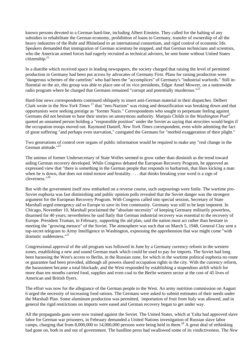known persons devoted to a German hard-line, including Albert Einstein. They called for the halting of any subsidies to rehabilitate the German economy, prohibition of loans to Germany, transfer of ownership of all the heavy industries of the Ruhr and Rhineland to an international consortium, and rigid control of economic life. Speakers demanded that immigration of German scientists be stopped, and that German technicians and scientists, who the American armed forces had eagerly recruited as technical advisers, be sent home without United States citizenship.<sup>21</sup>

In a diatribe which received space in leading newspapers, the society charged that raising the level of permitted production in Germany had been put across by advocates of Germany First. Plans for raising production were "dangerous schemes of the cartelists" who had been the "accomplices" of Germany's "industrial warlords." Still influential on the air, this group was able to place one of its vice presidents, Edgar Ansel Mowrer, on a nationwide radio program where he charged that Germans remained "corrupt and potentially murderous."<sup>22</sup>

Hard-line news correspondents continued obliquely to insert anti-German material in their dispatches. Delbert Clark wrote in the *New York Times <sup>21</sup>* that "neo-Nazism" was rising and denazification was breaking down and that opportunists were seeking prestige as "former Nazis." Correspondents who sought to perpetuate feeling against Germans did not hesitate to base their stories on anonymous authority. Marquis Childs in the *Washington Post2i* quoted an unnamed person holding a "responsible position" under the Soviet as saying that atrocities would begin if the occupation troops moved out. Raymond Daniell, *New York Times* correspondent, even while admitting the fact of great suffering "and perhaps even starvation," castigated the Germans for "morbid exaggeration of their plight."

Two generations of control over organs of public information would be required to make any "real change in the German attitude."25

The animus of former Undersecretary of State Welles seemed to grow rather than diminish as the trend toward aiding German recovery developed. While Congress debated the European Recovery Program, he approved an expressed view that "there is something in the German people that responds to barbarism, that likes kicking a man when he is down, that does not mind torture and brutality. . . . that thinks breaking your word is a sign of cleverness."<sup>26</sup>

But with the government itself now embarked on a reverse course, such outpourings were futile. The wartime pro-Soviet euphoria was fast diminishing and public opinion polls revealed that the Soviet danger was the strongest argument for the European Recovery Program. With Congress called into special session, Secretary of State Marshall urged emergency aid to Europe to save its free community. Germany was still to be kept impotent. In Chicago, November 10, Marshall proclaimed the "absolute necessity" of keeping Germany militarily powerless, disarmed for 40 years; nevertheless he said flatly that German industrial recovery was essential to the recovery of Europe. President Truman, in February, supporting ths aid plan, said the nation must act rather than hesitate in meeting the "growing menace" of the Soviet. The atmosphere was such that on March 5, 1948, General Clay sent a top-secret telegram to Army Intelligence in Washington, expressing the apprehension that war might come "with dramatic suddenness."<sup>27</sup>

Congressional approval of the aid program was followed in June by a Germany currency reform in the western zones, establishing a new and sound German mark which could be used to pay for imports. The Soviet had long been harassing the West's access to Berlin, in the Russian zone, for which in the wartime political euphoria no route or guarantee had been provided, although all powers shared occupation rights in the city. With the currency reform, the harassment became a total blockade, and the West responded by establishing a stupendous airlift which for more than ten months carried food, supplies and even coal to the Berlin western sector at the cost of 45 lives of American and British flyers.

The effort was now for the allegiance of the German people to the West. An army nutrition commission on August 6 urged the necessity of increasing food rations. The Germans were asked to submit estimates of their needs under the Marshall Plan. Some aluminum production was permitted, importation of fruit from Italy was allowed, and in general the rigid restrictions on imports were eased and German recovery began to get under way.

All the propaganda guns were now trained against the Soviet. The United States, which at Yalta had approved slave labor for German war prisoners, in February demanded a United Nations investigation of Russian slave labor camps, charging that from 8,000,000 to 14,000,000 persons were being held in them.<sup>28</sup> A great deal of rethinking had gone on, both in and out of government. The hardline press had swallowed some of its vindictiveness. The *New*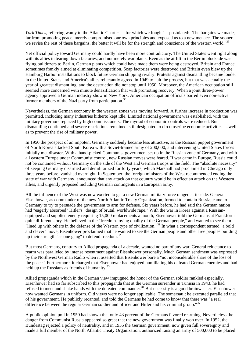*York Times,* referring wanly to the Atlantic Charter—"for which we fought"—postulated: "The bargains we made, far from promoting peace, merely compromised our own principles and exposed us to a new menace. The sooner we revise the rest of these bargains, the better it will be for the strength and conscience of the western world."<sup>29</sup>

Yet official policy toward Germany could hardly have been more contradictory. The United States went right along with its allies in tearing down factories, and not merely war plants. Even as the airlift in the Berlin blockade was flying bulldozers to Berlin, German plants which could have made them were being destroyed. Britain and France sometimes frankly aimed at eliminating competition. Soap factories were destroyed and Britain even blew up the Hamburg Harbor installations to block future German shipping rivalry. Protests against dismantling became louder in the United States and America's allies reluctantly agreed in 1949 to halt the process, but that was actually the year of greatest dismantling, and the destruction did not stop until 1950. Moreover, the American occupation still seemed more concerned with minute denazification that with promoting recovery. When a joint three-power agency approved a German industry show in New York, American occupation officials barred even non-active former members of the Nazi party from participation.<sup>30</sup>

Nevertheless, the German economy in the western zones was moving forward. A further increase in production was permitted, including many industries hitherto kept idle. Limited national government was established, with the military governors replaced by high commissioners. The myriad of economic controls were reduced. But dismantling continued and severe restrictions remained, still designated to circumscribe economic activities as well as to prevent the rise of military power.

In 1950 the prospect of an impotent Germany suddenly became less attractive, as the Russian puppet government of North Korea attacked South Korea with a Soviet-trained army of 200,000, and intervening United States forces initially met disaster. With a hand-picked Communist government set up in the Russian zone of Germany, and with all eastern Europe under Communist control, new Russian moves were feared. If war came in Europe, Russia could not be contained without Germany on the side of the West and German troops in the field. The "absolute necessity" of keeping Germany disarmed and demilitarized for forty years, which Marshall had proclaimed in Chicago only three years before, vanished overnight. In September, the foreign ministers of the West recommended ending the state of war with Germany, announced that any attack on that country would be in effect an attack on the Western allies, and urgently proposed including German contingents in a European army.

All the influence of the West was now exerted to get a new German military force ranged at its side. General Eisenhower, as commander of the new North Atlantic Treaty Organization, formed to contain Russia, came to Germany to try to persuade the government to arm for defense. Six years before, he had said the German nation had "eagerly absorbed" Hitler's "design of brutal, worldwide rape." With the war in Korea against a Russianequipped and supplied enemy requiring 15,000 replacements a month, Eisenhower told the Germans at Frankfort a quite different story. He believed in the "freedom-loving quality of the German people," and wanted to see them "lined up with others in the defense of the Western type of civilization."31 In what a correspondent termed "a bold and clever" move, Eisenhower proclaimed that he wanted to see the German people and other free peoples building up their strength "as one gang" to defend freedom. $32$ 

But most Germans, contrary to Allied propaganda of a decade, wanted no part of any war. General reluctance to rearm was paralleled by intense resentment against Eisenhower personally. Much German sentiment was expressed by the Northwest German Radio when it asserted that Eisenhower bore a "not inconsiderable share of the loss of the peace." Furthermore, it charged that Eisenhower had enjoyed humiliating his defeated German enemies and had held up the Russians as friends of humanity.<sup>33</sup>

Allied propaganda which in the German view impugned the honor of the German soldier rankled especially. Eisenhower had so far subscribed to this propaganda that at the German surrender in Tunisia in 1943, he had refused to meet and shake hands with the defeated commander.<sup>34</sup> But necessity is a good brainwasher. Eisenhower now wanted Germans in uniform. Old views were no longer applicable. The somersault he executed paralleled that of his government. He publicly recanted, and told the Germans he had come to know that there was "a real difference between the regular German soldier and officer and Hitler and his criminal group."<sup>35</sup>

A public opinion poll in 1950 had shown that only 43 percent of the Germans favored rearming. Nevertheless the danger from Communist Russia appeared so great that the new government was finally won over. In 1952, the Bundestag rejected a policy of neutrality, and in 1955 the German government, now given full sovereignty and made a full member of the North Atlantic Treaty Organization, authorized raising an army of 500,000 to be placed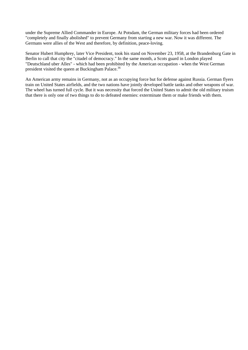under the Supreme Allied Commander in Europe. At Potsdam, the German military forces had been ordered "completely and finally abolished" to prevent Germany from starting a new war. Now it was different. The Germans were allies of the West and therefore, by definition, peace-loving.

Senator Hubert Humphrey, later Vice President, took his stand on November 23, 1958, at the Brandenburg Gate in Berlin to call that city the "citadel of democracy." In the same month, a Scots guard in London played "Deutschland uber Alles" - which had been prohibited by the American occupation - when the West German president visited the queen at Buckingham Palace.<sup>36</sup>

An American army remains in Germany, not as an occupying force but for defense against Russia. German flyers train on United States airfields, and the two nations have jointly developed battle tanks and other weapons of war. The wheel has turned full cycle. But it was necessity that forced the United States to admit the old military truism that there is only one of two things to do to defeated enemies: exterminate them or make friends with them.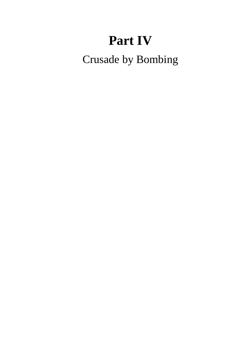# **Part IV**

Crusade by Bombing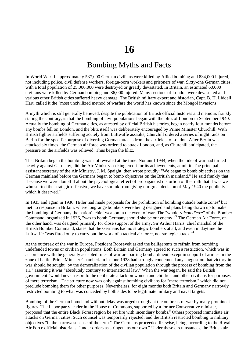# **16**

## Bombing Myths and Facts

In World War II, approximately 537,000 German civilians were killed by Allied bombing and 834,000 injured, not including police, civil defense workers, foreign-born workers and prisoners of war. Sixty-one German cities, with a total population of 25,000,000 were destroyed or greatly devastated. In Britain, an estimated 60,000 civilians were killed by German bombing and 86,000 injured. Many sections of London were devastated and various other British cities suffered heavy damage. The British military expert and historian, Capt. B. H. Liddell Hart, called it the "most uncivilized method of warfare the world has known since the Mongol invasions."

A myth which is still generally believed, despite the publication of British official histories and memoirs frankly stating the contrary, is that the bombing of civil populations began with the blitz of London in September 1940. Actually the bombing of German cities, as attested by official British histories, began nearly four months before any bombs fell on London, and the blitz itself was deliberately encouraged by Prime Minister Churchill. With British fighter airfields suffering acutely from Luftwaffe assaults, Churchill ordered a series of night raids on Berlin for the specific purpose of diverting German attacks from the airfields to London. After Berlin was attacked six times, the German air force was ordered to attack London, and, as Churchill anticipated, the pressure on the airfields was relieved. Thus began the blitz.

That Britain began the bombing was not revealed at the time. Not until 1944, when the tide of war had turned heavily against Germany, did the Air Ministry seeking credit for its achievements, admit it. The principal assistant secretary of the Air Ministry, J. M. Spaight, then wrote proudly: "We began to bomb objectives on the German mainland before the Germans began to bomb objectives on the British mainland." He said frankly that "because we were doubtful about the psychological effect of propagandist distortion of the truth that it was we who started the strategic offensive, we have shrunk from giving our great decision of May 1940 the publicity which it deserved.'"

In 1935 and again in 1936, Hitler had made proposals for the prohibition of bombing outside battle zones<sup>2</sup> but met no response in Britain, where longrange bombers were being designed and plans being drawn up to make the bombing of Germany the nation's chief weapon in the event of war. The "whole *raison d'etre"* of the Bomber Command, organized in 1936, "was to bomb Germany should she be our enemy."<sup>3</sup> The German Air Force, on the other hand, was designed primarily for close support of the army. Sir Arthur Harris, chief marshal of the British Bomber Command, states that the Germans had no strategic bombers at all, and even in daytime the Luftwaffe "was fitted only to carry out the work of a tactical air force, not strategic attack."<sup>4</sup>

At the outbreak of the war in Europe, President Roosevelt asked the belligerents to refrain from bombing undefended towns or civilian populations. Both Britain and Germany agreed to such a restriction, which was in accordance with the generally accepted rules of warfare barring bombardment except in support of armies in the zone of battle. Prime Minister Chamberlain in June 1938 had strongly condemned any suggestion that victory in war should be sought "by the demoralization of the civilian population through the process of bombing from the air," asserting it was "absolutely contrary to international law." When the war began, he said the British government "would never resort to the deliberate attack on women and children and other civilians for purposes of mere terrorism." The stricture now was only against bombing civilians for "mere terrorism," which did not preclude bombing them for other purposes. Nevertheless, for eight months both Britain and Germany narrowly restricted bombing to what was conceded by both sides to be legitimate military and naval targets.

Bombing of the German homeland without delay was urged strongly at the outbreak of war by many prominent figures. The Labor party leader in the House of Commons, supported by a former Conservative minister, proposed that the entire Black Forest region be set fire with incendiary bombs.<sup>5</sup> Others proposed immediate air attacks on German cities. Such counsel was temporarily rejected, and the British restricted bombing to military objectives "in the narrowest sense of the term." The Germans proceeded likewise, being, according to the Royal Air Force official historians, "under orders as stringent as our own." Under these circumstances, the British air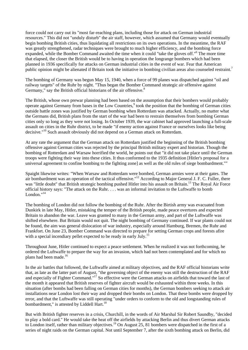force could not carry out its "most far-reaching plans, including those for attack on German industrial resources." This did not "unduly disturb" the air staff, however, which assumed that Germany would eventually begin bombing British cities, thus liquidating all restrictions on its own operations. In the meantime, the RAF was greatly strengthened, radar techniques were brought to much higher efficiency, and the bombing force expanded, while the Bomber Command awaited the time when it could "take the gloves off."<sup>6</sup> The more time that elapsed, the closer the British would be to having in operation the longrange bombers which had been planned in 1936 specifically for attacks on German industrial cities in the event of war. Fear that American public opinion might be alienated if Britain took the initiative in bombing civilian areas also counseled restraint.<sup>7</sup>

The bombing of Germany was begun May 15, 1940, when a force of 99 planes was dispatched against "oil and railway targets" of the Ruhr by night. "Thus began the Bomber Command strategic air offensive against Germany," say the British official historians of the air offensive.<sup>8</sup>

The British, whose own prewar planning had been based on the assumption that their bombers would probably operate against Germany from bases in the Low Countries,<sup>9</sup> took the position that the bombing of German cities outside battle zones was justified by German bombing when Rotterdam was attacked. Actually, no matter what the Germans did, British plans from the start of the war had been to restrain themselves from bombing German cities only so long as they were not losing. In October 1939, the war cabinet had approved launching a full-scale assault on cities in the Ruhr district, to be made "if enemy action against France or ourselves looks like being decisive."10 Such assault obviously did not depend on a German attack on Rotterdam.

At any rate the argument that the German attack on Rotterdam justified the beginning of the British bombing offensive against German cities was rejected by the principal British military expert and historian. Though the bombing of Rotterdam and Warsaw horrified the world, he points out that "it did not take place until the German troops were fighting their way into these cities. It thus conformed to the 1935 definition [Hitler's proposal for a universal agreement to confine bombing to the fighting zone] as well as the old rules of siege bombardment.""

Spaight likewise writes: "When Warsaw and Rotterdam were bombed, German armies were at their gates. The air bombardment was an operation of the tactical offensive."<sup>12</sup> According to Major General J. F. C. Fuller, there was "little doubt" that British strategic bombing pushed Hitler into his assault on Britain.<sup>13</sup> The Royal Air Force official history says: "The attack on the Ruhr. . . . was an informal invitation to the Luftwaffe to bomb London."<sup>14</sup>

The bombing of London did not follow the bombing of the Ruhr. After the Birtish army was evacuated from Dunkirk in late May, Hitler, mistaking the temper of the British people, made peace overtures and expected Britain to abandon the war. Leave was granted to many in the German army, and part of the Luftwaffe was shifted elsewhere. But Britain would not quit. The night bombing of Germany continued. If war plants could not be found, the aim was general dislocation of war industry, especially around Hamburg, Bremen, the Ruhr and Frankfort. On June 23, Bomber Command was directed to prepare for setting German crops and forests afire with a special incendiary pellet expected to be ready in early July.<sup>15</sup>

Throughout June, Hitler continued to expect a peace settlement. When he realized it was not forthcoming, he ordered the Luftwaffe to prepare the way for an invasion, which had not been contemplated and for which no plans had been made.<sup>16</sup>

In the air battles that followed, the Luftwaffe aimed at military objectives, and the RAF official historians write that, as late as the latter part of August, "the governing object of the enemy was still the destruction of the RAF and especially of Fighter Command."<sup>17</sup> So effective were the German attacks on airfields that toward the last of the month it appeared that British reserves of fighter aircraft would be exhausted within three weeks. In this situation (after bombs had been falling on German cities for months), the German bombers seeking to attack air installations near London lost their way and dropped their bombs on London. That these bombs were dropped by error, and that the Luftwaffe was still operating "under orders to conform to the old and longstanding rules of bombardment," is attested by Liddell Hart.<sup>18</sup>

But with British fighter reserves in a crisis, Churchill, in the words of Air Marshal Sir Robert Saundby, "decided to play a bold card." He would take the heat off the airfields by attacking Berlin and thus divert German attacks to London itself, rather than military objectives.<sup>19</sup> On August 25, 81 bombers were dispatched in the first of a series of night raids on the German capital. Not until September 7, after the sixth bombing attack on Berlin, did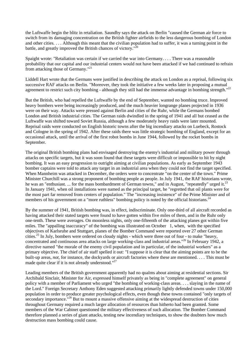the Luftwaffe begin the blitz in retaliation. Saundby says the attack on Berlin "caused the German air force to switch from its damaging concentration on the British fighter airfields to the less dangerous bombing of London and other cities. . . . Although this meant that the civilian population had to suffer, it was a turning point in the battle, and greatly improved the British chances of victory."<sup>20</sup>

Spaight wrote: "Retaliation was certain if we carried the war into Germany. . . . There was a reasonable probability that our capital and our industrial centers would not have been attacked if we had continued to refrain from attacking those of Germany."<sup>21</sup>

Liddell Hart wrote that the Germans were justified in describing the attack on London as a reprisal, following six successive RAF attacks on Berlin. "Moreover, they took the initiative a few weeks later in proposing a mutual agreement to restrict such city bombing - although they still had the immense advantage in bombing strength."<sup>22</sup>

But the British, who had repelled the Luftwaffe by the end of September, wanted no bombing truce. Improved heavy bombers were being increasingly produced, and the much heavier longrange planes projected in 1936 were on their way. Attacks were pressed against Berlin and cities of the Ruhr, while the Germans bombed London and British industrial cities. The German raids dwindled in the spring of 1941 and all but ceased as the Luftwaffe was shifted toward Soviet Russia, although a few moderately heavy raids were later mounted. Reprisal raids were conducted on English historic towns after the big incendiary attacks on Luebeck, Rostock and Cologne in the spring of 1942. After these raids there was little strategic bombing of England, except for an occasional attack, until the arrival of the first robot bombs in June 1944, followed by the rocket bombs in September.

The original British bombing plans had envisaged destroying the enemy's industrial and military power through attacks on specific targets, but it was soon found that these targets were difficult or impossible to hit by night bombing. It was an easy progression to outright aiming at civilian populations. As early as September 1943 bomber captains were told to attack any target in an industrial area when they could not find the target specified. When Mannheim was attacked in December, the orders were to concentrate "on the center of the town." Prime Minister Churchill was a strong proponent of bombing people as people. In July 1941, the RAF historians wrote, he was an "enthusiast. ... for the mass bombardment of German towns," and in August, "repeatedly" urged it.<sup>23</sup> In January 1941, when oil installations were named as the principal target, he "regretted that oil plants were for the most part far removed from centers of population." The "increasing insistence" of the Prime Minister and of members of his government on a "more ruthless" bombing policy is noted by the official historians.<sup>24</sup>

By the summer of 1941, British bombing was, in effect, indiscriminate. Only one-third of all aircraft recorded as having attacked their stated targets were found to have gotten within five miles of them, and in the Ruhr only one-tenth. These were averages. On moonless nights, only one-fifteenth of the attacking planes got within five miles. The "appalling inaccuracy" of the bombing was illustrated on October 1, when, with the specified objectives of Karlsruhe and Stuttgart, planes of the Bomber Command were reported over 27 other German cities.25 In July, bombers were ordered on cloudy nights - which were three out of four - to make "heavy, concentrated and continuous area attacks on large working-class and industrial areas."26 In February 1942, a directive named "the morale of the enemy civil population and in particular, of the industrial workers" as a primary objective. The chief of air staff spelled it out: "I suppose it is clear that the aiming points are to be the built-up areas, *not*, for instance, the dockyards or aircraft factories where these are mentioned. . . . This must be made quite clear if it is not already understood."<sup>27</sup>

Leading members of the British government apparently had no qualms about aiming at residential sections. Sir Archibald Sinclair, Minister for Air, expressed himself privately as being in "complete agreement" on general policy with a member of Parliament who urged "the bombing of working-class areas. . . . slaying in the name of the Lord." Foreign Secretary Anthony Eden suggested attacking primarily lightly defended towns under 150,000 population in order to produce greater psychological effects, even though these towns contained "only targets of secondary importance."<sup>28</sup> But to mount a massive offensive aiming at the widespread destruction of cities throughout Germany required a much larger allocation of resources than hitherto had been granted. Some members of the War Cabinet questioned the military effectiveness of such allocation. The Bomber Command therefore planned a series of giant attacks, testing new incendiary techniques, to show the doubters how much destruction mass bombing could cause.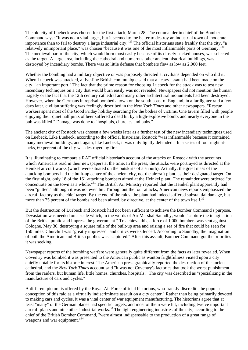The old city of Luebeck was chosen for the first attack, March 28. The commander in chief of the Bomber Command says: "It was not a vital target, but it seemed to me better to destroy an industrial town of moderate importance than to fail to destroy a large industrial city."29 The official historians state frankly that the city, "a relatively unimportant place," was chosen "because it was one of the most inflammable parts of Germany."<sup>30</sup> The medieval part of the city, which would burn most easily because of its closely packed houses, was selected as the target. A large area, including the cathedral and numerous other ancient historical buildings, was destroyed by incendiary bombs. There was so little defense that bombers flew as low as 2,000 feet.

Whether the bombing had a military objective or was purposely directed at civilians depended on who did it. When Luebeck was attacked, a five-line British communique said that a heavy assault had been made on the city, "an important port." The fact that the prime reason for choosing Luebeck for the attack was to test new incendiary techniques on a city that would burn easily was not revealed. Newspapers did not mention the human tragedy or the fact that the 12th century cathedral and many other architectural monuments had been destroyed. However, when the Germans in reprisal bombed a town on the south coast of England, in a far lighter raid a few days later, civilian suffering was feelingly described in the *New York Times* and other newspapers. "Rescue workers spent most of the Good Friday holiday searching for the bodies of victims. One tavern filled with people enjoying their quiet half pints of beer suffered a dead hit by a high-explosive bomb, and nearly everyone in the pub was killed." Damage was done to "hospitals, churches and pubs."

The ancient city of Rostock was chosen a few weeks later as a further test of the new incendiary techniques used on Luebeck. Like Luebeck, according to the official historians, Rostock "was inflammable because it contained many medieval buildings, and, again, like Luebeck, it was only lightly defended." In a series of four night attacks, 60 percent of the city was destroyed by fire.

It is illuminating to compare a RAF official historian's account of the attacks on Rostock with the accounts which Americans read in their newspapers at the time. In the press, the attacks were portrayed as directed at the Heinkel aircraft works (which were situated on the outskirts of a suburb). Actually, the great mass of the attacking bombers had the built-up center of the ancient city, not the aircraft plant, as their designated target. On the first night, only 18 of the 161 attacking bombers aimed at the Heinkel plant. The remainder were ordered "to concentrate on the town as a whole."31 The British Air Ministry reported that the Heinkel plant apparently had been "gutted," although it was not even hit. Throughout the four attacks, American news reports emphasized the aircraft factory as the chief target. By the end of the raids, the plant had indeed suffered substantial damage, but more than 75 percent of the bombs had been aimed, by directive, at the center of the town itself.<sup>32</sup>

But the destruction of Luebeck and Rostock had not been sufficient to achieve the Bomber Command's purpose. Devastation was needed on a scale which, in the words of Air Marshal Saundby, would "capture the imagination of the British public and impress the government." To achieve this, a force of 1,000 bombers was sent against Cologne, May 30, destroying a square mile of the built-up area and raising a sea of fire that could be seen for 150 miles. Churchill was "greatly impressed" and critics were silenced. According to Saundby, the imagination of both the American and British publics was "captured." After this assault, Bomber Command got the priorities it was seeking.

Newspaper reports of the bombing warfare were generally quite different from the facts as later revealed. When Coventry was bombed it was presented to the American public as wanton frightfulness visited upon a city chiefly notable for its historic interest. The American press graphically reported the destruction of the ancient cathedral, and the *New York Times* account said "it was not Coventry's factories that took the worst punishment from the raiders, but human life, little homes, churches, hospitals." The city was described as "specializing in the manufacture of cars and cycles."

A different picture is offered by the Royal Air Force official historians, who frankly discredit "the popular conception of this raid as a virtually indiscriminate assault on a city center." Rather than being primarily devoted to making cars and cycles, it was a vital center of war equipment manufacturing. The historians agree that at least "many" of the German planes had specific targets, and most of them were hit, including twelve important aircraft plants and nine other industrial works.<sup>33</sup> The light engineering industries of the city, according to the chief of the British Bomber Command, "were almost indispensable to the production of a great range of weapons and war equipment."<sup>34</sup>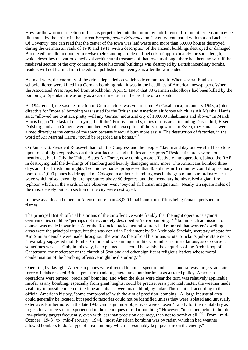How far the wartime selection of facts is perpetuated into the future by indifference if for no other reason may be illustrated by the article in the current *Encyclopaedia Britannica* on Coventry, compared with that on Luebeck. Of Coventry, one can read that the center of the town was laid waste and more than 50,000 houses destroyed during the German air raids of 1940 and 1941, with a description of the ancient buildings destroyed or damaged. But the editors did not bother to revise their standing article on Luebeck, of approximately the same length, which describes the various medieval architectural treasures of that town as though there had been no war. If the medieval section of the city containing these historical buildings was destroyed by British incendiary bombs, readers will not learn it from the edition published eighteen years after the war ended.

As in all wars, the enormity of the crime depended on which side committed it. When several English schoolchildren were killed in a German bombing raid, it was in the headlines of American newspapers. When the Associated Press reported from Stockholm (April 5, 1945) that 33 German schoolboys had been killed by the bombing of Spandau, it was only as a casual mention in the last line of a dispatch.

As 1942 ended, the vast destruction of German cities was yet to come. At Casablanca, in January 1943, a joint directive for "morale" bombing was issued for the British and American air forces which, as Air Marshal Harris said, "allowed me to attack pretty well any German industrial city of 100,000 inhabitants and above." In March, Harris began "the task of destroying the Ruhr." For five months, cities of this area, including Dusseldorf, Essen, Duisburg and also Cologne were bombed. With the exception of the Krupp works in Essen, these attacks were aimed directly at the center of the town because it would burn more easily. The destruction of factories, in the word of Air Marshal Harris, "could be regarded as a bonus."<sup>35</sup>

On January 6, President Roosevelt had told the Congress and the people, "day in and day out we shall heap tons upon tons of high explosives on their war factories and utilities and seaports." Residential areas were not mentioned, but in July the United States Air Force, now coming more effectively into operation, joined the RAF in destroying half the dwellings of Hamburg and heavily damaging many more. The Americans bombed three days and the British four nights. Techniques had so progressed that 400 planes in 15 minutes could drop as many bombs as 1,000 planes had dropped on Cologne in an hour. Hamburg was in the grip of an extraordinary heat wave which raised even night temperatures above 90 degrees, and the incendiary bombs raised a giant fire typhoon which, in the words of one observer, went "beyond all human imagination." Nearly ten square miles of the most densely built-up section of the city were destroyed.

In these assaults and others in August, more than 48,000 inhabitants three-fifths being female, perished in flames.

The principal British official historians of the air offensive write frankly that the night operations against German cities could be "perhaps not inaccurately described as 'terror bombing,' "36 but no such admission, of course, was made in wartime. After the Rostock attacks, neutral sources had reported that workers' dwelling areas were the principal target, but this was denied in Parliament by Sir Archibald Sinclair, secretary of state for Air. Similar denials were made throughout the war. As the official historians wrote, Sinclair's public statements "invariably suggested that Bomber Command was aiming at military or industrial installations, as of course it sometimes was. . . . Only in this way, he explained, . . . .could he satisfy the enquiries of the Archbishop of Canterbury, the moderator of the church of Scotland and other significant religious leaders whose moral condemnation of the bombing offensive might be disturbing."<sup>37</sup>

Operating by daylight, American planes were directed to aim at specific industrial and railway targets, and air force officials resisted British pressure to adopt general area bombardment as a stated policy. American operations were termed "precision" bombing, and when the skies were clear the term was relatively applicable insofar as any bombing, especially from great heights, could be precise. As a practical matter, the weather made visibility impossible much of the time and attacks were made blind, by radar. This entailed, according to the official American history, "some compromise" with the aim of precision bombing. A large industrial area could generally be located, but specific factories could not be identified unless they were isolated and unusually extensive. Furthermore, in the late 1943 campaign most objectives were chosen "frankly for their suitability as targets for a force still inexperienced in the techniques of radar bombing." However, "it seemed better to bomb low-priority targets frequently, even with less than precision accuracy, than not to bomb at all."<sup>38</sup> From mid-October 1943 to mid-February 1944, most American bombing was by radar, which in bad weather allowed bombers to do "a type of area bombing which presumably kept pressure on the enemy."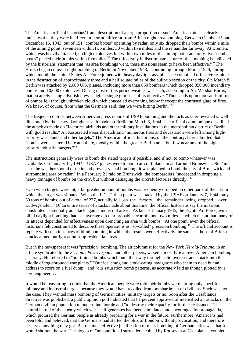The American official historians' frank description of a large proportion of such American attacks clearly indicates that they were in effect little or no different from British night area bombing. Between October 15 and December 15, 1943, out of 151 "combat boxes" operating by radar, only six dropped their bombs within a mile of the aiming point; seventeen within two miles; 30 within five miles; and the remainder far away. At Bremen, which was heavily attacked, no high explosives fell within two miles of the aiming point and only five "combat boxes" placed their bombs within five miles.<sup>39</sup> The effectively indiscriminate nature of this bombing is indicated by the historians' statement that "as area bombings went, these missions seem to have been effective."40 The British began colossal night bombing of Berlin in November 1943, continuing through March 1944, during which month the United States Air Force joined with heavy daylight assaults. The combined offensive resulted in the destruction of approximately three and a half square miles of the built-up section of the city. On March 8, Berlin was attacked by 2,000 U.S. planes, including more than 850 bombers which dropped 350,000 incendiary bombs and 10,000 explosives. During most of this period weather was such, according to Air Marshal Harris, that "scarcely a single British crew caught a single glimpse" of its objective. "Thousands upon thousands of tons of bombs fell through unbroken cloud which concealed everything below it except the confused glare of fires. We knew, of course, from what the Germans said, that we were hitting Berlin."<sup>41</sup>

The frequent contrast between American press reports of USAF bombing and the facts as later revealed is well illustrated by the heavy daylight assault made on Berlin on March 6, 1944. The official communique described the attack as made on "factories, airfields and other military installations in the metropolitan district of Berlin with good results." An Associated Press dispatch said "numerous fires and devastation were left among highpriority war plants and other targets." The American official historians, on the contrary, later admitted that "bombs were scattered here and there, mostly within the greater Berlin area, but few near any of the highpriority industrial targets."42

The instructions generally were to bomb the stated targets if possible, and if not, to bomb whatever was available. On January 11, 1944, USAF planes were to bomb aircraft plants in and around Brunswick. But "in case the weather should close in and prevent visual bombing, it was planned to bomb the city of Brunswick and surrounding area by radar." In a February 21 raid on Brunswick, the bombardiers "succeeded in dropping a heavy tonnage of bombs on the city, but without damaging the aircraft factories directly."<sup>43</sup>

Even when targets were hit, a far greater amount of bombs was frequently dropped on other parts of the city in which the target was situated. When the I. G. Farben plant was attacked by the USAF on January 7, 1944, only 39 tons of bombs, out of a total of 277, actually fell on the factory, the remainder being dropped "over Ludwigshafen." Of an entire series of attacks made about this time, the official historians say the missions constituted "essentially an attack against industrial areas." As late as January 1945, the Eighth Air Force, with blind daylight bombing, had "an average circular probable error of about two miles .... which meant that many of its attacks depended for effectiveness upon drenching an area with bombs." At one point, even the official historians felt constrained to describe these operations as "so-called" precision bombing.<sup>44</sup> The official account is replete with such instances of blind bombing in which the results were effectively the same as those of British attacks aimed outright at built-up residential areas.

But in the newspapers it was "precision" bombing. The air columnist for the *New York Herald-Tribune,* in an article syndicated to the *St. Louis Post-Dispatch* and other papers, waxed almost lyrical over American bombing accuracy. He referred to "our trained bombs which hunt their way through solid overcast and smack into the middle of fog-shrouded war plants." "Our ice, smog and cloud-eating navigators who seem to need but an address to score on a fuel dump," and "our saturation bomb patterns, as accurately laid as though plotted by a civil engineer. . . ."

It would be reassuring to think that the American people were told their bombs were hitting only specific military and industrial targets because they would have recoiled from bombardment of civilians. Such was not the case. They wanted mass bombing of German cities, military targets or no. Soon after the Casablanca directive was published, a public opinion poll indicated that 81 percent approved of intensified air attacks on the German civilian population to undermine morale and "to destroy their capacity for further resistance." The natural hatred of the enemy which war itself generates had been stimulated and encouraged by propaganda, which pictured the German people as already preparing for a war in the future. Furthermore, Americans had been told, and believed, that the Germans had started the blitz of London without provocation, and therefore deserved anything they got. But the most effective justification of mass bombing of German cities was that it would shorten the war. The slogan of "unconditional surrender," coined by Roosevelt at Casablanca, coupled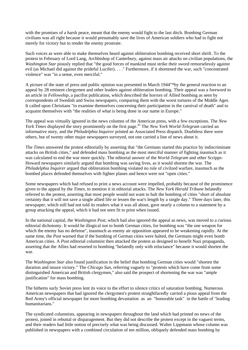with the promises of a harsh peace, meant that the enemy would fight to the last ditch. Bombing German civilians was all right because it would presumably save the lives of American soldiers who had to fight not merely for victory but to render the enemy prostrate.

Such voices as were able to make themselves heard against obliteration bombing received short shrift. To the protest in February of Lord Lang, Archbishop of Canterbury, against mass air attacks on civilian populations, the *Washington Star piously replied that "the good forces of mankind must strike their sword remorselessly against* evil (as Michael did against the prideful Lucifer). . . ." Furthermore, if it shortened the war, such "concentrated violence" was "in a sense, even merciful."

A picture of the state of press and public opinion was presented in March 1944"\*by the general reaction to an appeal by 28 eminent clergymen and other leaders against obliteration bombing. Their appeal was a foreword to an article in *Fellowship,* a pacifist publication, which described the horrors of Allied bombing as seen by correspondents of Swedish and Swiss newspapers, comparing them with the worst tortures of the Middle Ages. It called upon Christians "to examine themselves concerning their participation in the carnival of death" and to acquaint themselves with "the realities of what is being done in our name in Europe."

The appeal was virtually ignored in the news columns of the American press, with a few exceptions. The *New York Times* displayed the story prominently on the first page.<sup>45</sup> The *New York World-Telegram* carried an informative story, and the *Philadelphia Inquirer* printed an Associated Press dispatch. Doubtless there were others, but of twenty other major newspapers surveyed, not one carried a line of news about it.

The *Times* answered the protest editorially by asserting that "the Germans started this practice by indiscriminate attacks on British cities," and defended mass bombing as the most merciful manner of fighting inasmuch as it was calculated to end the war more quickly. The editorial answer of the *World-Telegram* and other Scripps-Howard newspapers similarly argued that bombing was saving lives, as it would shorten the war. The *Philadelphia Inquirer* argued that obliteration bombing violated no rule of civilzed warfare, inasmuch as the bombed places defended themselves with fighter planes and hence were not "open cities."

Some newspapers which had refused to print a news account were impelled, probably because of the prominence given to the appeal by the *Times,* to mention it in editorial attacks. The *New York Herald Tribune* belatedly referred to the protest, asserting that most people would not want to halt the bombing of cities "short of absolute certainty that it will not save a single allied life or lessen the war's length by a single day." Three days later, this newspaper, which still had not told its readers what it was all about, gave nearly a column to a statement by a group attacking the appeal, which it had not seen fit to print when issued.

In the national capital, the *Washington Post,* which had also ignored the appeal as news, was moved to a curious editorial dichotomy. It would be illogical not to bomb German cities, for bombing was "the one weapon for which the enemy has no defense", inasmuch as enemy air opposition appeared to be weakening rapidly. At the same time, the *Post* warned that if the bombing of German cities were halted, the Germans might even bomb American cities. A *Post* editorial columnist then attacked the protest as designed to benefit Nazi propaganda, asserting that the Allies had resorted to bombing "belatedly only with reluctance" because it would shorten the war.

The *Washington Star* also found justification in the belief that bombing German cities would "shorten the duration and insure victory." The *Chicago Sun,* referring vaguely to "protests which have come from some distinguished American and British clergymen," also said the prospect of shortening the war was "ample justification" for mass bombing.

The hitherto surly Soviet press lent its voice to the effort to silence critics of saturation bombing. Numerous American newspapers that had ignored the clergymen's protest straightfacedly carried a pious appeal from the Red Army's official newspaper for more bombing devastation as an "honorable task" in the battle of "leading humanitarians."

The syndicated columnists, appearing in newspapers throughout the land which had printed no news of the protest, joined in rebuttal or disparagement. But they did not describe the protest except in the vaguest terms, and their readers had little notion of precisely what was being discussed. Walter Lippmann whose column was published in newspapers with a combined circulation of ten million, obliquely defended mass bombing by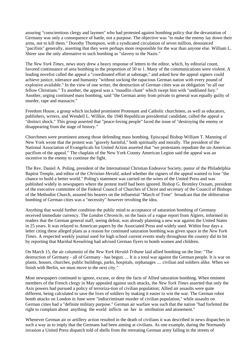assuring "conscientious clergy and laymen" who had protested against bombing policy that the devastation of Germany was only a consequence of battle, not a purpose. The objective was "to make the enemy lay down their arms, not to kill them." Dorothy Thompson, with a syndicated circulation of seven million, denounced "pacifists" generally, asserting that they were perhaps more responsible for the war than anyone else. William L. Shirer saw the only alternative to such bombing as "slavery to the Nazis."

The *New York Times,* news story drew a heavy response of letters to the editor, which, by editorial count, favored continuance of area bombing in the proportion of 50 to 1. Many of the communications were violent. A leading novelist called the appeal a "coordinated effort at sabotage," and asked how the appeal signers could achieve justice, tolerance and humanity "without socking the rapacious German nation with every pound of explosive available." In the view of one writer, the destruction of German cities was an obligation "to all our fellow Christians." To another, the appeal was a "maudlin chant" which swept him with "undiluted fury." Another, urging continued mass bombing, said "the German army from private to general was equally guilty of murder, rape and massacre."

Freedom House, a group which included prominent Protestant and Catholic churchmen, as well as educators, publishers, writers, and Wendell L. Willkie, the 1940 Republican presidential candidate, called the appeal a "distinct shock." This group asserted that "peace-loving people" faced the issue of "destroying the enemy or disappearing from the stage of history."

Churchmen were prominent among those defending mass bombing. Episcopal Bishop William T. Manning of New York wrote that the protest was "gravely harmful," both spiritually and morally. The president of the National Association of Evangelicals for United Action asserted that "we protestants repudiate the un-American pacifism of the appeal." The chaplain of the New York County American Legion said the appeal was an incentive to the enemy to continue the fight.

The Rev. Daniel A. Poling, president of the International Christian Endeavor Society, pastor of the Philadelphia Baptist Temple, and editor of the *Christian Herald,* asked whether the signers of the appeal wanted to lose "the chance to build a better world." Poling's statement was carried on the wires of the United Press and was published widely in newspapers where the protest itself had been ignored. Bishop G. Bromley Oxnam, president of the executive committee of the Federal Council of Churches of Christ and secretary of the Council of Bishops of the Methodist Church, assured his hearers on the influential "March of Time" broadcast that the obliteration bombing of German cities was a "necessity" however revolting the idea.

Anything that would further condition the public mind to acceptance of saturation bombing of Germany received immediate currency. The *London Chronicle,* on the basis of a vague report from Algiers, informed its readers that the German general staff, seeing defeat, was already planning a new war against the United States in 25 years. It was relayed to American papers by the Associated Press and widely used. Within four days a letter citing these alleged plans as a reason for continued saturation bombing was given space in the *New York Times.* A respected weekly journal used for high school current events study throughout the country did its bit by reporting that Marshal Kesselring had advised German flyers to bomb women and children.

On March 15, the air columnist of the *New York Herald-Tribune* laid allied bombing on the line: "The destruction of Germany - all of Germany - has begun. ... It is a total war against the German people. It is war on plants, houses, churches, public buildings, parks, hospitals, orphanages .... civilian and soldiers alike. When we finish with Berlin, we must move to the next city."

Most newspapers continued to ignore, excuse, or deny the facts of Allied saturation bombing. When eminent members of the French clergy in May appealed against such attacks, the *New York Times* asserted that only the Axis powers had pursued a policy of terroriza-tion of civilian population; Allied air assaults were quite different, being calculated to save the lives of soldiers by making it easier to win the war. The German robot bomb attacks on London in June were "indiscriminate murder of civilian population," while assaults on German cities had a "definite military purpose." German air warfare was such that the nation "had forfeited the right to complain about anything the world inflicts on her in retribution and atonement."

Whenever German air or artillery action resulted in the death of civilians it was described in news dispatches in such a way as to imply that the Germans had been aiming at civilians. As one example, during the Normandy invasion a United Press dispatch told of shells from the retreating German army falling in the streets of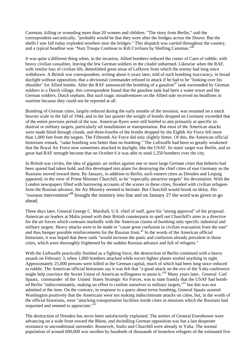Carentan, killing or wounding more than 20 women and children. "The story from Berlin," said the correspondent sarcastically, "probably would be that they were after the bridges across the Douve. But the shells I saw fall today exploded nowhere near the bridges." This dispatch was carried throughout the country, and a typical headline was "Nazi Troops Continue to Kill Civilians by Shelling Carentan." $4\overline{6}$ 

It was quite a different thing when, in the invasion, Allied bombers reduced the center of Caen of rubble, with heavy civilian casualties, leaving the few German soldiers in the citadel unharmed. Likewise when the RAF, with similar loss of civilian life, demolished great areas of LeHavre from which the enemy had long since withdrawn. A British war correspondent, writing about it years later, told of such bombing inaccuracy, in broad daylight without opposition, that a divisional commander refused to attack if he had to be "looking over his shoulder" for Allied bombs. After the RAF announced the bombing of a gasoline<sup>47</sup> tank surrounded by German soldiers in a Dutch village, this correspondent found that the gasoline tank had been a water tower and the German soldiers, Dutch orphans. But such tragic misadventures on the Allied side received no headlines in wartime because they could not be reported at all.

Bombing of German cities, largely reduced during the early months of the invasion, was resumed on a much heavier scale in the fall of 1944, and in the last quarter the weight of bombs dropped on Germany exceeded that of the entire previous period of the war. American flyers were still briefed to aim primarily at specific industrial or military targets, particularly oil installations or transportation. But most of the American attacks were made blind through clouds, and three-fourths of the bombs dropped by the Eighth Air Force fell more than 1,000 feet from the targets. The Fifteenth Air Force did only slightly better. Of this, the American official historians remark, "radar bombing was better than no bombing." The Luftwaffe had been so greatly weakened that the Royal Air Force now sometimes attacked in daylight, like the USAF. Its main' target was Berlin, and so great had RAF strength become that on October 6 it was able to send 1,250 bombers over the city.

In British war circles, the idea of gigantic air strikes against one or more large German cities that hitherto had been spared had taken hold, and this developed into plans for destroying the chief cities of east Germany as the Russians moved toward them. By January, in addition to Berlin, such eastern cities as Dresden and Leipzig appeared, in the view of Prime Minister Churchill, to be "especially attractive targets" for devastation. With the London newspapers filled with harrowing accounts of the scenes in these cities, flooded with civilian refugees from the Russian advance, the Air Ministry seemed to hesitate. But Churchill would brook no delay. His "insistent intervention"<sup>48</sup> brought the ministry into line and on January 27 the word was given to go ahead.

Three days later, General George C. Marshall, U.S. chief of staff, gave his "strong approval" of the proposal. American air leaders at Malta joined with their British counterparts to spell out Churchill's aims in a directive for the air forces which contrasts markedly with the American claims of bombing only specific industrial and military targets. Heavy attacks were to be made to "cause great confusion in civilian evacuation from the east" and thus hamper possible reinforcements for the Russian front.<sup>45</sup> In the words of the American official historians, it was hoped that these raids "would increase the panic and confusion already prevalent in those cities, which were thoroughly frightened by the sudden Russian advance and full of refugees."

With the Luftwaffe practically finished as a fighting force, the destruction of Berlin continued with a heavy assault on February 3, when 1,000 bombers attacked while escort fighter planes strafed anything in sight. Approximately 25,000 persons were killed in the German capital, much of which had been long since reduced to rubble. The American official historians say it was felt that "a good attack on the eve of the Yalta conference might help convince the Soviet Union of American willingness to assist it."<sup>50</sup> Many years later, General Carl Spaatz, commander of the United States Strategic Air Forces, was to state frankly that the USAF had bombed Berlin "indiscriminately, making no effort to confine ourselves to military targets,"<sup>51</sup> but this was not admitted at the time. On the contrary, in response to a query about terror bombing, General Spaatz assured Washington positively that the Americans were not making indiscriminate attacks on cities, but, in the words of the official historians, were "attacking transportation facilities inside cities in missions which the Russians had requested and seemed to appreciate."52

The destruction of Dresden has never been satisfactorily explained. The armies of General Eisenhower were advancing on a wide front toward the Rhine, and dwindling German opposition was but a last desperate resistance to unconditional surrender. Roosevelt, Stalin and Churchill were already in Yalta. The normal population of around 600,000 was swollen by hundreds of thousands of homeless refugees of the estimated five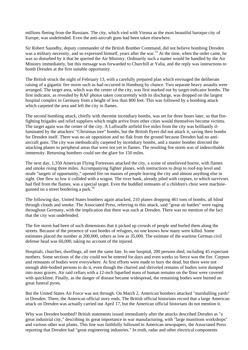millions fleeing from the Russians. The city, which vied with Vienna as the most beautiful baroque city of Europe, was undefended. Even the anti-aircraft guns had been taken elsewhere.

Sir Robert Saundby, deputy commander of the British Bomber Command, did not believe bombing Dresden was a military necessity, and so expressed himself, years after the war.<sup>53</sup> At the time, when the order came, he was so disturbed by it that he queried the Air Ministry. Ordinarily such a matter would be handled by the Air Ministry immediately, but this message was forwarded to Churchill at Yalta, and the reply was instructions to bomb Dresden at the first suitable opportunity.

The British struck the night of February 13, with a carefully prepared plan which envisaged the deliberate raising of a gigantic fire storm such as had occurred in Hamburg by chance. Two separate heavy assaults were arranged. The target area, which was the center of the city, was first marked out by target-indicator bombs. The first indicator, as revealed by RAF photos taken concurrently with its discharge, was dropped on the largest hospital complex in Germany from a height of less than 800 feet. This was followed by a bombing attack which carpeted the area and left the city in flames.

The second bombing attack, chiefly with thermite incendiary bombs, was set for three hours later, so that firefighting brigades and relief suppliers which might arrive from other cities would themselves become victims. The target again was the center of the city. A Luftwaffe airfield five miles from the city was brilliantly illuminated by the attackers' "Christmas tree" bombs, but the British flyers did not attack it, saving their bombs for Dresden itself. There was no air opposition and no flak from the ground because Dresden had no antiaircraft guns. The city was methodically carpeted by incendiary bombs, and a master bomber directed the attacking planes to peripheral areas that were not yet in flames. The resulting fire storm was of indescribable immensity. Returning bombers could see the glare for 150 miles.

The next day, 1,350 American Flying Fortresses attacked the city, a scene of unrelieved horror, with flames and smoke rising three miles. Accompanying fighter planes, with instructions to drop to roof-top level and strafe "targets of opportunity," opened fire on masses of people leaving the city and almost anything else in sight. One flew so low it collided with a wagon. The river bank, already piled with corpses, to which survivors had fled from the flames, was a special target. Even the huddled remnants of a children's choir were machinegunned on a street bordering a park.<sup>54</sup>

The following day, United States bombers again attacked, 210 planes dropping 461 tons of bombs, all blind through clouds and smoke. The Associated Press, referring to this attack, said "great air battles" were raging throughout Germany, with the implication that there was such at Dresden. There was no mention of the fact that the city was undefended.

The fire storm had been of such dimensions that it picked up crowds of people and hurled them along the streets. Because of the presence of vast hordes of refugees, no one knows how many were killed. Some estimates placed the number at 200,000, others as low as 35,000. The estimate of the wartime German civil defense head was 60,000, taking no account of the injured.

Hospitals, churches, dwellings, all met the same fate. In one hospital, 200 persons died, including 45 expectant mothers. Some sections of the city could not be entered for days and even weeks so fierce was the fire. Corpses and remnants of bodies were everywhere. At first efforts were made to bury the dead, but there were not enough able-bodied persons to do it, even though the charred and shriveled remains of bodies were dumped into mass graves. Air raid cellars with a 12-inch liquefied mass of human remains on the floor were covered with quicklime. Finally, as the danger of disease became widespread, the remaining bodies were burned on great funeral pyres.

But the United States Air Force was not through. On March 2, American bombers attacked "marshalling yards" in Dresden. There, the American official story ends. The British official historians record that a large American attack on Dresden was actually carried out April 17, but the American official historians do not mention it.

Why was Dresden bombed? British statements issued immediately after the attacks described Dresden as "a great industrial city," describing its great importance in war manufacturing, with "large munitions workshops" and various other war plants. This line was faithfully followed in American newspapers, the Associated Press reporting that Dresden had "great engineering industries." In truth, radar and other electrical components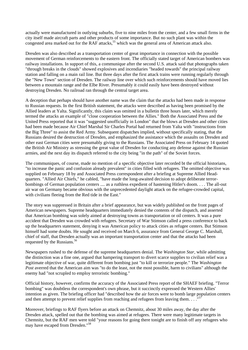actually were manufactured in outlying suburbs, five to nine miles from the center, and a few small firms in the city itself made aircraft parts and other products of some importance. But no such plant was within the congested area marked out for the RAF attacks,<sup>55</sup> which was the general area of American attack also.

Dresden was also described as a transportation center of great importance in connection with the possible movement of German reinforcements to the eastern front. The officially stated target of American bombers was railway installations. In support of this, a communique after the second U.S. attack said that photographs taken "through breaks in the clouds" showed explosives and incendiaries "headed towards" the principal railway station and falling on a main rail line. But three days after the first attack trains were running regularly through the "New Town" section of Dresden. The railway line over which such reinforcements should have moved lies between a mountain range and the Elbe River. Presumably it could easily have been destroyed without destroying Dresden. No railroad ran through the central target area.

A deception that perhaps should have another name was the claim that the attacks had been made in response to Russian requests. In the first British statement, the attacks were described as having been promised by the Allied leaders at Yalta. Significantly, this claim was omitted in a bulletin three hours later, which merely termed the attacks an example of "close cooperation between the Allies." Both the Associated Press and the United Press reported that it was "suggested unofficially in London" that the blows at Dresden and other cities had been made because Air Chief Marshal Sir Charles Portal had returned from Yalta with "instructions from the Big Three" to assist the Red Army. Subsequent dispatches implied, without specifically stating, that the Russians desired the destruction of Dresden, and emphasized the assistance which the assaults on Dresden and other east German cities were presumably giving to the Russians. The Associated Press on February 14 quoted the British Air Ministry as stressing the great value of Dresden for conducting any defense against the Russian armies, and the next day its dispatch referred to the city being "in the path" of the Soviet forces.

The communiques, of course, made no mention of a specific objective later recorded bt the official historians, "to increase the panic and confusion already prevalent" in cities filled with refugees. The omitted objective was supplied on February 18 by and Associated Press correspondent after a briefing at Supreme Allied Headquarters. "Allied Air Chiefs," he cabled, "have made the long-awaited decision to adopt deliberate terrorbombings of German population centers .... as a ruthless expedient of hastening Hitler's doom. . . . The all-out air war on Germany became obvious with the unprecedented daylight attack on the refugee-crowded capital, with civilians fleeing from the Red tide in the East."

The story was suppressed in Britain after a brief appearance, but was widely published on the front pages of American newspapers. Supreme headquarters immediately denied the contents of the dispatch, and asserted that American bombing was solely aimed at destroying towns as transportation or oil centers. It was a pure accident that Dresden was crowded with refugees. Secretary of War Stimson called a press conference to back up the headquarters statement, denying it was American policy to attack cities as refugee centers. But Stimson himself had some doubts. He sought and received on March 6, assurance from General George C. Marshall, chief of staff, that Dresden actually was an important transportation center and that the attacks had been requested by the Russians.<sup>56</sup>

Newspapers rushed to the defense of the supreme headquarters denial. The *Washington Star,* while admitting the distinction was a fine one, argued that hampering transport to divert scarce supplies to civilian relief was a legitimate objective of war, quite different from bombing just "to kill or terrorize people." The *Washington Post* averred that the American aim was "to do the least, not the most possible, harm to civilians" although the enemy had "not scrupled to employ terroristic bombing."

Official history, however, confirms the accuracy of the Associated Press report of the SHAEF briefing. "Terror bombing" was doubtless the correspondent's own phrase, but it succinctly expressed the Western Allies' intention as given. The briefing officer had "described how the air forces were to bomb large population centers and then attempt to prevent relief supplies from reaching and refugees from leaving them.  $\ldots$ ."

Moreover, briefings to RAF flyers before an attack on Chemnitz, about 30 miles away, the day after the Dresden attack, spelled out that the bombing was aimed at refugees. There were many legitimate targets in Chemnitz, but the RAF men were told "your reasons for going there tonight are to finish off any refugees who may have escaped from Dresden."58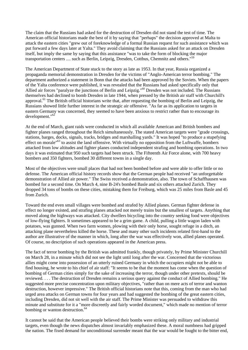The claim that the Russians had asked for the destruction of Dresden did not stand the test of time. The American official historians made the best of it by saying that "perhaps" the decision approved at Malta to attack the eastern cities "grew out of foreknowledge of a formal Russian request for such assistance which was put forward a few days later at Yalta." They avoid claiming that the Russians asked for an attack on Dresden itself, but imply the same by saying that this assistance "was to take the form of blocking the major transportation centers .... such as Berlin, Leipzig, Dresden, Cottbus, Chemnitz and others."<sup>59</sup>

The American Department of State stuck to the story as late as 1953. In that year, Russia organized a propaganda memorial demonstration in Dresden for the victims of "Anglo-American terror bombing." The department authorized a statement in Bonn that the attacks had been approved by the Soviets. When the papers of the Yalta conference were published, it was revealed that the Russians had asked specifically only that Allied air forces "paralyze the junctions of Berlin and Leipzig."<sup>60</sup> Dresden was not included. The Russians themselves had declined to bomb Dresden in late 1944, when pressed by the British air staff with Churchill's approval.<sup>61</sup> The British official historians write that, after requesting the bombing of Berlin and Leipzig, the Russians showed little further interest in the strategic air offensive. "As far as its application to targets in eastern Germany was concerned, they seemed to have been anxious to restrict rather than to encourage its development."<sup>62</sup>

At the end of March, giant raids were conducted in which all available American and British bombers and fighter planes ranged throughout the Reich simultaneously. The stated American targets were "grade crossings, stations, barges, docks, signals, tracks, bridges and marshalling yards." It was hoped "to produce a stupefying effect on morale<sup>"63</sup> to assist the land offensive. With virtually no opposition from the Luftwaffe, bombers attacked from low altitudes and fighter planes conducted independent strafing and bombing operations. In two days it was estimated that 950 such targets had been struck. The Fifteenth Air Force alone, with 700 heavy bombers and 350 fighters, bombed 30 different towns in a single day.

Most of the objectives were small places that had not been bombed before and were able to offer little or no defense. The American official history records show that the German people had received "an unforgettable demonstration of Allied air power." The Swiss received a demonstration, also. The town of Schaffhausen was bombed for a second time. On March 4, nine B-24's bombed Basle and six others attacked Zurich. They dropped 34 tons of bombs on these cities, mistaking them for Freiburg, which was 25 miles from Basle and 45 from Zurich.

Toward the end even small villages were bombed and strafed by Allied planes. German fighter defense in effect no longer existed, and strafing planes attacked not merely trains but the smallest of targets. Anything that moved along the highways was attacked. City dwellers bicycling into the country seeking food were objectives of low-flying fighters. It sometimes appeared to be a grim game. A child, pulling a little wagon laden with potatoes, was gunned. When two farm women, plowing with their only horse, sought refuge in a ditch, an attacking plane nevertheless killed the horse. These and many other such incidents related first-hand to the author are illustrative of the manner in which, long after the war was effectively won, allied planes operated. Of course, no description of such operations appeared in the American press.

The fact of terror bombing by the British was admitted frankly, though privately, by Prime Minister Churchill on March 28, in a minute which did not see the light until long after the war. Concerned that the victorious allies might come into possession of an utterly ruined Germany in which the occupiers might not be able to find housing, he wrote to his chief of air staff: "It seems to be that the moment has come when the question of bombing of German cities simply for the sake of increasing the terror, though under other pretexts, should be reviewed. . . . The destruction of Dresden remains a serious query against the conduct of Allied bombing." He suggested more precise concentration upon military objectives, "rather than on mere acts of terror and wanton destruction, however impressive." The British official historians note that this, coming from the man who had urged area attacks on German towns for four years and had suggested the bombing of the great eastern cities, including Dresden, did not sit well with the air staff. The Prime Minister was persuaded to withdraw this minute and substitute for it a "more discreetly and fairly worded document," which made no mention of terror bombing or wanton destruction.<sup>64</sup>

It cannot be said that the American people believed their bombs were striking only military and industrial targets, even though the news dispatches almost invariably emphasized these. A moral numbness had gripped the nation. The fixed demand for unconditional surrender meant that the war would be fought to the bitter end,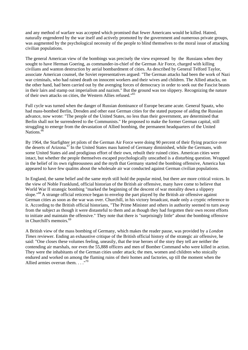and any method of warfare was accepted which promised that fewer Americans would be killed. Hatred, naturally engendered by the war itself and actively promoted by the government and numerous private groups, was augmented by the psychological necessity of the people to blind themselves to the moral issue of attacking civilian populations.

The general American view of the bombings was precisely the view expressed by the Russians when they sought to have Herman Goering, as commander-in-chief of the German Air Force, charged with killing civilians and wanton destruction by aerial bombardment of cities. As described by General Telford Taylor, associate American counsel, the Soviet representatives argued: "The German attacks had been the work of Nazi war criminals, who had rained death on innocent workers and their wives and children. The Allied attacks, on the other hand, had been carried out by the avenging forces of democracy in order to seek out the Fascist beasts in their lairs and stamp out imperialism and nazism." But the ground was too slippery. Recognizing the nature of their own attacks on cities, the Western Allies refused."65

Full cycle was turned when the danger of Russian dominance of Europe became acute. General Spaatz, who had mass-bombed Berlin, Dresden and other east German cities for the stated purpose of aiding the Russian advance, now wrote: "The people of the United States, no less than their government, are determined that Berlin shall not be surrendered to the Communists." He proposed to make the former German capital, still struggling to emerge from the devastation of Allied bombing, the permanent headquarters of the United Nations.<sup>66</sup>

By 1964, the Starfighter jet pilots of the German Air Force were doing 90 percent of their flying practice over the deserts of Arizona.<sup>67</sup> In the United States mass hatred of Germany diminished, while the Germans, with some United States aid and prodigious effort of their own, rebuilt their ruined cities. American cities were intact, but whether the people themselves escaped psychologically unscathed is a disturbing question. Wrapped in the belief of its own righteousness and the myth that Germany started the bombing offensive, America has appeared to have few qualms about the wholesale air war conducted against German civilian populations.

In England, the same belief and the same myth still hold the popular mind, but there are more critical voices. In the view of Noble Franklund, official historian of the British air offensive, many have come to believe that World War II strategic bombing "marked the beginning of the descent of war morality down a slippery slope."<sup>68</sup> A strange official reticence began to envelop the part played by the British air offensive against German cities as soon as the war was over. Churchill, in his victory broadcast, made only a cryptic reference to it. According to the British official historians, "The Prime Minister and others in authority seemed to turn away from the subject as though it were distasteful to them and as though they had forgotten their own recent efforts to initiate and maintain the offensive." They note that there is "surprisingly little" about the bombing offensive in Churchill's memoirs.<sup>69</sup>

A British view of the mass bombing of Germany, which makes the reader pause, was provided by a *London Times* reviewer. Ending an exhaustive critique of the British official history of the strategic air offensive, he said: "One closes these volumes feeling, uneasily, that the true heroes of the story they tell are neither the contending air marshals, nor even the 55,888 officers and men of Bomber Command who were killed in action. They were the inhabitants of the German cities under attack; the men, women and children who stoically endured and worked on among the flaming ruins of their homes and factories, up till the moment when the Allied armies overran them. . . . "70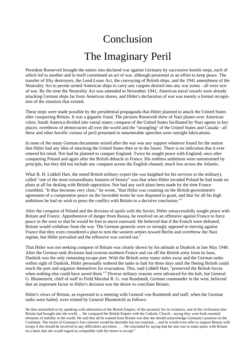# Conclusion The Imaginary Peril

President Roosevelt brought the nation into declared war against Germany by successive hostile steps, each of which led to another and in itself constituted an act of war, although presented as an effort to keep peace. The transfer of fifty destroyers, the Lend-Lease Act, the convoying of British ships, and the 1941 amendment of the Neutrality Act to permit armed American ships to carry any cargoes desired into any war zones - all were acts of war. By the time the Neutrality Act was amended in November 1941, American naval vessels were already attacking German ships far from American shores, and Hitler's declaration of war was merely a formal recognition of the situation that existed.

These steps were made possible by the presidential propaganda that Hitler planned to attack the United States after conquering Britain. It was a gigantic fraud. The pictures Roosevelt drew of Nazi planes over American cities; South America divided into vassal states; conquest of the United States facilitated by Nazi agents in key places; overthrow of democracies all over the world and the "strangling" of the United States and Canada - all these and other horrific visions of peril presented in innumerable speeches were outright fabrications.

In none of the many German documents seized after the war was any support whatever found for the notion that Hitler had any idea of attacking the United States then or in the future. There is no indication that it ever entered his mind. Nor had he planned to conquer England. Twice he sought peace with England; once after conquering Poland and again after the British debacle in France. His ruthless ambitions were unrestrained by principle, but they did not include any conquest across the English channel, much less across the Atlantic.

What B. H. Liddell Hart, the noted British military expert (he was knighted for his services to the military), called "one of the most extraordinary features of history" was that when Hitler invaded Poland he had made no plans at all for dealing with British opposition. Nor had any such plans been made by the time France crumbled. "It thus becomes very clear," he wrote, "that Hitler was counting on the British government's agreement of a compromise peace on the favorable terms he was disposed to grant, and that for all his high ambitions he had no wish to press the conflict with Britain to a decisive conclusion."1

After the conquest of Poland and the division of spoils with the Soviet, Hitler unsuccessfully sought peace with Britain and France. Apprehensive of danger from Russia, he resolved on an offensive against France to force peace in the west so that he would be free to move eastward. He believed that if the French were defeated, Britain would withdraw from the war. The German generals were so strongly opposed to moving against France that they even considered a plan to turn the western armies toward Berlin and overthrow the Nazi regime, but Hitler prevailed and the offensive was carried out.<sup>2</sup>

That Hitler was not seeking conquest of Britain was clearly shown by his attitude at Dunkirk in late May 1940. After the German tank divisions had overrun northern France and cut off the British army from its base, Dunkirk was the only remaining escape port. With the British army many miles away and the German tanks within sight of Dunkirk, Hitler personally ordered the tanks to halt for three days until the fleeing British could reach the port and organize themselves for evacuation. This, said Liddell Hart, "preserved the British forces when nothing else could have saved them."<sup>3</sup> Diverse military reasons were advanced for the halt, but General G. Blumentritt, chief of staff to Field Marshal R. G. von Rundstedt, German commander in the west, believed that an important factor in Hitler's decision was the desire to conciliate Britain.

Hitler's views of Britain, as expressed in a meeting with General von Rundstedt and staff, when the German tanks were halted, were related by General Blumentritt as follows:

He then astonished us by speaking with admiration of the British Empire, of the necessity for its existence, and of the civilization that Britain had brought into the world. ... He compared the British Empire with the Catholic Church - saying they were both essential elements of stability in the world. He said that all he wanted from Britain was that she should acknowledge Germany's position on the Continent. The return of Germany's lost colonies would be desirable but not essential.... and he would even offer to support Britain with troops if she should be involved in any difficulties anywhere. . . . He concluded by saying that his aim was to make peace with Britain on a basis that she would regard as compatible with her honor to accept.4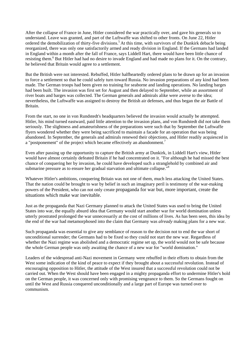After the collapse of France in June, Hitler considered the war practically over, and gave his generals so to understand. Leave was granted, and part of the Luftwaffe was shifted to other fronts. On June 22, Hitler ordered the demobilization of thirty-five divisions.<sup>5</sup> At this time, with survivors of the Dunkirk debacle being reorganized, there was only one satisfactorily armed and ready division in England. If the Germans had landed in England within a month after the fall of France, says Liddell Hart, there would have been little chance of resisting them.<sup>6</sup> But Hitler had had no desire to invade England and had made no plans for it. On the contrary, he believed that Britain would agree to a settlement.

But the British were not interested. Rebuffed, Hitler halfheartedly ordered plans to be drawn up for an invasion to force a settlement so that he could safely turn toward Russia. No invasion preparations of any kind had been made. The German troops had been given no training for seaborne and landing operations. No landing barges had been built. The invasion was first set for August and then delayed to September, while an assortment of river boats and barges was collected. The German generals and admirals alike were averse to the idea; nevertheless, the Luftwaffe was assigned to destroy the British air defenses, and thus began the air Battle of Britain.

From the start, no one in von Rundstedt's headquarters believed the invasion would actually be attempted. Hitler, his mind turned eastward, paid little attention to the invasion plans, and von Rundstedt did not take them seriously. The slightness and amateurishness of the preparations were such that by September the Luftwaffe flyers wondered whether they were being sacrificed to maintain a facade for an operation that was being abandoned. In September, the generals and admirals renewed their objections, and Hitler readily acquiesced in a "postponement" of the project which became effectively an abandonment.<sup>7</sup>

Even after passing up the opportunity to capture the British army at Dunkirk, in Liddell Hart's view, Hitler would have almost certainly defeated Britain if he had concentrated on it. "For although he had missed the best chance of conquering her by invasion, he could have developed such a stranglehold by combined air and submarine pressure as to ensure her gradual starvation and ultimate collapse.<sup>18</sup>

Whatever Hitler's ambitions, conquering Britain was not one of them, much less attacking the United States. That the nation could be brought to war by belief in such an imaginary peril is testimony of the war-making powers of the President, who can not only create propaganda for war but, more important, create the situations which make war inevitable.

Just as the propaganda that Nazi Germany planned to attack the United States was used to bring the United States into war, the equally absurd idea that Germany would start another war for world domination unless utterly prostrated prolonged the war unnecessarily at the cost of millions of lives. As has been seen, this idea by the end of the war had metamorphosed into the claim that Germany was *already* making plans for a new war.

Such propaganda was essential to give any semblance of reason to the decision not to end the war short of unconditional surrender; the Germans had to be fixed so they could not start the new war. Regardless of whether the Nazi regime was abolished and a democratic regime set up, the world would not be safe because the whole German people was only awaiting the chance of a new war for "world domination."

Leaders of the widespread anti-Nazi movement in Germany were rebuffed in their efforts to obtain from the West some indication of the kind of peace to expect if they brought about a successful revolution. Instead of encouraging opposition to Hitler, the attitude of the West insured that a successful revolution could not be carried out. When the West should have been engaged in a mighty propaganda effort to undermine Hitler's hold on the German people, it was concerned only with promising vengeance to them. So the Germans fought on until the West and Russia conquered unconditionally and a large part of Europe was turned over to communism.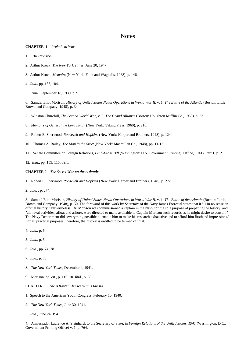### **Notes**

#### **CHAPTER 1** *Prelude to War*

- 1. 1945 revision.
- 2. Arthur Krock, *The New York Times,* June 20, 1947.
- 3. Arthur Krock, *Memoirs* (New York: Funk and Wagnalls, 1968), p. 146.
- 4. *Ibid.,* pp. 183, 184.
- 5. *Time,* September 18, 1939, p. 9.

6. Samuel Eliot Morison, *History of United States Naval Operations in World War II,* v. 1, *The Battle of the Atlantic* (Boston: Little Brown and Company, 1948), p. 34.

- 7. Winston Churchill, *The Second World War,* v. 3, *The Grand Alliance* (Boston: Houghton Mifflin Co., 1950), p. 23.
- 8. *Memoirs of General the Lord Ismay* (New York: Viking Press, 1960), p. 216.
- 9. Robert E. Sherwood, *Roosevelt and Hopkins* (New York: Harper and Brothers, 1948), p. 124.
- 10. Thomas A. Bailey, *The Man in the Sreet* (New York: Macmillan Co., 1948), pp. 11-13.
- 11. Senate Committee on Foreign Relations, *Lend-Lease Bill* (Washington: U.S. Government Printing Office, 1941), Part 1, p. 211.
- 12. *Ibid.,* pp. 159, 115, 89ff.

#### **CHAPTER** 2 *The Secret War on the A tlantic*

- 1. Robert E. Sherwood, *Roosevelt and Hopkins* (New York: Harper and Brothers, 1948), p. 272.
- 2. *Ibid. ,* p. 274.

3. Samuel Eliot Morison, *History of United States Naval Operations in World War II,* v. 1, *The Battle of the Atlantic* (Boston: Little, Brown and Company, 1948), p. 50. The foreword of this work by Secretary of the Navy James Forrestal states that it "is in no sense an official history." Nevertheless, Dr. Morison was commissioned a captain in the Navy for the sole purpose of preparing the history, and "all naval activities, afloat and ashore, were directed to make available to Captain Morison such records as he might desire to consult." The Navy Department did "everything possible to enable him to make his research exhaustive and to afford him firsthand impressions." For all practical purposes, therefore, the history is entitled to be termed official.

- 4. *Ibid.,* p. 54.
- 5. *Ibid.,* p. 54.
- 6. *Ibid.,* pp. 74, 78.
- 7. *Ibid.,* p. 78.
- 8. *The New York Times,* December 4, 1941.
- 9. Morison, *op. cit.,* p. 110. 10. *Ibid.,* p. 98.

CHAPTER 3 *The A tlantic Charter versus Russia*

- 1. Speech to the American Youth Congress, February 10, 1940.
- 2. *The New York Times,* June 30, 1941.
- 3. *Ibid.,* June 24, 1941.

<sup>4.</sup> Ambassador Laurence A. Steinhardt to the Secretary of State, in *Foreign Relations of the United States, 1941* (Washington, D.C.: Government Printing Office) v. 1, p. 764.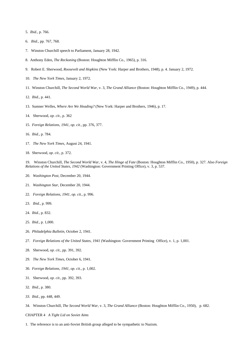- 5. *Ibid.,* p. 766.
- 6. *Ibid.,* pp. 767, 768.
- 7. Winston Churchill speech to Parliament, January 28, 1942.
- 8. Anthony Eden, *The Reckoning* (Boston: Houghton Mifflin Co., 1965), p. 316.
- 9. Robert E. Sherwood, *Roosevelt and Hopkins* (New York: Harper and Brothers, 1948), p. 4. January 2, 1972.
- 10. *The New York Times,* January 2, 1972.
- 11. Winston Churchill, *The Second World War,* v. 3, *The Grand Alliance* (Boston: Houghton Mifflin Co., 1949), p. 444.
- 12. *Ibid.,* p. 441.
- 13. Sumner Welles, *Where Are We Heading?* (New York: Harper and Brothers, 1946), p. 17.
- 14. Sherwood, *op. cit.,* p. 362
- 15. *Foreign Relations, 1941, op. cit.,* pp. 376, 377.
- 16. *Ibid.,* p. 784.
- 17. *The New York Times,* August 24, 1941.
- 18. Sherwood, *op. cit.,* p. 372.

19. Winston Churchill, *The Second World War,* v. 4, *The Hinge of Fate* (Boston: Houghton Mifflin Co., 1950), p. 327. Also *Foreign Relations of the United States, 1942* (Washington: Government Printing Office), v. 3, p. 537.

- 20. *Washington Post,* December 20, 1944.
- 21. *Washington Star,* December 20, 1944.
- 22. *Foreign Relations, 1941, op. cit.,* p. 996.
- 23. *Ibid.,* p. 999.
- 24. *Ibid.,* p. 832.
- 25. *Ibid.,* p. 1,000.
- 26. *Philadelphia Bulletin,* October 2, 1941.
- 27. *Foreign Relations of the United States, 1941* (Washington: Government Printing Office), v. 1, p. 1,001.
- 28. Sherwood, *op. cit.,* pp. 391, 392.
- 29. *The New York Times,* October 6, 1941.
- 30. *Foreign Relations, 1941, op. cit.,* p. 1,002.
- 31. Sherwood, *op. cit.,* pp. 392, 393.
- 32. *Ibid.,* p. 380.
- *33. Ibid.,* pp. 448, 449.
- 34. Winston Churchill, *The Second World War,* v. 3, *The Grand Alliance* (Boston: Houghton Mifflin Co., 1950), p. 682.
- CHAPTER 4 *A Tight Lid on Soviet Aims*
- 1. The reference is to an anti-Soviet British group alleged to be sympathetic to Nazism.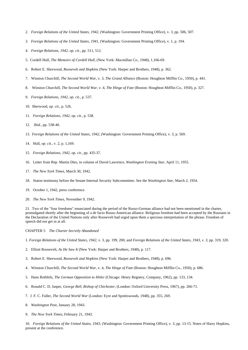- 2. *Foreign Relations of the United States, 1942,* (Washington: Government Printing Office), v. 3, pp. 506, 507.
- 3. *Foreign Relations of the United States, 1941,* (Washington: Government Printing Office), v. 1, p. 194.
- 4. *Foreign Relations, 1942, op. cit.,* pp. 511, 512.
- 5. Cordell Hull, *The Memoirs of Cordell Hull,* (New York: Macmillan Co., 1948), 1,166-69.
- 6. Robert E. Sherwood, *Roosevelt and Hopkins* (New York: Harper and Brothers, 1948), p. 362.
- 7. Winston Churchill, *The Second World War,* v. 3, *The Grand Alliance* (Boston: Houghton Mifflin Co., 1950), p. 441.
- 8. Winston Churchill, *The Second World War,* v. 4, *The Hinge of Fate* (Boston: Houghton Mifflin Co., 1950), p. 327.
- 9. *Foreign Relations, 1942, op. cit.,* p. 537.
- 10. Sherwood, *op. cit.,* p. 526.
- 11. *Foreign Relations, 1942, op. cit.,* p. 538.
- 12. *Ibid.,* pp. 538-40.
- 13. *Foreign Relations of the United States, 1942,* (Washington: Government Printing Office), v. 3, p. 569.
- 14. Hull, *op. cit.,* v. 2, p. 1,169.
- 15. *Foreign Relations, 1942, op. cit.,* pp. 435-37.
- 16. Letter from Rep. Martin Dies, in column of David Lawrence, *Washington Evening Star,* April 11, 1955.
- 17. *The New York Times,* March 30, 1942.
- 18. Staton testimony before the Senate Internal Security Subcommittee. See the *Washington Star,* March 2, 1954.
- 19. October 1, 1942, press conference.
- 20. *The New York Times*, November 9, 1942.

21. Two of the "four freedoms" enunciated during the period of the Russo-German alliance had not been mentioned in the charter, promulgated shortly after the beginning of a de facto Russo-American alliance. Religious freedom had been accepted by the Russians in the Declaration of the United Nations only after Roosevelt had urged upon them a specious interpretation of the phrase. Freedom of speech did not get in at all.

CHAPTER 5 *The Charter Secretly Abandoned*

- 1. *Foreign Relations of the United States, 1942,* v. 3, pp. 199, 200, and *Foreign Relations of the United States, 1943, v. 3,* pp. 319, 320.
- 2. Elliott Roosevelt, *As He Saw It* (New York: Harper and Brothers, 1948), p. 117.
- 3. Robert E. Sherwood, *Roosevelt and Hopkins* (New York: Harper and Brothers, 1948), p. 696.
- 4. Winston Churchill, *The Second World War,* v. 4, *The Hinge of Fate* (Boston: Houghton Mifflin Co., 1950), p. 686.
- 5. Hans Rothfels, *The German Opposition to Hitler* (Chicago: Henry Regnery, Company, 1962), pp. 133, 134.
- 6. Ronald C. D. Jasper, *George Bell, Bishop of Chichester,* (London: Oxford University Press, 1967), pp. 266-71.
- 7. J. F. C. Fuller, *The Second World War* (London: Eyre and Spottiswoods, 1948), pp. 355, 269.
- 8. *Washington Post,* January 28, 1943.
- 9. *The New York Times,* February 21, 1943.

10. *Foreign Relations of the United States, 1943,* (Washington: Government Printing Office), v. 3, pp. 13-15. Notes of Harry Hopkins, present at the conference.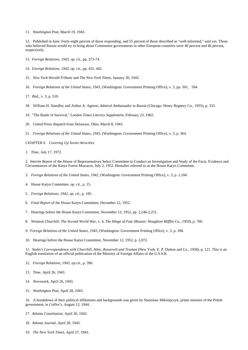11. *Washington Post,* March 19, 1943.

12. Published in June. Forty-eight percent of those responding, and 55 percent of those described as "well-informed," said yes. Those who believed Russia would try to bring about Communist governments in other European countries were 40 percent and 46 percent, respectively.

- 13. *Foreign Relations, 1943, op. cit.,* pp. 373-74.
- 14. *Foreign Relations, 1943, op. cit.,* pp. 431, 442.
- 15. *New York Herald-Tribune* and *The New York Times,* January 30, 1943.
- 16. *Foreign Relations of the United States, 1943,* (Washington: Government Printing Office), v. 3, pp. 501, 504.
- 17. *Ibid.,* v. 3, p. 510.
- 18. William H. Standley and Arthur A. Ageton, *Admiral Ambassador to Russia* (Chicago: Henry Regnery Co., 1955), p. 333.
- 19. "The Battle of Survival," *London Times Literary Supplement,* February 23, 1962.
- 20. United Press dispatch from Delaware, Ohio, March 8, 1943.
- 21. *Foreign Relations of the United States, 1943,* (Washington: Government Printing Office), v. 3, p. 364.
- CHAPTER 6 *Covering Up Soviet Atrocities*
- 1. *Time, July* 17, 1972.

2. *Interim Report* of the House of Representatives Select Committee to Conduct an Investigation and Study of the Facts, Evidence and Circumstances of the Katyn Forest Massacre, July 2, 1952. Hereafter referred to as the House Katyn Committee.

- 3. *Foreign Relations of the United States, 1942,* (Washington: Government Printing Office), v. 3, p. 1,104.
- 4. House Katyn Committee, *op. cit.,* p. 15.
- 5. *Foreign Relations, 1942, op. cit.,* p. 185.
- 6. *Final Report* of the House Katyn Committee, December 22, 1952.
- 7. Hearings before the House Katyn Committee, November 13, 1952, pp. 2,246-2,251.
- 8. Winston Churchill, *The Second World War,* v. 4, *The Hinge of Fate (Boston: Houghton Mifflin Co., 1950), p. 760.*
- *9. Foreign Relations of the United States, 1943,* (Washington: Government Printing Office), v. 3, p. 396.
- 10. Hearings before the House Katyn Committee, November 12, 1952, p. 2,072.

11. *Stalin's Correspondence with Churchill, Atlee, Roosevelt and Truman* (New York: E. P. Dutton and Co., 1958), p. 121. This is an English translation of an official publication of the Ministry of Foreign Affairs of the U.S.S.R.

- 12. *Foreign Relations, 1943, op.cit.,* p. 396.
- 13. *Time,* April 26, 1943.
- 14. *Newsweek,* April 26, 1943.
- 15. *Washington Post,* April 28, 1943.

16. A breakdown of their political affiliations and backgrounds was given by Stanislaw Mikolajczyk, prime minister of the Polish government, in *Collier's,* August 12, 1944.

- 17. *Atlanta Constitution,* April 30, 1943.
- 18. *Atlanta Journal,* April 28, 1943.
- 19. *The New York Times,* April 27, 1943.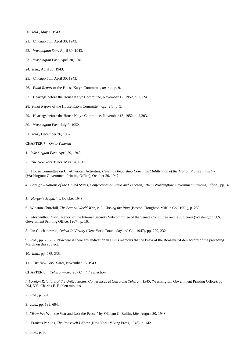- 20. *Ibid.,* May 1, 1943.
- 21. *Chicago Sun,* April 30, 1943.
- 22. *Washington Star,* April 30, 1943.
- 23. *Washington Post,* April 30, 1943.
- 24. *Ibid.,* April 25, 1943.
- 25. *Chicago Sun,* April 30, 1943.
- 26. *Final Report* of the House Katyn Committee, *op. cit.,* p. 9.
- 27. Hearings before the House Katyn Committee, November 12, 1952, p. 2,124.
- 28. *Final Report* of the House Katyn Committe, *op. cit.,* p. 5.
- 29. Hearings before the House Katyn Committee, November 13, 1952, p. 2,203.
- 30. *Washington Post,* July 6, 1952.
- 31. *Ibid.,* December 26, 1952.

CHAPTER 7 *On to Teheran*

- 1. *Washington Post,* April 29, 1943.
- 2. *The New York Times,* May 14, 1947.

3. House Committee on Un-American Activities, *Hearings Regarding Communist Infiltration of the Motion Picture Industry*  (Washington: Government Printing Office), October 20, 1947.

4. *Foreign Relations of the United States, Conferences at Cairo and Teheran, 1943, (Washington: Government Printing Office), pp. 3-*5.

5. *Harper's Magazine,* October 1943.

6. Winston Churchill, *The Second World War,* v. 5, *Closing the Ring* (Boston: Houghton Mifflin Co., 1951), p. 288.

7. *Morgenthau Diary,* Report of the Internal Security Subcommittee of the Senate Committee on the Judiciary (Washington U.S. Government Printing Office, 1967), p. 16.

8. Jan Ciechanowski, *Defeat In Victory* (New York: Doubleday and Co., 1947), pp. 229, 232.

9. *Ibid.,* pp. 235-37. Nowhere is there any indication in Hull's memoirs that he knew of the Roosevelt-Eden accord of the preceding March on this subject.

10. *Ibid.,* pp. 235, 236.

11. *The New York Times,* November 13, 1943.

CHAPTER 8 *Teheran*—*Secrecy Until the Election*

*I. Foreign Relations of the United States, Conferences at Cairo and Teheran, 1945, (Washington: Government Printing Office), pp.* 594, 595. Charles E. Bohlen minutes.

- 2. *Ibid.,* p. 594.
- 3. *Ibid.,* pp. 599, 604.
- 4. "How We Won the War and Lost the Peace," by William C. Bullitt, *Life,* August 30, 1948.

5. Frances Perkins, *The Roosevelt I Knew* (New York: Viking Press, 1946), p. 142.

6. *Ibid.,* p. 83.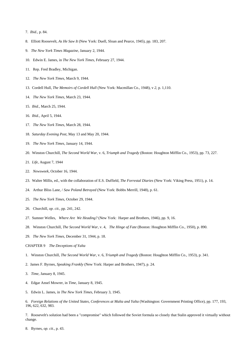- 7. *Ibid.,* p. 84.
- 8. Elliott Roosevelt, *As He Saw It* (New York: Duell, Sloan and Pearce, 1945), pp. 183, 207.
- 9. *The New York Times Magazine,* January 2, 1944.
- 10. Edwin E. James, in *The New York Times,* February 27, 1944.
- 11. Rep. Fred Bradley, Michigan.
- 12. *The New York Times,* March 9, 1944.
- 13. Cordell Hull, *The Memoirs of Cordell Hull* (New York: Macmillan Co., 1948), v *2,* p. 1,110.
- 14. *The New York Times,* March 23, 1944.
- 15. *Ibid.,* March 25, 1944.
- 16. *Ibid.,* April 5, 1944.
- 17. *The New York Times,* March 28, 1944.
- 18. *Saturday Evening Post,* May 13 and May 20, 1944.
- 19. *The New York Times,* January 14, 1944.
- 20. Winston Churchill, *The Second World War,* v. 6, *Triumph and Tragedy* (Boston: Houghton Mifflin Co., 1953), pp. 73, 227.
- 21. *Life,* August 7, 1944
- 22. *Newsweek,* October 16, 1944.
- 23. Walter Millis, ed., with the collaboration of E.S. Duffield, *The Forrestal Diaries* (New York: Viking Press, 1951), p. 14.
- 24. Arthur Bliss Lane, / *Saw Poland Betrayed* (New York: Bobbs Merrill, 1948), p. 61.
- 25. *The New York Times,* October 29, 1944.
- 26. Churchill, *op. cit.,* pp. 241, 242.
- 27. Sumner Welles, *Where Are We Heading?* (New York: Harper and Brothers, 1946), pp. 9, 16.
- 28. Winston Churchill, *The Second World War,* v. 4, *The Hinge of Fate* (Boston: Houghton Mifflin Co., 1950), p. 890.
- 29. *The New York Times,* December 31, 1944, p. 18.
- CHAPTER 9 *The Deceptions of Yalta*
- 1. Winston Churchill, *The Second World War,* v. 6, *Triumph and Tragedy* (Boston: Houghton Mifflin Co., 1953), p. 341.
- 2. James F. Byrnes, *Speaking Frankly* (New York: Harper and Brothers, 1947), p. 24.
- 3. *Time,* January 8, 1945.
- 4. Edgar Ansel Mowrer, in *Time,* January 8, 1945.
- 5. Edwin L. James, in *The New York Times,* February 3, 1945.

6. *Foreign Relations of the United States, Conferences at Malta and Yalta* (Washington: Government Printing Office), pp. 177, 193, 196, 622, 632, 983.

7. Roosevelt's solution had been a "compromise" which followed the Soviet formula so closely that Stalin approved it virtually without change.

8. Byrnes, *op. cit.,* p. 43.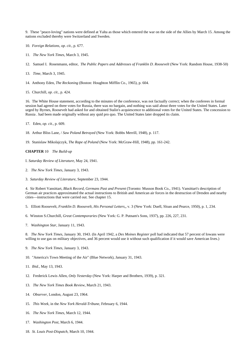9. These "peace-loving" nations were defined at Yalta as those which entered the war on the side of the Allies by March 15. Among the nations excluded thereby were Switzerland and Sweden.

- 10. *Foreign Relations, op. cit.,* p. 677.
- 11. *The New York Times,* March 3, 1945.
- 12. Samuel I. Rosenmann, editor, *The Public Papers and Addresses of Franklin D. Roosevelt* (New York: Random House, 1938-50)
- 13. *Time,* March 3, 1945.
- 14. Anthony Eden, *The Reckoning* (Boston: Houghton Mifflin Co., 1965), p. 604.
- 15. Churchill, *op. cit.,* p. 424.

16. The White House statement, according to the minutes of the conference, was not factually correct; when the conferees in formal session had agreed on three votes for Russia, there was no bargain, and nothing was said about three votes for the United States. Later urged by Byrnes, Roosevelt had asked for and obtained Stalin's acquiescence to additional votes for the United States. The concession to Russia . had been made originally without any quid pro quo. The United States later dropped its claim.

- 17. Eden, *op. cit.,* p. 609.
- 18. Arthur Bliss Lane, / *Saw Poland Betrayed* (New York: Bobbs Merrill, 1948), p. 117.
- 19. Stanislaw Mikolajczyk, *The Rape of Poland* (New York: McGraw-Hill, 1948), pp. 161-242.

**CHAPTER** 10 *The Build-up*

- I. *Saturday Review of Literature,* May 24, 1941.
- 2. *The New York Times,* January 3, 1943.
- 3. *Saturday Review of Literature,* September 23, 1944.

4. Sir Robert Vansittart, *Black Record, Germans Past and Present* (Toronto: Musson Book Co., 1941). Vansittart's description of German air practices approximated the actual instructions to British and American air forces in the destruction of Dresden and nearby cities—instructions that were carried out. See chapter 15.

5. Elliott Roosevelt, *Franklin D. Roosevelt, His Personal Letters,,* v. 3 (New York: Duell, Sloan and Pearce, 1950), p. 1, 234.

- 6. Winston S.Churchill, *Great Contemporaries* (New York: G. P. Putnam's Sons, 1937), pp. 226, 227, 231.
- 7. *Washington Star,* January 11, 1943.

8. *The New York Times,* January 30, 1943. (In April 1942, a *Des Moines Register* poll had indicated that 57 percent of Iowans were willing to use gas on military objectives, and 36 percent would use it without such qualification if it would save American lives.)

- 9. *The New York Times,* January 3, 1943.
- 10. "America's Town Meeting of the Air" (Blue Network), January 31, 1943.
- 11. *Ibid.,* May 13, 1943.
- 12. Frederick Lewis Allen, *Only Yesterday* (New York: Harper and Brothers, 1939), p. 321.
- 13. *The New York Times Book Review,* March 21, 1943.
- 14. *Observer,* London, August 23, 1964.
- 15. *This Week,* in the *New York Herald-Tribune,* February 6, 1944.
- 16. *The New York Times,* March 12, 1944.
- 17. *Washington Post,* March 6, 1944.
- 18. *St. Louis Post-Dispatch,* March 10, 1944.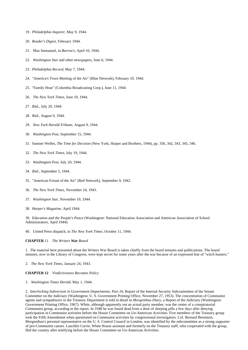- 19. *Philadelphia Inquirer,* May 9, 1944.
- 20. *Reader's Digest,* February 1944.
- 21. Max Immanuel, in *Barron's,* April 10, 1944.
- 22. *Washington Star* and other newspapers, June 6, 1944.
- 23. *Philadelphia Record,* May 7, 1944.
- 24. "America's Town Meeting of the Air" (Blue Network), February 10, 1944.
- 25. "Family Hour" (Columbia Broadcasting Corp.), June 11, 1944.
- 26. *The New York Times,* June 10, 1944.
- 27. *Ibid.,* July 20, 1944.
- 28. *Ibid.,* August 9, 1944.
- 29. *New York Herald-Tribune,* August 9, 1944.
- 30. *Washington Post,* September 15, 1944.
- 31. Sumner Welles, *The Time for Decision* (New York; Harper and Brothers, 1944), pp. 336, 342, 343, 345, 346.
- 32. *The New York Times,* July 19, 1944.
- 33. *Washington Post,* July 20, 1944.
- 34. *Ibid.,* September 5, 1944.
- 35. "American Forum of the Air" (Red Network), September 9, 1942.
- 36. *The New York Times,* November 24, 1943.
- 37. *Washington Star,* November 10, 1944.
- 38. *Harper's Magazine,* April 1944.

39. *Education and the People's Peace* (Washington: National Education Association and American Association of School Administrators, April 1944).

40. United Press dispatch, in *The New York Times,* October 11, 1944.

## **CHAPTER** 11 *The Writers War Board*

1. The material here presented about the Writers War Board is taken chiefly from the board minutes and publications. The board minutes, now in the Library of Congress, were kept secret for some years after the war because of an expressed fear of "witch hunters."

2. *The New York Times,* January 24, 1943.

## **CHAPTER 12** *Vindictiveness Becomes Policy*

1. *Washington Times Herald,* May 1, 1944.

2. *Interlocking Subversion in Government Departments, Part 16*, Report of the Internal Security Subcommittee of the Senate Committee on the Judiciary (Washington: U. S. Government Printing Office, November 27, 1953). The concentration of Communist agents and sympathizers in the Treasury Department is told in detail in *Morgenthau Diary,* a Report of the Judiciary (Washington: Government Printing Office, 1967). White, although apparently not an actual party member, was the center of a conspiratorial Communist group, according to the report. In 1948 he was found dead from a dose of sleeping pills a few days after denying participation in Communist activities before the House Committee on Un-American Activities. Five members of the Treasury group took the Fifth Amendment when questioned on Communist activities by congressional investigators. Col. Bernard Bernstein, Morgenthau's personal representative on the U. S. Control Council in London, was identified by the subcommittee as a strong supporter of pro-Communist causes. Lauchlin Currie, White House assistant and formerly on the Treasury staff, who cooperated with the group, fled the country after testifying before the House Committee on Un-American Activities.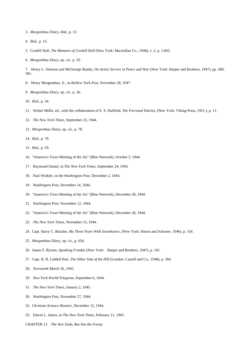- 3. *Morgenthau Diary, ibid.,* p. 12.
- 4. *Ibid.,* p. 15.
- 5. Cordell Hull, *The Memoirs of Cordell Hull* (New York: Macmillan Co., 1948), v. 2, p. 1,603.
- 6. *Morgenthau Diary, op. cit.,* p. 35.
- 7. Henry L. Stimson and McGeorge Bundy, *On Active Service in Peace and War* (New York: Harper and Brothers, 1947), pp. 580, 581.
- 8. Henry Morgenthau, Jr., in the*New York Post,* November 28, 1947.
- 9. *Morgenthau Diary, op. cit.,* p. 26.
- 10. *Ibid.,* p. 34.
- 11. Walter Millis, ed., with the collaboration of E. S. Duffield, *The Forrestal Diaries,* (New York: Viking Press, 1951 ), p. 11.
- 12. *The New York Times,* September 23, 1944.
- 13. *Morgenthau Diary, op. cit.,* p. 78.
- 14. *Ibid.,* p. 78.
- 15. *Ibid.,* p. 59.
- 16. "America's Town Meeting of the Air" (Blue Network), October 5, 1944.
- 17. Raymond Daniel, in *The New York Times,* September 24, 1944.
- 18. Paul Winkler, in the *Washington Post,* December 2, 1944.
- 19. *Washington Post,* December 14, 1944.
- 20. "America's Town Meeting of the Air" (Blue Network), December 28, 1944.
- 21. *Washington Post,* November 12, 1944.
- 22. "America's Town Meeting of the Air" (Blue Network), December 28, 1944.
- 23. *The New York Times,* November 13, 1944.
- 24. Capt. Harry C. Butcher, *My Three Years With Eisenhower,* (New York: Simon and Schuster, 1946), p. 518.
- 25. *Morgenthau Diary, op. cit.,* p. 656.
- 26. James F. Byrnes, *Speaking Frankly* (New York: Harper and Brothers, 1947), p. 181.
- 27. Capt. B. H. Liddell Hart, *The Other Side of the Hill* (London: Cassell and Co., 1948), p. 304.
- 28. *Newsweek* March 26, 1945.
- 29. *New York World-Telegram,* September 6, 1944.
- 31. *The New York Times,* January 2, 1945.
- 30. *Washington Post,* November 27, 1944.
- 32. *Christian Science Monitor,* December 12, 1944.
- 33. Edwin L. James, in *The New York Times,* February 11, 1945.
- CHAPTER 13 *The War Ends, But Not the Frenzy*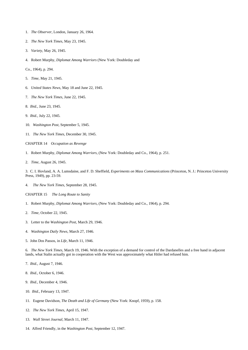- 1. *The Observer,* London, January 26, 1964.
- 2. *The New York Times,* May 23, 1945.
- 3. *Variety,* May 26, 1945.
- 4. Robert Murphy, *Diplomat Among Warriors* (New York: Doubleday and
- Co., 1964), p. 294.
- 5. *Time,* May 21, 1945.
- 6. *United States News,* May 18 and June 22, 1945.
- 7. *The New York Times,* June 22, 1945.
- 8. *Ibid.,* June 23, 1945.
- 9. *Ibid.,* July 22, 1945.
- 10. *Washington Post,* September 5, 1945.
- 11. *The New York Times,* December 30, 1945.
- CHAPTER 14 *Occupation as Revenge*
- 1. Robert Murphy, *Diplomat Among Warriors,* (New York: Doubleday and Co., 1964), p. 251.
- 2. *Time,* August 26, 1945.

3. C. I. Hovland, A. A. Lumsdaine, and F. D. Sheffield, *Experiments on Mass Communications* (Princeton, N. J.: Princeton University Press, 1949), pp. 23-59.

4. *The New York Times,* September 28, 1945.

CHAPTER 15 *The Long Route to Sanity*

- 1. Robert Murphy, *Diplomat Among Warriors,* (New York: Doubleday and Co., 1964), p. 294.
- 2. *Time,* October 22, 1945.
- 3. Letter to the *Washington Post,* March 29, 1946.
- 4. *Washington Daily News,* March 27, 1946.
- 5. John Dos Passos, in *Life,* March 11, 1946.

6. *The New York Times,* March 19, 1946. With the exception of a demand for control of the Dardanelles and a free hand in adjacent lands, what Stalin actually got in cooperation with the West was approximately what Hitler had refused him.

- 7. *Ibid.,* August 7, 1946.
- 8. *Ibid.,* October 6, 1946.
- 9. *Ibid.,* December 4, 1946.
- 10. *Ibid.,* February 13, 1947.
- 11. Eugene Davidson, *The Death and Life of Germany* (New York: Knopf, 1959), p. 158.
- 12. *The New York Times,* April 15, 1947.
- 13. *Wall Street Journal,* March 11, 1947.
- 14. Alfred Friendly, in the *Washington Post,* September 12, 1947.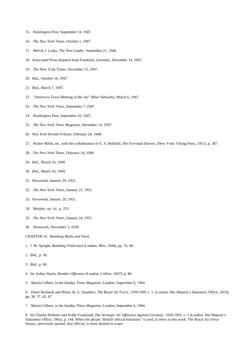- 15. *Washington Post,* September 14, 1947.
- 16. *The New York Times,* October 1, 1947.
- 17. Melvin J. Lasky, *The New Leader,* September 21, 1946.
- 18. Associated Press dispatch from Frankfort, Germany, December 14, 1947.
- 19. The New York Times, December 15, 1947.
- 20. *Ibid.,* October 14, 1947.
- 21. *Ibid.,* March 7, 1947.
- 22. "America's Town Meeting of the Air" (Blue Network), March 6, 1947.
- 23. *The New York Times,* September 7, 1947.
- 24. *Washington Post,* September 10, 1947.
- 25. *The New York Times Magazine,* December 14, 1947.
- 26. *New York Herald-Tribune,* February 24, 1948.
- 27. Walter Millis, ed., with the collaboration of E. S. Duffield, *The Forrestal Diaries,* (New York: Viking Press, 1951), p. 387.
- 28. *The New York Times,* February 14, 1949.
- 29. *Ibid.,* March 24, 1949.
- 30. *Ibid.,* March 10, 1949.
- 31. *Newsweek,* January 29, 1951.
- 32. *The New York Times,* January 21, 1951.
- 33. *Newsweek,* January 29, 1951.
- 34. Murphy, *op. cit.,* p. 255.
- 35. *The New York Times,* January 24, 1951.
- 36. *Newsweek,* November 3, 1958.
- CHAPTER 16 *Bombing Myths and Facts*
- 1. J. M. Spaight, *Bombing Vindicated* (London: Bles, 1944), pp. 74, 68.
- 2. *Ibid.,* p. 39.
- 3. *Ibid.,* p. 60.
- 4. Sir Arthur Harris, *Bomber Offensive* (London: Collins, 1947), p. 86.
- 5. Martin Gilbert, in the *Sunday Times Magazine,* London, September 6, 1964.

6. Denis Richards and Hilary St. G. Saunders, *The Royal Air Force, 1939-1945* v. 1, (London: Her Majesty's Stationery Office, 1953), pp. 36, 37, 42, 67.

7. Martin Gilbert, in the *Sunday Times Magazine,* London, September 6, 1964.

8. Sir Charles Webster and Noble Frankland, *The Strategic Air Offensive Against Germany, 1939-1945,* v. 1 (London: Her Majesty's Stationery Office, 1961), p. 144. When the phrase "British official historians" is used, it refers to this work. The Royal Air Force history, previously quoted, also official, is more limited in scope.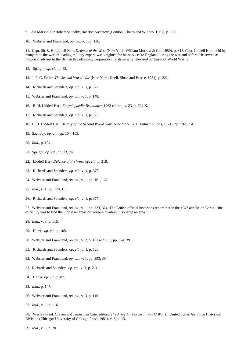- 9. Air Marshal Sir Robert Saundby, *Air Bombardment* (London: Chatto and Windus, 1961), p. 111.
- 10. Webster and Frankland, *op. cit.,* v. 1, p. 136.

11. Capt. Sir B. H. Liddell Hart, *Defence of the West* (New York: William Morrow & Co., 1950), p. 318. Capt. Liddell Hart, held by many to be the world's leading military expert, was knighted for his services to England during the war and before. He served as historical adviser to the British Broadcasting Corporation for its serially televised portrayal of World War II.

12. Spaight, *op. cit.,* p. 43.

- 13. J. F. C. Fuller, *The Second World War* (New York: Duell, Sloan and Pearce, 1954), p. 222.
- 14. Richards and Saunders, *op. cit.,* v. 1, p. 122.
- 15. Webster and Frankland, *op. cit.,* v. 1, p. 148.
- 16. B. H. Liddell Hart, *Encyclopaedia Britannica,* 1963 edition, v. 23, p. 791-K.
- 17. Richards and Saunders, *op. cit.,* v. 1, p. 178.
- 18. B. H. Liddell Hart, *History of the Second World War* (New York: G. P. Putnam's Sons, 1971), pp. 192, 594.
- 19. Saundby, *op. cit.,* pp. 104, 105.
- 20. *Ibid.,* p. 104.
- 21. Spaight, *op. cit.,* pp. 73, 74.
- 22. Liddell Hart, *Defence of the West, op. cit.,* p. 318.
- 23. Richards and Saunders, *op. cit.,* v. 1, p. 378.
- 24. Webster and Frankland, *op. cit.,* v. 1, pp. 161, 162.
- 25. *Ibid.,* v. 1, pp. 178, 185.
- 26. Richards and Saunders, *op. cit.,* v. 1, p. 377.

27. Webster and Frankland, *op. cit.,* v. 1, pp. 323, 324. The British official historians report that in the 1943 attacks on Berlin, "the difficulty was to find the industrial areas or workers quarters in so large an area."

- 28. *Ibid.,* v. 3, p. 115.
- 29. Harris, *op. cit.,* p. 105.
- 30. Webster and Frankland, *op. cit.,* v. 2, p. 121 and v. 1, pp. 324, 391.
- 31. Richards and Saunders, *op. cit.,* v. 1, p. 128.
- 32. Webster and Frankland, *op. cit.,* v. 1, pp. 393, 394.
- 33. Richards and Saunders, *op. cit.,* v. 1, p. 211.
- 34. Harris, *op. cit.,* p. 87.
- 35. *Ibid.,* p. 147.
- 36. Webster and Frankland, *op. cit.,* v. 3, p. 116.
- 37. *Ibid.,* v. 3, p. 116.

38. Wesley Frank Craven and James Lea Cate, editors, *The Army Air Forces in World War II,* United States Air Force Historical Division (Chicago: University of Chicago Press, 1951), v. 3, p. 13.

39. *Ibid.,* v. 3, p. 20.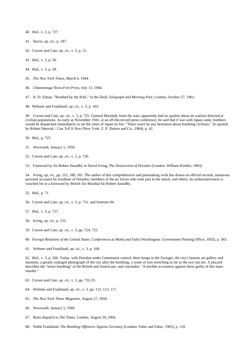40. *Ibid.,* v. 2, p. 727.

- 41. Harris, *op. cit.,* p. 187.
- 42. Craven and Cate, *op. cit.,* v. 3, p. 51.
- 43. *Ibid.,* v. 3, p. 36.
- 44. *Ibid.,* v. 3, p. 58.
- 45. *The New York Times,* March 6, 1944.
- 46. *Chattanooga News-Free Press,* July 13, 1944.
- 47. H. D. Ziman, "Bombed by the RAF," in the *Daily Telegraph and Morning Post,* London, October 27, 1961.
- 48. Webster and Frankland, *op. cit.,* v. 3, p. 103.

49. Craven and Cate, *op. cit.,* v. 3, p. 725. General Marshall, from the start, apparently had no qualms about air warfare directed at civilian populations. As early as November 1941, at an off-the-record press conference, he said that if war with Japan came, bombers would be dispatched immediately to set the cities of Japan on fire. "There won't be any hesitation about bombing civilians." As quoted by Robert Sherrod, / *Can Tell It Now* (New York: E. P. Dutton and Co., 1964), p. 42.

- 50. *Ibid.,* p. 725.
- 51. *Newsweek,* January 5, 1959.
- 52. Craven and Cate, *op. cit.,* v. 3, p. 726.
- 53. Foreword by Sir Robert Saundby to David Irving, *The Destruction of Dresden* (London: William Kimber, 1963).

54. Irving, *op, cit.,* pp. 152, 180, 181. The author of this comprehensive and painstaking work has drawn on official records, numerous personal accounts by residents of Dresden, members of the air forces who took part in the attack, and others. Its authoritativeness is vouched for in a foreword by British Air Marshal Sir Robert Saundby.

55. *Ibid.,* p. 71.

- 56. Craven and Cate, *op. cit.,* v. 3, p. 731. and footnote 84.
- 57. *Ibid.,* v. 3, p. 727.
- 58. Irving, *op. cit.,* p. 155.
- 59. Craven and Cate, *op. cit., v.* 3, pp. 724, 725.
- 60. *Foreign Relations of the United States, Conferences at Malta and Yalta* (Washington: Government Printing Office, 1955), p. 583.
- 61. Webster and Frankland, *op. cit.,* v. 3, p. 108.

62. *Ibid.,* v. 3, p. 106. Today, with Dresden under Communist control, there hangs in the Zwinger, the city's famous art gallery and museum, a greatly enlarged photograph of the city after the bombing, a scene of ruin stretching as far as the eye can see. A placard describes the "terror bombing" of the British and Americans, and concludes: "A terrible accusation against those guilty of this mass murder."

- 63. Craven and Cate, *op. cit.,* v. 3, pp. 732-35.
- 64. Webster and Frankland, *op. cit.,* v. 3, pp. 112, 113, 117.
- 65. *The New York Times Magazine,* August 27, 1950.
- 66. *Newsweek,* January 5, 1969.
- 67. Bonn dispatch to *The Times,* London, August 20, 1964.
- 68. Noble Frankland, *The Bombing Offensive Against Germany* (London: Faber and Faber, 1965), p. 110.